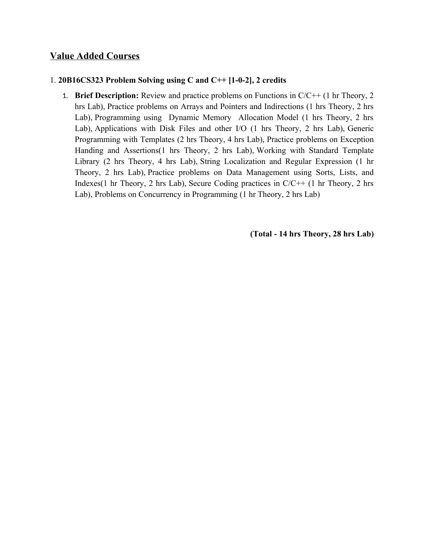## **Value Added Courses**

#### 1. **20B16CS323 Problem Solving using C and C++ [1-0-2], 2 credits**

1. **Brief Description:** Review and practice problems on Functions in C/C++ (1 hr Theory, 2 hrs Lab), Practice problems on Arrays and Pointers and Indirections (1 hrs Theory, 2 hrs Lab), Programming using Dynamic Memory Allocation Model (1 hrs Theory, 2 hrs Lab), Applications with Disk Files and other I/O (1 hrs Theory, 2 hrs Lab), Generic Programming with Templates (2 hrs Theory, 4 hrs Lab), Practice problems on Exception Handing and Assertions(1 hrs Theory, 2 hrs Lab), Working with Standard Template Library (2 hrs Theory, 4 hrs Lab), String Localization and Regular Expression (1 hr Theory, 2 hrs Lab), Practice problems on Data Management using Sorts, Lists, and Indexes(1 hr Theory, 2 hrs Lab), Secure Coding practices in  $C/C++$  (1 hr Theory, 2 hrs Lab), Problems on Concurrency in Programming (1 hr Theory, 2 hrs Lab)

 **(Total - 14 hrs Theory, 28 hrs Lab)**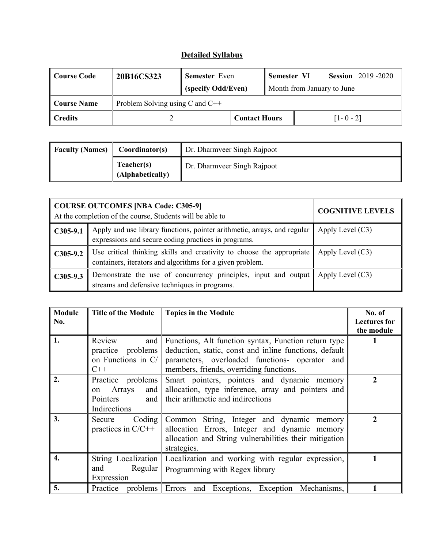| ' Course Code      | 20B16CS323 | <b>Semester</b> Even                |                      | Semester VI                |  |               | <b>Session</b> 2019-2020 |
|--------------------|------------|-------------------------------------|----------------------|----------------------------|--|---------------|--------------------------|
|                    |            | (specify Odd/Even)                  |                      | Month from January to June |  |               |                          |
| <b>Course Name</b> |            | Problem Solving using $C$ and $C++$ |                      |                            |  |               |                          |
| <b>Credits</b>     |            |                                     | <b>Contact Hours</b> |                            |  | $[1 - 0 - 2]$ |                          |

| <b>Faculty (Names)</b>         | Coordinator(s) | Dr. Dharmveer Singh Rajpoot |
|--------------------------------|----------------|-----------------------------|
| Teacher(s)<br>(Alphabetically) |                | Dr. Dharmveer Singh Rajpoot |

|            | <b>COURSE OUTCOMES [NBA Code: C305-9]</b><br>At the completion of the course, Students will be able to                             | <b>COGNITIVE LEVELS</b> |
|------------|------------------------------------------------------------------------------------------------------------------------------------|-------------------------|
| $C305-9.1$ | Apply and use library functions, pointer arithmetic, arrays, and regular<br>expressions and secure coding practices in programs.   | Apply Level $(C3)$      |
| $C305-9.2$ | Use critical thinking skills and creativity to choose the appropriate<br>containers, iterators and algorithms for a given problem. | Apply Level $(C3)$      |
| $C305-9.3$ | Demonstrate the use of concurrency principles, input and output<br>streams and defensive techniques in programs.                   | Apply Level $(C3)$      |

| <b>Module</b><br>No. | <b>Title of the Module</b> | <b>Topics in the Module</b>                                    | No. of<br><b>Lectures for</b> |
|----------------------|----------------------------|----------------------------------------------------------------|-------------------------------|
|                      |                            |                                                                | the module                    |
| 1.                   | Review<br>and              | Functions, Alt function syntax, Function return type           |                               |
|                      | problems<br>practice       | deduction, static, const and inline functions, default         |                               |
|                      | on Functions in $C/\ $     | parameters, overloaded functions- operator and                 |                               |
|                      | $C++$                      | members, friends, overriding functions.                        |                               |
| 2.                   | Practice problems          | Smart pointers, pointers and dynamic memory                    | $\mathbf{2}$                  |
|                      | Arrays<br>and<br>on        | allocation, type inference, array and pointers and             |                               |
|                      | Pointers<br>and            | their arithmetic and indirections                              |                               |
|                      | Indirections               |                                                                |                               |
| 3.                   | Coding $\vert$<br>Secure   | Common String, Integer and dynamic memory                      | $\mathcal{L}$                 |
|                      | practices in $C/C++$       | allocation Errors, Integer and dynamic memory                  |                               |
|                      |                            | allocation and String vulnerabilities their mitigation         |                               |
|                      |                            | strategies.                                                    |                               |
| $\overline{4}$ .     | String Localization        | Localization and working with regular expression,              |                               |
|                      | Regular<br>and             | Programming with Regex library                                 |                               |
|                      | Expression                 |                                                                |                               |
| 5.                   |                            | Practice problems Errors and Exceptions, Exception Mechanisms, |                               |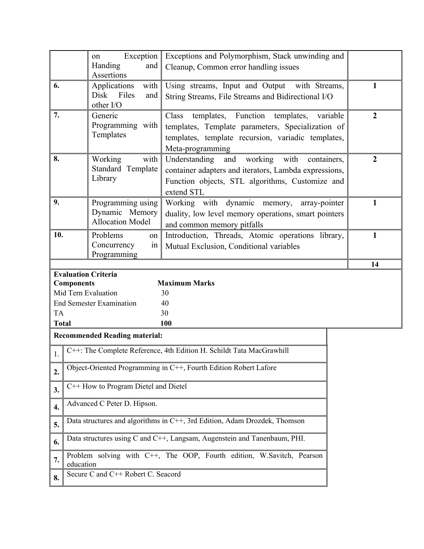|              | Exception<br>on                                                                                                                                                                                                                     |                                                           | Exceptions and Polymorphism, Stack unwinding and                                                    |              |  |  |
|--------------|-------------------------------------------------------------------------------------------------------------------------------------------------------------------------------------------------------------------------------------|-----------------------------------------------------------|-----------------------------------------------------------------------------------------------------|--------------|--|--|
|              | Handing<br>and<br><b>Assertions</b>                                                                                                                                                                                                 |                                                           | Cleanup, Common error handling issues                                                               |              |  |  |
| 6.           |                                                                                                                                                                                                                                     | Applications<br>with<br>Files<br>Disk<br>and<br>other I/O | Using streams, Input and Output with Streams,<br>String Streams, File Streams and Bidirectional I/O | $\mathbf{1}$ |  |  |
| 7.           | Generic<br>templates, Function templates,<br>Class<br>variable<br>Programming with<br>templates, Template parameters, Specialization of<br>Templates<br>templates, template recursion, variadic templates,<br>Meta-programming      |                                                           |                                                                                                     |              |  |  |
| 8.           | Working<br>with<br>Understanding<br>working<br>with<br>and<br>containers,<br>Standard Template<br>container adapters and iterators, Lambda expressions,<br>Library<br>Function objects, STL algorithms, Customize and<br>extend STL |                                                           |                                                                                                     |              |  |  |
| 9.           | Programming using<br>Working with dynamic memory,<br>array-pointer<br>Dynamic Memory<br>duality, low level memory operations, smart pointers<br><b>Allocation Model</b><br>and common memory pitfalls                               |                                                           |                                                                                                     |              |  |  |
|              | Introduction, Threads, Atomic operations library,<br>10.<br>Problems<br>on<br>Concurrency<br>in<br>Mutual Exclusion, Conditional variables<br>Programming                                                                           |                                                           |                                                                                                     |              |  |  |
|              |                                                                                                                                                                                                                                     |                                                           |                                                                                                     | 14           |  |  |
|              | <b>Components</b>                                                                                                                                                                                                                   | <b>Evaluation Criteria</b>                                | <b>Maximum Marks</b>                                                                                |              |  |  |
|              |                                                                                                                                                                                                                                     | Mid Tern Evaluation                                       | 30                                                                                                  |              |  |  |
|              |                                                                                                                                                                                                                                     | <b>End Semester Examination</b>                           | 40                                                                                                  |              |  |  |
| <b>TA</b>    |                                                                                                                                                                                                                                     |                                                           | 30                                                                                                  |              |  |  |
| <b>Total</b> |                                                                                                                                                                                                                                     |                                                           | 100                                                                                                 |              |  |  |
|              |                                                                                                                                                                                                                                     | <b>Recommended Reading material:</b>                      |                                                                                                     |              |  |  |
| 1.           |                                                                                                                                                                                                                                     |                                                           | C++: The Complete Reference, 4th Edition H. Schildt Tata MacGrawhill                                |              |  |  |
| 2.           | Object-Oriented Programming in C++, Fourth Edition Robert Lafore                                                                                                                                                                    |                                                           |                                                                                                     |              |  |  |
| 3.           | C++ How to Program Dietel and Dietel                                                                                                                                                                                                |                                                           |                                                                                                     |              |  |  |
| 4.           | Advanced C Peter D. Hipson.                                                                                                                                                                                                         |                                                           |                                                                                                     |              |  |  |
| 5.           | Data structures and algorithms in C++, 3rd Edition, Adam Drozdek, Thomson                                                                                                                                                           |                                                           |                                                                                                     |              |  |  |
| 6.           |                                                                                                                                                                                                                                     |                                                           | Data structures using C and C++, Langsam, Augenstein and Tanenbaum, PHI.                            |              |  |  |
| 7.           | Problem solving with C++, The OOP, Fourth edition, W.Savitch, Pearson<br>education                                                                                                                                                  |                                                           |                                                                                                     |              |  |  |
| 8.           | Secure C and C++ Robert C. Seacord                                                                                                                                                                                                  |                                                           |                                                                                                     |              |  |  |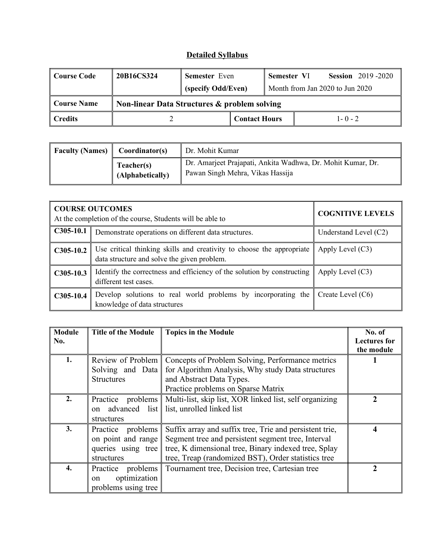| Course Code    | 20B16CS324 | <b>Semester</b> Even                         |                      | Semester VI                     |  |             | <b>Session</b> 2019-2020 |
|----------------|------------|----------------------------------------------|----------------------|---------------------------------|--|-------------|--------------------------|
|                |            | (specify Odd/Even)                           |                      | Month from Jan 2020 to Jun 2020 |  |             |                          |
| Course Name    |            | Non-linear Data Structures & problem solving |                      |                                 |  |             |                          |
| <b>Credits</b> |            |                                              | <b>Contact Hours</b> |                                 |  | $1 - 0 - 2$ |                          |

| Faculty (Names) | Coordinator(s)                 | Dr. Mohit Kumar                                                                                 |  |  |
|-----------------|--------------------------------|-------------------------------------------------------------------------------------------------|--|--|
|                 | Teacher(s)<br>(Alphabetically) | Dr. Amarjeet Prajapati, Ankita Wadhwa, Dr. Mohit Kumar, Dr.<br>Pawan Singh Mehra, Vikas Hassija |  |  |

|             | <b>COURSE OUTCOMES</b><br>At the completion of the course, Students will be able to                                  | <b>COGNITIVE LEVELS</b> |
|-------------|----------------------------------------------------------------------------------------------------------------------|-------------------------|
| $C305-10.1$ | Demonstrate operations on different data structures.                                                                 | Understand Level $(C2)$ |
| $C305-10.2$ | Use critical thinking skills and creativity to choose the appropriate<br>data structure and solve the given problem. | Apply Level $(C3)$      |
| $C305-10.3$ | Identify the correctness and efficiency of the solution by constructing<br>different test cases.                     | Apply Level $(C3)$      |
| $C305-10.4$ | Develop solutions to real world problems by incorporating the $\parallel$<br>knowledge of data structures            | Create Level (C6)       |

| <b>Module</b> | <b>Title of the Module</b> | <b>Topics in the Module</b>                             | No. of              |
|---------------|----------------------------|---------------------------------------------------------|---------------------|
| No.           |                            |                                                         | <b>Lectures for</b> |
|               |                            |                                                         | the module          |
| 1.            | Review of Problem          | Concepts of Problem Solving, Performance metrics        |                     |
|               | Solving and Data           | for Algorithm Analysis, Why study Data structures       |                     |
|               | <b>Structures</b>          | and Abstract Data Types.                                |                     |
|               |                            | Practice problems on Sparse Matrix                      |                     |
| 2.            | Practice problems          | Multi-list, skip list, XOR linked list, self organizing | $\mathcal{L}$       |
|               | advanced list<br>on        | list, unrolled linked list                              |                     |
|               | structures                 |                                                         |                     |
| 3.            | problems<br>Practice       | Suffix array and suffix tree, Trie and persistent trie, | 4                   |
|               | on point and range         | Segment tree and persistent segment tree, Interval      |                     |
|               | queries using tree         | tree, K dimensional tree, Binary indexed tree, Splay    |                     |
|               | structures                 | tree, Treap (randomized BST), Order statistics tree     |                     |
| 4.            | Practice<br>problems       | Tournament tree, Decision tree, Cartesian tree          |                     |
|               | optimization<br>on         |                                                         |                     |
|               | problems using tree        |                                                         |                     |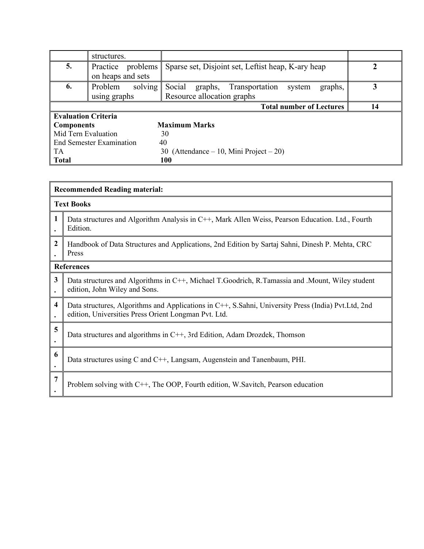|                                           | structures.                           |                                                          |  |  |  |  |
|-------------------------------------------|---------------------------------------|----------------------------------------------------------|--|--|--|--|
| 5.                                        | problems  <br>Practice                | Sparse set, Disjoint set, Leftist heap, K-ary heap       |  |  |  |  |
|                                           | on heaps and sets                     |                                                          |  |  |  |  |
| 6.                                        | solving<br>Problem                    | Social<br>graphs,<br>Transportation<br>system<br>graphs, |  |  |  |  |
|                                           | using graphs                          | Resource allocation graphs                               |  |  |  |  |
|                                           | <b>Total number of Lectures</b><br>14 |                                                          |  |  |  |  |
| <b>Evaluation Criteria</b>                |                                       |                                                          |  |  |  |  |
| <b>Maximum Marks</b><br><b>Components</b> |                                       |                                                          |  |  |  |  |
| Mid Tern Evaluation                       |                                       | 30                                                       |  |  |  |  |
|                                           | <b>End Semester Examination</b>       | 40                                                       |  |  |  |  |
| TA                                        |                                       | (Attendance – 10, Mini Project – 20)<br>30               |  |  |  |  |
| <b>Total</b>                              |                                       | <b>100</b>                                               |  |  |  |  |

|   | <b>Recommended Reading material:</b>                                                                                                                        |  |  |  |  |
|---|-------------------------------------------------------------------------------------------------------------------------------------------------------------|--|--|--|--|
|   | <b>Text Books</b>                                                                                                                                           |  |  |  |  |
| 1 | Data structures and Algorithm Analysis in C++, Mark Allen Weiss, Pearson Education. Ltd., Fourth<br>Edition.                                                |  |  |  |  |
| 2 | Handbook of Data Structures and Applications, 2nd Edition by Sartaj Sahni, Dinesh P. Mehta, CRC<br>Press                                                    |  |  |  |  |
|   | <b>References</b>                                                                                                                                           |  |  |  |  |
| 3 | Data structures and Algorithms in C++, Michael T.Goodrich, R.Tamassia and .Mount, Wiley student<br>edition, John Wiley and Sons.                            |  |  |  |  |
| 4 | Data structures, Algorithms and Applications in C++, S.Sahni, University Press (India) Pvt.Ltd, 2nd<br>edition, Universities Press Orient Longman Pvt. Ltd. |  |  |  |  |
| 5 | Data structures and algorithms in C++, 3rd Edition, Adam Drozdek, Thomson                                                                                   |  |  |  |  |
| 6 | Data structures using C and C++, Langsam, Augenstein and Tanenbaum, PHI.                                                                                    |  |  |  |  |
| 7 | Problem solving with C++, The OOP, Fourth edition, W. Savitch, Pearson education                                                                            |  |  |  |  |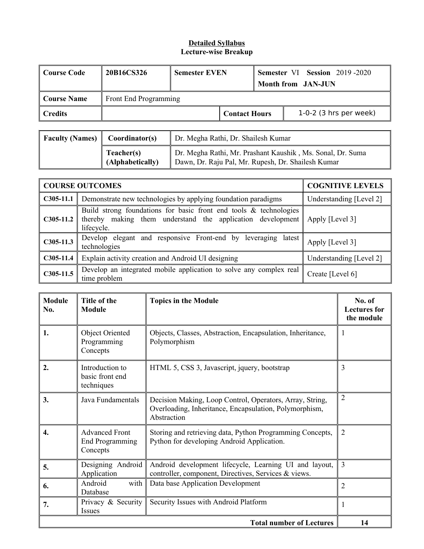| ∥ Course Code | 20B16CS326 | <b>Semester EVEN</b>  |                      | <b>Semester VI Session 2019-2020</b><br>Month from JAN-JUN |                          |  |
|---------------|------------|-----------------------|----------------------|------------------------------------------------------------|--------------------------|--|
| ∥ Course Name |            | Front End Programming |                      |                                                            |                          |  |
| ∥ Credits     |            |                       | <b>Contact Hours</b> |                                                            | $1-0-2$ (3 hrs per week) |  |

| <b>Faculty (Names)</b> $\parallel$ Coordinator(s) |                                | Dr. Megha Rathi, Dr. Shailesh Kumar                                                                              |
|---------------------------------------------------|--------------------------------|------------------------------------------------------------------------------------------------------------------|
|                                                   | Teacher(s)<br>(Alphabetically) | Dr. Megha Rathi, Mr. Prashant Kaushik, Ms. Sonal, Dr. Suma<br>Dawn, Dr. Raju Pal, Mr. Rupesh, Dr. Shailesh Kumar |

|             | <b>COURSE OUTCOMES</b>                                                                                                                           | <b>COGNITIVE LEVELS</b> |
|-------------|--------------------------------------------------------------------------------------------------------------------------------------------------|-------------------------|
| $C305-11.1$ | Demonstrate new technologies by applying foundation paradigms                                                                                    | Understanding [Level 2] |
| $C305-11.2$ | Build strong foundations for basic front end tools $\&$ technologies<br>thereby making them understand the application development<br>lifecycle. | Apply [Level 3]         |
| $C305-11.3$ | Develop elegant and responsive Front-end by leveraging latest<br>technologies                                                                    | Apply [Level 3]         |
| $C305-11.4$ | Explain activity creation and Android UI designing                                                                                               | Understanding [Level 2] |
| $C305-11.5$ | Develop an integrated mobile application to solve any complex real<br>time problem                                                               | Create [Level 6]        |

| <b>Module</b><br>No. | Title of the<br><b>Module</b>                               | <b>Topics in the Module</b>                                                                                                       | No. of<br><b>Lectures</b> for<br>the module |
|----------------------|-------------------------------------------------------------|-----------------------------------------------------------------------------------------------------------------------------------|---------------------------------------------|
| 1.                   | Object Oriented<br>Programming<br>Concepts                  | Objects, Classes, Abstraction, Encapsulation, Inheritance,<br>Polymorphism                                                        | 1                                           |
| 2.                   | Introduction to<br>basic front end<br>techniques            | HTML 5, CSS 3, Javascript, jquery, bootstrap                                                                                      | 3                                           |
| 3.                   | Java Fundamentals                                           | Decision Making, Loop Control, Operators, Array, String,<br>Overloading, Inheritance, Encapsulation, Polymorphism,<br>Abstraction | $\overline{2}$                              |
| 4.                   | <b>Advanced Front</b><br><b>End Programming</b><br>Concepts | Storing and retrieving data, Python Programming Concepts,<br>Python for developing Android Application.                           | $\overline{2}$                              |
| 5.                   | Designing Android<br>Application                            | Android development lifecycle, Learning UI and layout,<br>controller, component, Directives, Services & views.                    | $\overline{3}$                              |
| 6.                   | Android<br>with<br>Database                                 | Data base Application Development                                                                                                 | 2                                           |
| 7.                   | Privacy & Security<br>Issues                                | Security Issues with Android Platform                                                                                             |                                             |
|                      |                                                             | <b>Total number of Lectures</b>                                                                                                   | 14                                          |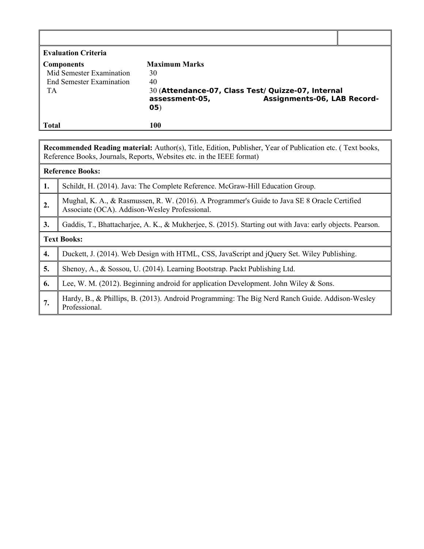| <b>Evaluation Criteria</b>      |                      |                                                    |  |
|---------------------------------|----------------------|----------------------------------------------------|--|
| <b>Components</b>               | <b>Maximum Marks</b> |                                                    |  |
| Mid Semester Examination        | 30                   |                                                    |  |
| <b>End Semester Examination</b> | 40                   |                                                    |  |
| TА                              |                      | 30 (Attendance-07, Class Test/ Quizze-07, Internal |  |
|                                 | assessment-05,       | Assignments-06, LAB Record-                        |  |
|                                 | 05)                  |                                                    |  |
|                                 |                      |                                                    |  |
| Total                           | 100                  |                                                    |  |

| Recommended Reading material: Author(s), Title, Edition, Publisher, Year of Publication etc. (Text books, |  |  |  |
|-----------------------------------------------------------------------------------------------------------|--|--|--|
| Reference Books, Journals, Reports, Websites etc. in the IEEE format)                                     |  |  |  |

|    | <b>Reference Books:</b>                                                                                                                       |
|----|-----------------------------------------------------------------------------------------------------------------------------------------------|
| 1. | Schildt, H. (2014). Java: The Complete Reference. McGraw-Hill Education Group.                                                                |
| 2. | Mughal, K. A., & Rasmussen, R. W. (2016). A Programmer's Guide to Java SE 8 Oracle Certified<br>Associate (OCA). Addison-Wesley Professional. |
| 3. | Gaddis, T., Bhattacharjee, A. K., & Mukherjee, S. (2015). Starting out with Java: early objects. Pearson.                                     |
|    | <b>Text Books:</b>                                                                                                                            |
| 4. | Duckett, J. (2014). Web Design with HTML, CSS, JavaScript and jQuery Set. Wiley Publishing.                                                   |
| 5. | Shenoy, A., & Sossou, U. (2014). Learning Bootstrap. Packt Publishing Ltd.                                                                    |
| 6. | Lee, W. M. (2012). Beginning android for application Development. John Wiley & Sons.                                                          |
| 7. | Hardy, B., & Phillips, B. (2013). Android Programming: The Big Nerd Ranch Guide. Addison-Wesley<br>Professional.                              |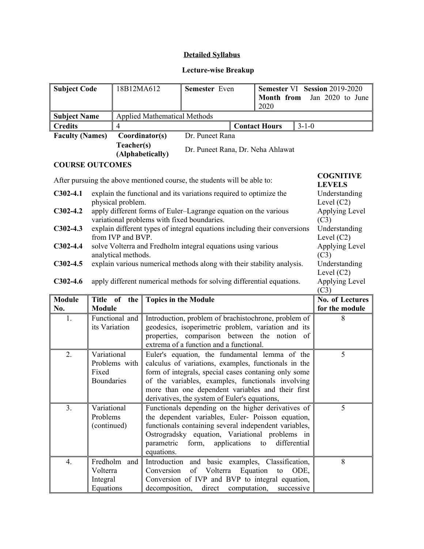### **Lecture-wise Breakup**

| <b>Subject Code</b>    | 18B12MA612                          | <b>Semester</b> Even              |  | Semester VI Session 2019-2020 |                  |  |
|------------------------|-------------------------------------|-----------------------------------|--|-------------------------------|------------------|--|
|                        |                                     |                                   |  | <b>Month from</b>             | Jan 2020 to June |  |
|                        |                                     |                                   |  | 2020                          |                  |  |
| <b>Subject Name</b>    | <b>Applied Mathematical Methods</b> |                                   |  |                               |                  |  |
| <b>Credits</b>         |                                     |                                   |  | <b>Contact Hours</b>          | $3 - 1 - 0$      |  |
| <b>Faculty (Names)</b> | Coordinator(s)                      | Dr. Puneet Rana                   |  |                               |                  |  |
|                        | Teacher(s)<br>(Alphabetically)      | Dr. Puneet Rana, Dr. Neha Ahlawat |  |                               |                  |  |

### **COURSE OUTCOMES**

| After pursuing the above mentioned course, the students will be able to: | <b>COGNITIVE</b><br><b>LEVELS</b>                                         |                                               |
|--------------------------------------------------------------------------|---------------------------------------------------------------------------|-----------------------------------------------|
| $C302-4.1$                                                               | explain the functional and its variations required to optimize the        | Understanding                                 |
|                                                                          | physical problem.                                                         | Level $(C2)$                                  |
| $C302-4.2$                                                               | apply different forms of Euler-Lagrange equation on the various           | Applying Level                                |
|                                                                          | variational problems with fixed boundaries.                               | (C3)                                          |
| $C302-4.3$                                                               | explain different types of integral equations including their conversions | Understanding                                 |
|                                                                          | from IVP and BVP                                                          | Level $(C2)$                                  |
| $C302-4.4$                                                               | solve Volterra and Fredholm integral equations using various              | Applying Level                                |
|                                                                          | analytical methods.                                                       | (C3)                                          |
| $C302-4.5$                                                               | explain various numerical methods along with their stability analysis.    | Understanding                                 |
|                                                                          |                                                                           | Level $(C2)$                                  |
| $C302-4.6$                                                               | apply different numerical methods for solving differential equations.     | Applying Level<br>$($ $\cap$ <sup>2</sup> $)$ |

|                |                   |                                                       | ししつり            |  |
|----------------|-------------------|-------------------------------------------------------|-----------------|--|
| <b>Module</b>  | Title of the $\ $ | <b>Topics in the Module</b>                           | No. of Lectures |  |
| No.            | <b>Module</b>     | for the module                                        |                 |  |
| 1.             | Functional and    | Introduction, problem of brachistochrone, problem of  | 8               |  |
|                | its Variation     | geodesics, isoperimetric problem, variation and its   |                 |  |
|                |                   | properties, comparison between the notion of          |                 |  |
|                |                   | extrema of a function and a functional.               |                 |  |
| 2.             | Variational       | Euler's equation, the fundamental lemma of the        | 5               |  |
|                | Problems with     | calculus of variations, examples, functionals in the  |                 |  |
|                | Fixed             | form of integrals, special cases contaning only some  |                 |  |
|                | <b>Boundaries</b> | of the variables, examples, functionals involving     |                 |  |
|                |                   | more than one dependent variables and their first     |                 |  |
|                |                   | derivatives, the system of Euler's equations,         |                 |  |
| 3 <sub>1</sub> | Variational       | Functionals depending on the higher derivatives of    | 5               |  |
|                | Problems          | the dependent variables, Euler- Poisson equation,     |                 |  |
|                | (continued)       | functionals containing several independent variables, |                 |  |
|                |                   | Ostrogradsky equation, Variational problems in        |                 |  |
|                |                   | parametric form,<br>differential<br>applications to   |                 |  |
|                |                   | equations.                                            |                 |  |
| 4.             | Fredholm and      | Introduction and basic examples, Classification,      | 8               |  |
|                | Volterra          | of Volterra<br>Equation<br>Conversion<br>ODE,<br>to   |                 |  |
|                | Integral          | Conversion of IVP and BVP to integral equation,       |                 |  |
|                | Equations         | decomposition, direct computation, successive         |                 |  |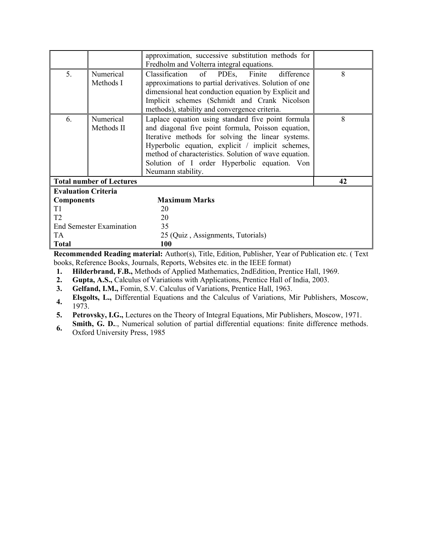|                                 |                         | approximation, successive substitution methods for<br>Fredholm and Volterra integral equations.                                                                                                                                                                                                                                                   |   |  |  |
|---------------------------------|-------------------------|---------------------------------------------------------------------------------------------------------------------------------------------------------------------------------------------------------------------------------------------------------------------------------------------------------------------------------------------------|---|--|--|
| 5.                              | Numerical<br>Methods I  | Classification of PDEs,<br>Finite difference<br>approximations to partial derivatives. Solution of one<br>dimensional heat conduction equation by Explicit and<br>Implicit schemes (Schmidt and Crank Nicolson<br>methods), stability and convergence criteria.                                                                                   | 8 |  |  |
| 6.                              | Numerical<br>Methods II | Laplace equation using standard five point formula<br>and diagonal five point formula, Poisson equation,<br>Iterative methods for solving the linear systems.<br>Hyperbolic equation, explicit / implicit schemes,<br>method of characteristics. Solution of wave equation.<br>Solution of I order Hyperbolic equation. Von<br>Neumann stability. | 8 |  |  |
| <b>Total number of Lectures</b> | 42                      |                                                                                                                                                                                                                                                                                                                                                   |   |  |  |
| <b>Evaluation Criteria</b>      |                         |                                                                                                                                                                                                                                                                                                                                                   |   |  |  |
| <b>Components</b>               |                         | <b>Maximum Marks</b>                                                                                                                                                                                                                                                                                                                              |   |  |  |
| T <sub>1</sub>                  |                         | 20                                                                                                                                                                                                                                                                                                                                                |   |  |  |
| T <sub>2</sub>                  |                         | 20                                                                                                                                                                                                                                                                                                                                                |   |  |  |
| <b>End Semester Examination</b> |                         | 35                                                                                                                                                                                                                                                                                                                                                |   |  |  |
| TA.                             |                         | 25 (Quiz, Assignments, Tutorials)                                                                                                                                                                                                                                                                                                                 |   |  |  |
| <b>Total</b>                    |                         | 100                                                                                                                                                                                                                                                                                                                                               |   |  |  |

**Recommended Reading material:** Author(s), Title, Edition, Publisher, Year of Publication etc. ( Text books, Reference Books, Journals, Reports, Websites etc. in the IEEE format)

**1. Hilderbrand, F.B.,** Methods of Applied Mathematics, 2ndEdition, Prentice Hall, 1969.

**2. Gupta, A.S.,** Calculus of Variations with Applications, Prentice Hall of India, 2003.

**3. Gelfand, I.M.,** Fomin, S.V. Calculus of Variations, Prentice Hall, 1963.

**4. Elsgolts, L.,** Differential Equations and the Calculus of Variations, Mir Publishers, Moscow, 1973.

**5. Petrovsky, I.G.,** Lectures on the Theory of Integral Equations, Mir Publishers, Moscow, 1971.

**6. Smith, G. D..**, Numerical solution of partial differential equations: finite difference methods. Oxford University Press, 1985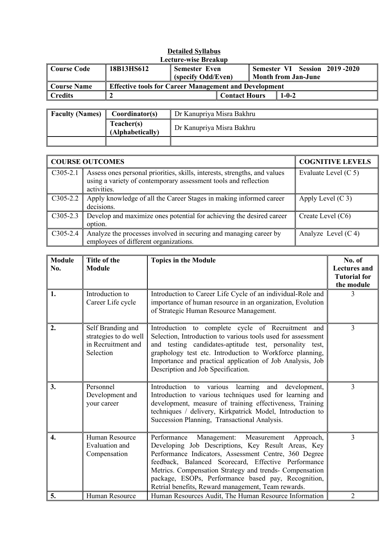| <b>Detailed Syllabus</b> |                                                              |                      |                      |                            |                               |  |  |
|--------------------------|--------------------------------------------------------------|----------------------|----------------------|----------------------------|-------------------------------|--|--|
|                          | <b>Lecture-wise Breakup</b>                                  |                      |                      |                            |                               |  |  |
| <b>Course Code</b>       | 18B13HS612                                                   | <b>Semester Even</b> |                      |                            | Semester VI Session 2019-2020 |  |  |
|                          |                                                              | (specify Odd/Even)   |                      | <b>Month from Jan-June</b> |                               |  |  |
| <b>Course Name</b>       | <b>Effective tools for Career Management and Development</b> |                      |                      |                            |                               |  |  |
| <b>Credits</b>           |                                                              |                      | <b>Contact Hours</b> |                            | $1 - 0 - 2$                   |  |  |
|                          |                                                              |                      |                      |                            |                               |  |  |

| <b>Faculty (Names)</b> | Coordinator(s)                 | Dr Kanupriya Misra Bakhru |
|------------------------|--------------------------------|---------------------------|
|                        | Teacher(s)<br>(Alphabetically) | Dr Kanupriya Misra Bakhru |
|                        |                                |                           |

| <b>COURSE OUTCOMES</b> |                                                                                                                                                             | <b>COGNITIVE LEVELS</b> |
|------------------------|-------------------------------------------------------------------------------------------------------------------------------------------------------------|-------------------------|
| $C305-2.1$             | Assess ones personal priorities, skills, interests, strengths, and values<br>using a variety of contemporary assessment tools and reflection<br>activities. | Evaluate Level $(C 5)$  |
| $C305-2.2$             | Apply knowledge of all the Career Stages in making informed career<br>decisions.                                                                            | Apply Level $(C_3)$     |
| $C305-2.3$             | Develop and maximize ones potential for achieving the desired career<br>option.                                                                             | Create Level (C6)       |
| $C305-2.4$             | Analyze the processes involved in securing and managing career by<br>employees of different organizations.                                                  | Analyze Level $(C4)$    |

| <b>Module</b> | <b>Title of the</b>                                                           | <b>Topics in the Module</b>                                                                                                                                                                                                                                                                                                                                                                       | No. of                                                   |
|---------------|-------------------------------------------------------------------------------|---------------------------------------------------------------------------------------------------------------------------------------------------------------------------------------------------------------------------------------------------------------------------------------------------------------------------------------------------------------------------------------------------|----------------------------------------------------------|
| No.           | <b>Module</b>                                                                 |                                                                                                                                                                                                                                                                                                                                                                                                   | <b>Lectures and</b><br><b>Tutorial for</b><br>the module |
| 1.            | Introduction to<br>Career Life cycle                                          | Introduction to Career Life Cycle of an individual-Role and<br>importance of human resource in an organization, Evolution<br>of Strategic Human Resource Management.                                                                                                                                                                                                                              | 3                                                        |
| 2.            | Self Branding and<br>strategies to do well<br>in Recruitment and<br>Selection | Introduction to complete cycle of Recruitment and<br>Selection, Introduction to various tools used for assessment<br>and testing candidates-aptitude test, personality test,<br>graphology test etc. Introduction to Workforce planning,<br>Importance and practical application of Job Analysis, Job<br>Description and Job Specification.                                                       | 3                                                        |
| 3.            | Personnel<br>Development and<br>your career                                   | Introduction to various learning and development,<br>Introduction to various techniques used for learning and<br>development, measure of training effectiveness, Training<br>techniques / delivery, Kirkpatrick Model, Introduction to<br>Succession Planning, Transactional Analysis.                                                                                                            | $\overline{3}$                                           |
| 4.            | Human Resource<br>Evaluation and<br>Compensation                              | Performance<br>Management: Measurement<br>Approach,<br>Developing Job Descriptions, Key Result Areas, Key<br>Performance Indicators, Assessment Centre, 360 Degree<br>feedback, Balanced Scorecard, Effective Performance<br>Metrics. Compensation Strategy and trends- Compensation<br>package, ESOPs, Performance based pay, Recognition,<br>Retrial benefits, Reward management, Team rewards. | 3                                                        |
| 5.            | Human Resource                                                                | Human Resources Audit, The Human Resource Information                                                                                                                                                                                                                                                                                                                                             | 2                                                        |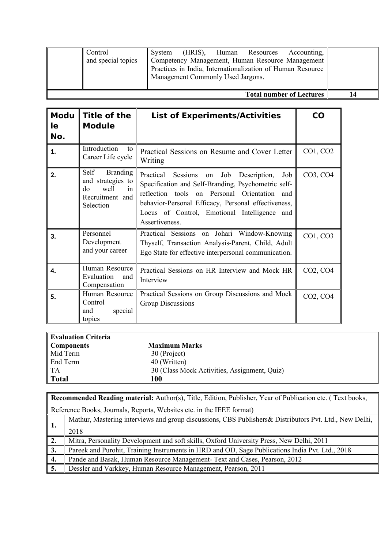|                                 | Control<br>and special topics | System | Management Commonly Used Jargons. |  | (HRIS), Human Resources | Accounting,<br>Competency Management, Human Resource Management<br>Practices in India, Internationalization of Human Resource |  |
|---------------------------------|-------------------------------|--------|-----------------------------------|--|-------------------------|-------------------------------------------------------------------------------------------------------------------------------|--|
| <b>Total number of Lectures</b> |                               |        |                                   |  | 14                      |                                                                                                                               |  |

| <b>Modu</b><br>le.<br>No. | Title of the<br><b>Module</b>                                                                    | <b>List of Experiments/Activities</b>                                                                                                                                                                                                                                                        | CO                                |
|---------------------------|--------------------------------------------------------------------------------------------------|----------------------------------------------------------------------------------------------------------------------------------------------------------------------------------------------------------------------------------------------------------------------------------------------|-----------------------------------|
| 1.                        | Introduction<br>to<br>Career Life cycle                                                          | Practical Sessions on Resume and Cover Letter<br>Writing                                                                                                                                                                                                                                     | CO1, CO2                          |
| 2.                        | Self<br><b>Branding</b><br>and strategies to<br>well<br>do<br>in<br>Recruitment and<br>Selection | Practical Sessions<br>Job<br>Description,<br>Job<br>on<br>Specification and Self-Branding, Psychometric self-<br>reflection tools on Personal Orientation<br>and<br>behavior-Personal Efficacy, Personal effectiveness,<br>Locus of Control, Emotional Intelligence<br>and<br>Assertiveness. | CO3, CO4                          |
| 3.                        | Personnel<br>Development<br>and your career                                                      | Practical Sessions on Johari Window-Knowing<br>Thyself, Transaction Analysis-Parent, Child, Adult<br>Ego State for effective interpersonal communication.                                                                                                                                    | CO1, CO3                          |
| 4.                        | Human Resource<br>Evaluation<br>and<br>Compensation                                              | Practical Sessions on HR Interview and Mock HR<br>Interview                                                                                                                                                                                                                                  | CO <sub>2</sub> , CO <sub>4</sub> |
| 5.                        | Human Resource<br>Control<br>special<br>and<br>topics                                            | Practical Sessions on Group Discussions and Mock<br>Group Discussions                                                                                                                                                                                                                        | CO2, CO4                          |

| Evaluation Criteria |                                              |
|---------------------|----------------------------------------------|
| Components          | <b>Maximum Marks</b>                         |
| Mid Term            | 30 (Project)                                 |
| End Term            | 40 (Written)                                 |
| $\vert$ TA          | 30 (Class Mock Activities, Assignment, Quiz) |
| Total               | 100                                          |

|                    | <b>Recommended Reading material:</b> Author(s), Title, Edition, Publisher, Year of Publication etc. (Text books, |  |  |  |  |
|--------------------|------------------------------------------------------------------------------------------------------------------|--|--|--|--|
|                    | Reference Books, Journals, Reports, Websites etc. in the IEEE format)                                            |  |  |  |  |
|                    | Mathur, Mastering interviews and group discussions, CBS Publishers & Distributors Pvt. Ltd., New Delhi,          |  |  |  |  |
| $^{\mathrm{*}}$ 1. | 2018                                                                                                             |  |  |  |  |
| 2.                 | Mitra, Personality Development and soft skills, Oxford University Press, New Delhi, 2011                         |  |  |  |  |
| 3.                 | Pareek and Purohit, Training Instruments in HRD and OD, Sage Publications India Pvt. Ltd., 2018                  |  |  |  |  |
| 4.                 | Pande and Basak, Human Resource Management- Text and Cases, Pearson, 2012                                        |  |  |  |  |
| 5.                 | Dessler and Varkkey, Human Resource Management, Pearson, 2011                                                    |  |  |  |  |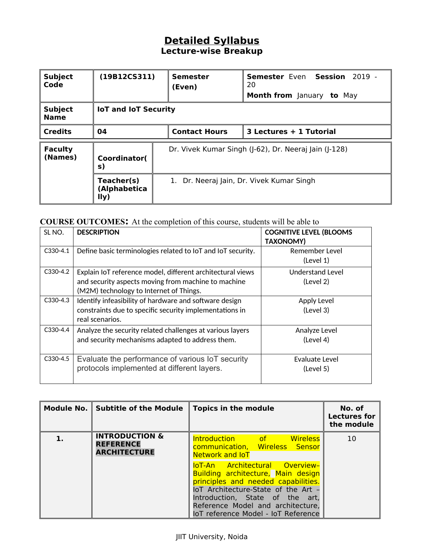| <b>Subject</b><br>Code        | (19B12C <sub>S311</sub> )<br><b>Semester</b><br>(Even) |                                                                                                    | <b>Semester Even Session 2019 -</b><br>20<br><b>Month from</b> January to May |  |  |
|-------------------------------|--------------------------------------------------------|----------------------------------------------------------------------------------------------------|-------------------------------------------------------------------------------|--|--|
| <b>Subject</b><br><b>Name</b> | <b>IoT and IoT Security</b>                            |                                                                                                    |                                                                               |  |  |
| <b>Credits</b>                | 04                                                     | <b>Contact Hours</b><br>3 Lectures + 1 Tutorial                                                    |                                                                               |  |  |
| <b>Faculty</b><br>(Names)     | Coordinator(<br>s)                                     | Dr. Vivek Kumar Singh (J-62), Dr. Neeraj Jain (J-128)<br>1. Dr. Neeraj Jain, Dr. Vivek Kumar Singh |                                                                               |  |  |
|                               | Teacher(s)<br>(Alphabetica<br>I(y)                     |                                                                                                    |                                                                               |  |  |

### **COURSE OUTCOMES:** At the completion of this course, students will be able to

| SL NO.     | <b>DESCRIPTION</b>                                                                                                                                           | <b>COGNITIVE LEVEL (BLOOMS</b><br><b>TAXONOMY)</b> |
|------------|--------------------------------------------------------------------------------------------------------------------------------------------------------------|----------------------------------------------------|
| $C330-4.1$ | Define basic terminologies related to IoT and IoT security.                                                                                                  | Remember Level<br>(Level 1)                        |
| $C330-4.2$ | Explain IoT reference model, different architectural views<br>and security aspects moving from machine to machine<br>(M2M) technology to Internet of Things. | Understand Level<br>(Level 2)                      |
| $C330-4.3$ | Identify infeasibility of hardware and software design<br>constraints due to specific security implementations in<br>real scenarios.                         | Apply Level<br>(Level 3)                           |
| C330-4.4   | Analyze the security related challenges at various layers<br>and security mechanisms adapted to address them.                                                | Analyze Level<br>(Level 4)                         |
| $C330-4.5$ | Evaluate the performance of various IoT security<br>protocols implemented at different layers.                                                               | Evaluate Level<br>(Level 5)                        |

| <b>INTRODUCTION &amp;</b><br>Introduction of the<br><b>Wireless</b><br>10<br><b>REFERENCE</b><br>communication, Wireless Sensor<br><b>ARCHITECTURE</b>                                                                     | Module No. Subtitle of the Module | <b>Topics in the module</b> | No. of<br><b>Lectures for</b><br>the module |
|----------------------------------------------------------------------------------------------------------------------------------------------------------------------------------------------------------------------------|-----------------------------------|-----------------------------|---------------------------------------------|
| loT-An Architectural Overview-<br>Building architecture, Main design<br>principles and needed capabilities.<br>IoT Architecture-State of the Art -<br>Introduction, State of the art,<br>Reference Model and architecture, |                                   | Network and <b>IoT</b>      |                                             |

#### JIIT University, Noida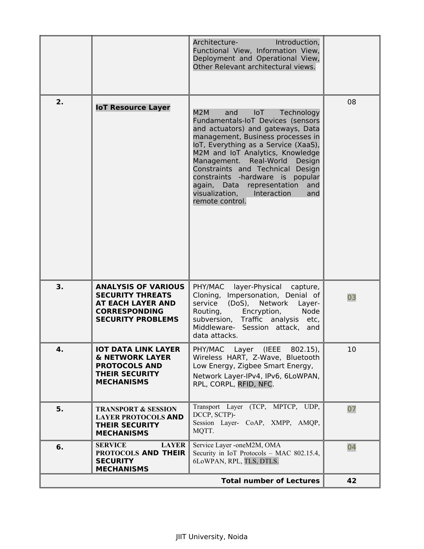|    |                                                                                                                                       | Architecture-<br>Introduction,<br>Functional View, Information View,<br>Deployment and Operational View,<br>Other Relevant architectural views.                                                                                                                                                                                                                                                                                                   |    |
|----|---------------------------------------------------------------------------------------------------------------------------------------|---------------------------------------------------------------------------------------------------------------------------------------------------------------------------------------------------------------------------------------------------------------------------------------------------------------------------------------------------------------------------------------------------------------------------------------------------|----|
| 2. | <b>IoT Resource Layer</b>                                                                                                             | M2M<br>and<br>$I \circ T$<br>Technology<br>Fundamentals-IoT Devices (sensors<br>and actuators) and gateways, Data<br>management, Business processes in<br>IoT, Everything as a Service (XaaS),<br>M2M and IoT Analytics, Knowledge<br>Management. Real-World<br>Design<br>Constraints and Technical Design<br>constraints -hardware is popular<br>again, Data<br>representation<br>and<br>visualization,<br>Interaction<br>and<br>remote control. | 08 |
| 3. | <b>ANALYSIS OF VARIOUS</b><br><b>SECURITY THREATS</b><br><b>AT EACH LAYER AND</b><br><b>CORRESPONDING</b><br><b>SECURITY PROBLEMS</b> | PHY/MAC<br>layer-Physical capture,<br>Cloning, Impersonation, Denial of<br>service<br>(DoS), Network<br>Layer-<br>Encryption,<br>Routing,<br>Node<br>subversion, Traffic analysis etc,<br>Middleware- Session attack, and<br>data attacks.                                                                                                                                                                                                        | 03 |
| 4. | <b>IOT DATA LINK LAYER</b><br><b>&amp; NETWORK LAYER</b><br><b>PROTOCOLS AND</b><br><b>THEIR SECURITY</b><br><b>MECHANISMS</b>        | PHY/MAC Layer (IEEE 802.15),<br>Wireless HART, Z-Wave, Bluetooth<br>Low Energy, Zigbee Smart Energy,<br>Network Layer-IPv4, IPv6, 6LoWPAN,<br>RPL, CORPL, RFID, NFC.                                                                                                                                                                                                                                                                              | 10 |
| 5. | <b>TRANSPORT &amp; SESSION</b><br><b>LAYER PROTOCOLS AND</b><br><b>THEIR SECURITY</b><br><b>MECHANISMS</b>                            | Transport Layer (TCP, MPTCP, UDP,<br>DCCP, SCTP)-<br>Session Layer- CoAP, XMPP, AMQP,<br>MQTT.                                                                                                                                                                                                                                                                                                                                                    | 07 |
| 6. | <b>LAYER</b><br><b>SERVICE</b><br>PROTOCOLS AND THEIR<br><b>SECURITY</b><br><b>MECHANISMS</b>                                         | Service Layer -oneM2M, OMA<br>Security in IoT Protocols - MAC 802.15.4,<br>6LoWPAN, RPL, TLS, DTLS.                                                                                                                                                                                                                                                                                                                                               | 04 |
|    |                                                                                                                                       | <b>Total number of Lectures</b>                                                                                                                                                                                                                                                                                                                                                                                                                   | 42 |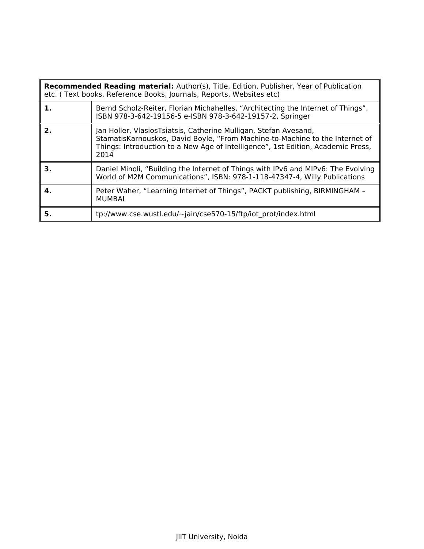|    | <b>Recommended Reading material:</b> Author(s), Title, Edition, Publisher, Year of Publication<br>etc. (Text books, Reference Books, Journals, Reports, Websites etc)                                                                        |  |  |  |  |
|----|----------------------------------------------------------------------------------------------------------------------------------------------------------------------------------------------------------------------------------------------|--|--|--|--|
| 1. | Bernd Scholz-Reiter, Florian Michahelles, "Architecting the Internet of Things",<br>ISBN 978-3-642-19156-5 e-ISBN 978-3-642-19157-2, Springer                                                                                                |  |  |  |  |
| 2. | Jan Holler, VlasiosTsiatsis, Catherine Mulligan, Stefan Avesand,<br>StamatisKarnouskos, David Boyle, "From Machine-to-Machine to the Internet of<br>Things: Introduction to a New Age of Intelligence", 1st Edition, Academic Press,<br>2014 |  |  |  |  |
| З. | Daniel Minoli, "Building the Internet of Things with IPv6 and MIPv6: The Evolving<br>World of M2M Communications", ISBN: 978-1-118-47347-4, Willy Publications                                                                               |  |  |  |  |
| 4. | Peter Waher, "Learning Internet of Things", PACKT publishing, BIRMINGHAM -<br><b>MUMBAI</b>                                                                                                                                                  |  |  |  |  |
| 5. | tp://www.cse.wustl.edu/~jain/cse570-15/ftp/iot prot/index.html                                                                                                                                                                               |  |  |  |  |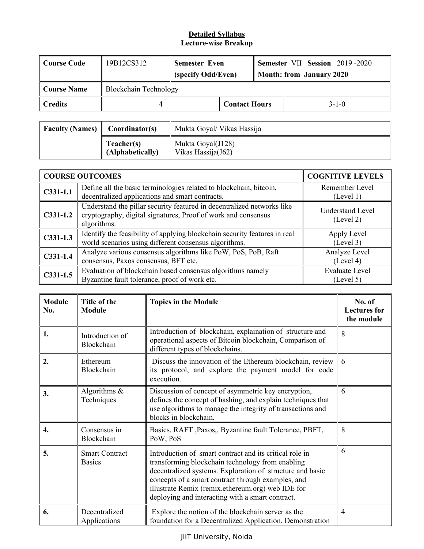| ∥ Course Code | 19B12CS312                   | <b>Semester Even</b><br>(specify Odd/Even) |  |             | <b>Semester VII Session 2019-2020</b><br><b>Month: from January 2020</b> |
|---------------|------------------------------|--------------------------------------------|--|-------------|--------------------------------------------------------------------------|
| Course Name   | <b>Blockchain Technology</b> |                                            |  |             |                                                                          |
| ∥ Credits     |                              | <b>Contact Hours</b>                       |  | $3 - 1 - 0$ |                                                                          |

| <b>Faculty (Names)</b> | Coordinator(s)                 | Mukta Goyal/ Vikas Hassija              |
|------------------------|--------------------------------|-----------------------------------------|
|                        | Teacher(s)<br>(Alphabetically) | Mukta Goyal(J128)<br>Vikas Hassija(J62) |

|            | <b>COURSE OUTCOMES</b>                                                                                                                                 | <b>COGNITIVE LEVELS</b>              |
|------------|--------------------------------------------------------------------------------------------------------------------------------------------------------|--------------------------------------|
| $C331-1.1$ | Define all the basic terminologies related to blockchain, bitcoin,<br>decentralized applications and smart contracts.                                  | Remember Level<br>(Level 1)          |
| $C331-1.2$ | Understand the pillar security featured in decentralized networks like<br>cryptography, digital signatures, Proof of work and consensus<br>algorithms. | <b>Understand Level</b><br>(Level 2) |
| $C331-1.3$ | Identify the feasibility of applying blockchain security features in real<br>world scenarios using different consensus algorithms.                     | Apply Level<br>(Level 3)             |
| $C331-1.4$ | Analyze various consensus algorithms like PoW, PoS, PoB, Raft<br>consensus, Paxos consensus, BFT etc.                                                  | Analyze Level<br>(Level 4)           |
| $C331-1.5$ | Evaluation of blockchain based consensus algorithms namely<br>Byzantine fault tolerance, proof of work etc.                                            | <b>Evaluate Level</b><br>(Level 5)   |

| <b>Module</b><br>No. | Title of the<br><b>Module</b>          | <b>Topics in the Module</b>                                                                                                                                                                                                                                                                                                             | No. of<br><b>Lectures for</b><br>the module |
|----------------------|----------------------------------------|-----------------------------------------------------------------------------------------------------------------------------------------------------------------------------------------------------------------------------------------------------------------------------------------------------------------------------------------|---------------------------------------------|
| 1.                   | Introduction of<br>Blockchain          | Introduction of blockchain, explaination of structure and<br>operational aspects of Bitcoin blockchain, Comparison of<br>different types of blockchains.                                                                                                                                                                                | 8                                           |
| 2.                   | Ethereum<br>Blockchain                 | Discuss the innovation of the Ethereum blockchain, review<br>its protocol, and explore the payment model for code<br>execution.                                                                                                                                                                                                         | 6                                           |
| 3.                   | Algorithms $\&$<br>Techniques          | Discussion of concept of asymmetric key encryption,<br>defines the concept of hashing, and explain techniques that<br>use algorithms to manage the integrity of transactions and<br>blocks in blockchain.                                                                                                                               | 6                                           |
| 4.                   | Consensus in<br>Blockchain             | Basics, RAFT , Paxos,, Byzantine fault Tolerance, PBFT,<br>PoW, PoS                                                                                                                                                                                                                                                                     | 8                                           |
| 5.                   | <b>Smart Contract</b><br><b>Basics</b> | Introduction of smart contract and its critical role in<br>transforming blockchain technology from enabling<br>decentralized systems. Exploration of structure and basic<br>concepts of a smart contract through examples, and<br>illustrate Remix (remix.ethereum.org) web IDE for<br>deploying and interacting with a smart contract. | 6                                           |
| 6.                   | Decentralized<br>Applications          | Explore the notion of the blockchain server as the<br>foundation for a Decentralized Application. Demonstration                                                                                                                                                                                                                         | $\overline{4}$                              |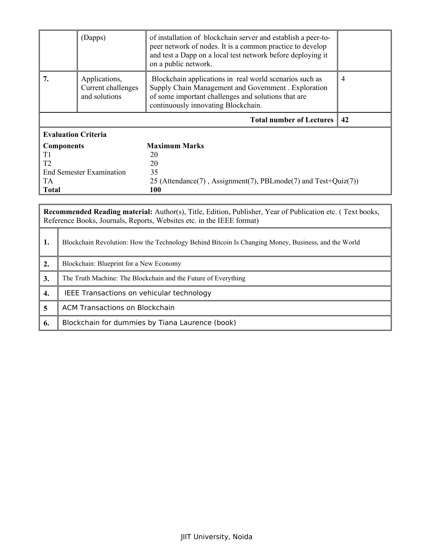|                            | (Dapps)                                              | of installation of blockchain server and establish a peer-to-<br>peer network of nodes. It is a common practice to develop<br>and test a Dapp on a local test network before deploying it<br>on a public network. |    |
|----------------------------|------------------------------------------------------|-------------------------------------------------------------------------------------------------------------------------------------------------------------------------------------------------------------------|----|
|                            | Applications,<br>Current challenges<br>and solutions | Blockchain applications in real world scenarios such as<br>Supply Chain Management and Government . Exploration<br>of some important challenges and solutions that are<br>continuously innovating Blockchain.     | 4  |
|                            |                                                      | <b>Total number of Lectures</b>                                                                                                                                                                                   | 42 |
|                            |                                                      |                                                                                                                                                                                                                   |    |
| <b>Evaluation Criteria</b> |                                                      |                                                                                                                                                                                                                   |    |
| <b>Components</b>          |                                                      | <b>Maximum Marks</b>                                                                                                                                                                                              |    |
| T1                         |                                                      | 20                                                                                                                                                                                                                |    |
| T <sub>2</sub>             |                                                      | 20                                                                                                                                                                                                                |    |
|                            | <b>End Semester Examination</b>                      | 35                                                                                                                                                                                                                |    |
| <b>TA</b>                  |                                                      | 25 (Attendance(7), Assignment(7), PBLmode(7) and Test+Quiz(7))                                                                                                                                                    |    |

|                         | <b>Recommended Reading material:</b> Author(s), Title, Edition, Publisher, Year of Publication etc. (Text books,<br>Reference Books, Journals, Reports, Websites etc. in the IEEE format) |  |  |
|-------------------------|-------------------------------------------------------------------------------------------------------------------------------------------------------------------------------------------|--|--|
| 1.                      | Blockchain Revolution: How the Technology Behind Bitcoin Is Changing Money, Business, and the World                                                                                       |  |  |
| 2.                      | Blockchain: Blueprint for a New Economy                                                                                                                                                   |  |  |
| 3.                      | The Truth Machine: The Blockchain and the Future of Everything                                                                                                                            |  |  |
| 4.                      | IEEE Transactions on vehicular technology                                                                                                                                                 |  |  |
| $\overline{\mathbf{5}}$ | ACM Transactions on Blockchain                                                                                                                                                            |  |  |
| 6.                      | Blockchain for dummies by Tiana Laurence (book)                                                                                                                                           |  |  |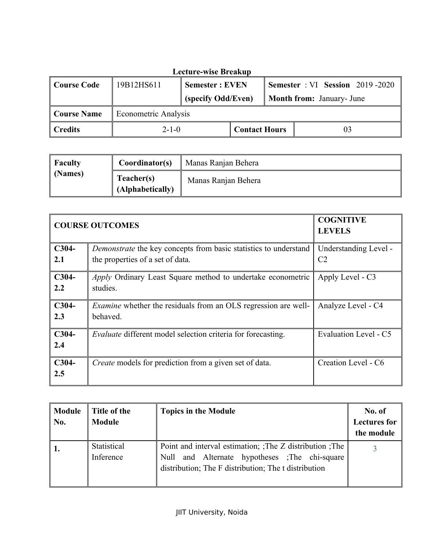| <b>Lecture-wise Breakup</b> |                                     |                                                                 |  |  |                                  |
|-----------------------------|-------------------------------------|-----------------------------------------------------------------|--|--|----------------------------------|
| <b>Course Code</b>          | 19B12HS611                          | <b>Semester</b> : VI Session 2019-2020<br><b>Semester: EVEN</b> |  |  |                                  |
|                             |                                     | (specify Odd/Even)                                              |  |  | <b>Month from:</b> January- June |
| <b>Course Name</b>          | <b>Econometric Analysis</b>         |                                                                 |  |  |                                  |
| <b>Credits</b>              | <b>Contact Hours</b><br>$2 - 1 - 0$ |                                                                 |  |  |                                  |

| <b>Faculty</b> | Coordinator(s)                 | Manas Ranjan Behera |
|----------------|--------------------------------|---------------------|
| (Names)        | Teacher(s)<br>(Alphabetically) | Manas Ranjan Behera |

| <b>COURSE OUTCOMES</b> |                                                                                                      | <b>COGNITIVE</b><br><b>LEVELS</b>       |
|------------------------|------------------------------------------------------------------------------------------------------|-----------------------------------------|
| $C304-$<br>2.1         | Demonstrate the key concepts from basic statistics to understand<br>the properties of a set of data. | Understanding Level -<br>C <sub>2</sub> |
| $C304-$<br>2.2         | <i>Apply</i> Ordinary Least Square method to undertake econometric<br>studies.                       | Apply Level - C3                        |
| $C304-$<br>2.3         | <i>Examine</i> whether the residuals from an OLS regression are well-<br>behaved.                    | Analyze Level - C4                      |
| $C304-$<br>2.4         | <i>Evaluate</i> different model selection criteria for forecasting.                                  | Evaluation Level - C5                   |
| $C304-$<br>2.5         | <i>Create</i> models for prediction from a given set of data.                                        | Creation Level - C6                     |

| <b>Module</b><br>No. | Title of the<br><b>Module</b> | <b>Topics in the Module</b>                                                                                                                                          | No. of<br><b>Lectures for</b><br>the module |
|----------------------|-------------------------------|----------------------------------------------------------------------------------------------------------------------------------------------------------------------|---------------------------------------------|
|                      | Statistical<br>Inference      | Point and interval estimation; The Z distribution ; The<br>and Alternate hypotheses ; The chi-square<br>Null<br>distribution; The F distribution; The t distribution |                                             |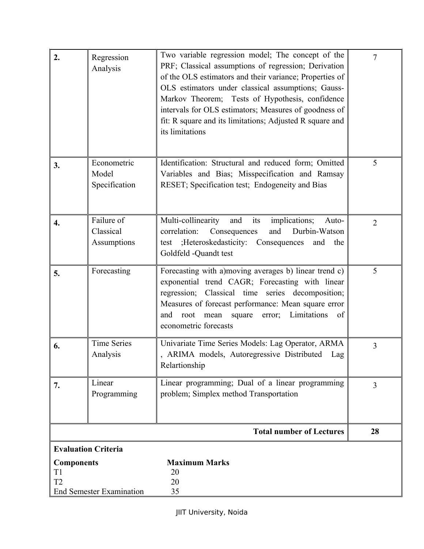| 2.                                  | Regression<br>Analysis                 | Two variable regression model; The concept of the<br>PRF; Classical assumptions of regression; Derivation<br>of the OLS estimators and their variance; Properties of<br>OLS estimators under classical assumptions; Gauss-<br>Markov Theorem; Tests of Hypothesis, confidence<br>intervals for OLS estimators; Measures of goodness of<br>fit: R square and its limitations; Adjusted R square and<br>its limitations | $\tau$         |
|-------------------------------------|----------------------------------------|-----------------------------------------------------------------------------------------------------------------------------------------------------------------------------------------------------------------------------------------------------------------------------------------------------------------------------------------------------------------------------------------------------------------------|----------------|
| 3.                                  | Econometric<br>Model<br>Specification  | Identification: Structural and reduced form; Omitted<br>Variables and Bias; Misspecification and Ramsay<br>RESET; Specification test; Endogeneity and Bias                                                                                                                                                                                                                                                            | 5              |
| 4.                                  | Failure of<br>Classical<br>Assumptions | Multi-collinearity<br>implications;<br>and<br>its<br>Auto-<br>and<br>Durbin-Watson<br>correlation:<br>Consequences<br>test ;Heteroskedasticity: Consequences<br>and<br>the<br>Goldfeld -Quandt test                                                                                                                                                                                                                   | $\overline{2}$ |
| 5.                                  | Forecasting                            | Forecasting with a) moving averages b) linear trend c)<br>exponential trend CAGR; Forecasting with linear<br>regression; Classical time series decomposition;<br>Measures of forecast performance: Mean square error<br>Limitations<br>root<br>mean square<br>of<br>and<br>error;<br>econometric forecasts                                                                                                            | 5              |
| 6.                                  | <b>Time Series</b><br>Analysis         | Univariate Time Series Models: Lag Operator, ARMA<br>, ARIMA models, Autoregressive Distributed<br>Lag<br>Relartionship                                                                                                                                                                                                                                                                                               | 3              |
| 7.                                  | Linear<br>Programming                  | Linear programming; Dual of a linear programming<br>problem; Simplex method Transportation                                                                                                                                                                                                                                                                                                                            | $\overline{3}$ |
|                                     |                                        | <b>Total number of Lectures</b>                                                                                                                                                                                                                                                                                                                                                                                       | 28             |
|                                     | <b>Evaluation Criteria</b>             |                                                                                                                                                                                                                                                                                                                                                                                                                       |                |
| <b>Components</b><br>T <sub>1</sub> |                                        | <b>Maximum Marks</b><br>20                                                                                                                                                                                                                                                                                                                                                                                            |                |
| T <sub>2</sub>                      |                                        | 20                                                                                                                                                                                                                                                                                                                                                                                                                    |                |
|                                     | <b>End Semester Examination</b>        | 35                                                                                                                                                                                                                                                                                                                                                                                                                    |                |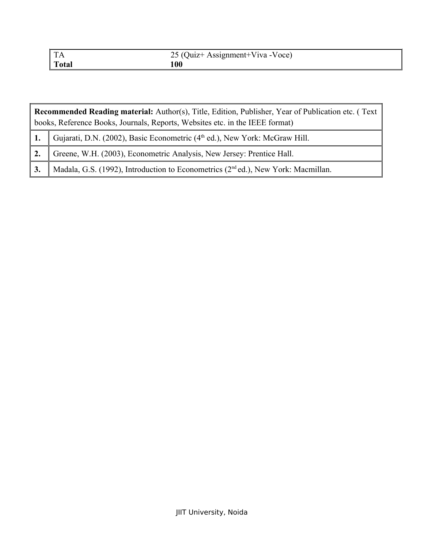| $^{\circ}$ TA | 25 (Quiz+ Assignment+Viva -Voce) |
|---------------|----------------------------------|
| Total         |                                  |

| <b>Recommended Reading material:</b> Author(s), Title, Edition, Publisher, Year of Publication etc. (Text |                                                                                               |  |  |
|-----------------------------------------------------------------------------------------------------------|-----------------------------------------------------------------------------------------------|--|--|
|                                                                                                           | books, Reference Books, Journals, Reports, Websites etc. in the IEEE format)                  |  |  |
|                                                                                                           | Gujarati, D.N. (2002), Basic Econometric (4 <sup>th</sup> ed.), New York: McGraw Hill.        |  |  |
| 2.                                                                                                        | Greene, W.H. (2003), Econometric Analysis, New Jersey: Prentice Hall.                         |  |  |
| 3.                                                                                                        | Madala, G.S. (1992), Introduction to Econometrics (2 <sup>nd</sup> ed.), New York: Macmillan. |  |  |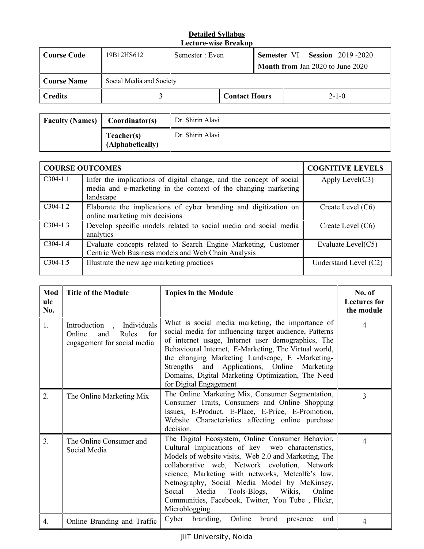| Course Code    | 19B12HS612               | Semester : Even |                      |  |  | Semester VI Session 2019-2020           |
|----------------|--------------------------|-----------------|----------------------|--|--|-----------------------------------------|
|                |                          |                 |                      |  |  | <b>Month from Jan 2020 to June 2020</b> |
| Course Name    | Social Media and Society |                 |                      |  |  |                                         |
| <b>Credits</b> |                          |                 | <b>Contact Hours</b> |  |  | $2 - 1 - 0$                             |

| <b>Faculty (Names)</b> | Coordinator(s)                 | Dr. Shirin Alavi |
|------------------------|--------------------------------|------------------|
|                        | Teacher(s)<br>(Alphabetically) | Dr. Shirin Alavi |

|            | <b>COURSE OUTCOMES</b>                                                                                                                             | <b>COGNITIVE LEVELS</b> |
|------------|----------------------------------------------------------------------------------------------------------------------------------------------------|-------------------------|
| $C304-1.1$ | Infer the implications of digital change, and the concept of social<br>media and e-marketing in the context of the changing marketing<br>landscape | Apply Level $(C3)$      |
| $C304-1.2$ | Elaborate the implications of cyber branding and digitization on<br>online marketing mix decisions                                                 | Create Level $(C6)$     |
| $C304-1.3$ | Develop specific models related to social media and social media<br>analytics                                                                      | Create Level (C6)       |
| $C304-1.4$ | Evaluate concepts related to Search Engine Marketing, Customer<br>Centric Web Business models and Web Chain Analysis                               | Evaluate Level(C5)      |
| $C304-1.5$ | Illustrate the new age marketing practices                                                                                                         | Understand Level (C2)   |

| Mod<br>ule<br>No. | <b>Title of the Module</b>                                                                | <b>Topics in the Module</b>                                                                                                                                                                                                                                                                                                                                                                                                                 | No. of<br><b>Lectures</b> for<br>the module |
|-------------------|-------------------------------------------------------------------------------------------|---------------------------------------------------------------------------------------------------------------------------------------------------------------------------------------------------------------------------------------------------------------------------------------------------------------------------------------------------------------------------------------------------------------------------------------------|---------------------------------------------|
| 1.                | Introduction, Individuals<br>Online<br>and<br>Rules<br>for<br>engagement for social media | What is social media marketing, the importance of<br>social media for influencing target audience, Patterns<br>of internet usage, Internet user demographics, The<br>Behavioural Internet, E-Marketing, The Virtual world,<br>the changing Marketing Landscape, E -Marketing-<br>Strengths and Applications, Online Marketing<br>Domains, Digital Marketing Optimization, The Need<br>for Digital Engagement                                | $\overline{4}$                              |
| $\overline{2}$ .  | The Online Marketing Mix                                                                  | The Online Marketing Mix, Consumer Segmentation,<br>Consumer Traits, Consumers and Online Shopping<br>Issues, E-Product, E-Place, E-Price, E-Promotion,<br>Website Characteristics affecting online purchase<br>decision.                                                                                                                                                                                                                   | 3                                           |
| 3.                | The Online Consumer and<br>Social Media                                                   | The Digital Ecosystem, Online Consumer Behavior,<br>Cultural Implications of key web characteristics,<br>Models of website visits, Web 2.0 and Marketing, The<br>collaborative web, Network evolution, Network<br>science, Marketing with networks, Metcalfe's law,<br>Netnography, Social Media Model by McKinsey,<br>Tools-Blogs, Wikis,<br>Social Media<br>Online<br>Communities, Facebook, Twitter, You Tube, Flickr,<br>Microblogging. | $\overline{4}$                              |
| 4.                | Online Branding and Traffic                                                               | Cyber<br>branding,<br>Online<br>brand<br>and<br>presence                                                                                                                                                                                                                                                                                                                                                                                    | 4                                           |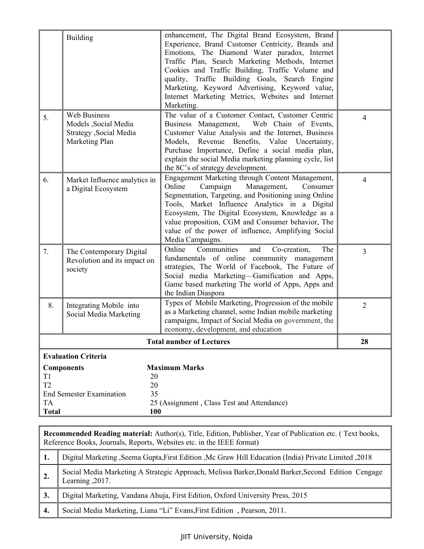|                            | <b>Building</b>                                                                                      | enhancement, The Digital Brand Ecosystem, Brand<br>Experience, Brand Customer Centricity, Brands and<br>Emotions, The Diamond Water paradox, Internet<br>Traffic Plan, Search Marketing Methods, Internet<br>Cookies and Traffic Building, Traffic Volume and<br>quality, Traffic Building Goals, Search Engine<br>Marketing, Keyword Advertising, Keyword value,<br>Internet Marketing Metrics, Websites and Internet<br>Marketing. |                |  |  |
|----------------------------|------------------------------------------------------------------------------------------------------|--------------------------------------------------------------------------------------------------------------------------------------------------------------------------------------------------------------------------------------------------------------------------------------------------------------------------------------------------------------------------------------------------------------------------------------|----------------|--|--|
| 5.                         | <b>Web Business</b><br>Models , Social Media<br>Strategy , Social Media<br>Marketing Plan            | The value of a Customer Contact, Customer Centric<br>Business Management,<br>Web Chain of Events,<br>Customer Value Analysis and the Internet, Business<br>Revenue Benefits, Value<br>Models,<br>Uncertainty,<br>Purchase Importance, Define a social media plan,<br>explain the social Media marketing planning cycle, list<br>the 8C's of strategy development.                                                                    | 4              |  |  |
| 6.                         | Market Influence analytics in<br>a Digital Ecosystem                                                 | Engagement Marketing through Content Management,<br>Online<br>Campaign<br>Management,<br>Consumer<br>Segmentation, Targeting, and Positioning using Online<br>Tools, Market Influence Analytics in a Digital<br>Ecosystem, The Digital Ecosystem, Knowledge as a<br>value proposition, CGM and Consumer behavior, The<br>value of the power of influence, Amplifying Social<br>Media Campaigns.                                      | $\overline{4}$ |  |  |
| 7.                         | The Contemporary Digital<br>Revolution and its impact on<br>society                                  | Communities<br>Co-creation,<br>Online<br>and<br>The<br>fundamentals of online community management<br>strategies, The World of Facebook, The Future of<br>Social media Marketing-Gamification and Apps,<br>Game based marketing The world of Apps, Apps and<br>the Indian Diaspora                                                                                                                                                   | $\overline{3}$ |  |  |
| 8.                         | Integrating Mobile into<br>Social Media Marketing                                                    | Types of Mobile Marketing, Progression of the mobile<br>as a Marketing channel, some Indian mobile marketing<br>campaigns, Impact of Social Media on government, the<br>economy, development, and education                                                                                                                                                                                                                          | $\overline{2}$ |  |  |
|                            |                                                                                                      | <b>Total number of Lectures</b>                                                                                                                                                                                                                                                                                                                                                                                                      | 28             |  |  |
| T1<br>T <sub>2</sub><br>TA | <b>Evaluation Criteria</b><br><b>Components</b><br>20<br>20<br><b>End Semester Examination</b><br>35 | <b>Maximum Marks</b><br>25 (Assignment, Class Test and Attendance)                                                                                                                                                                                                                                                                                                                                                                   |                |  |  |
| <b>Total</b>               | 100                                                                                                  |                                                                                                                                                                                                                                                                                                                                                                                                                                      |                |  |  |

|    | Recommended Reading material: Author(s), Title, Edition, Publisher, Year of Publication etc. (Text books,<br>Reference Books, Journals, Reports, Websites etc. in the IEEE format) |  |  |  |  |
|----|------------------------------------------------------------------------------------------------------------------------------------------------------------------------------------|--|--|--|--|
| 1. | 2018, Digital Marketing , Seema Gupta, First Edition , Mc Graw Hill Education (India) Private Limited                                                                              |  |  |  |  |
| 2. | Social Media Marketing A Strategic Approach, Melissa Barker, Donald Barker, Second Edition Cengage<br>Learning , 2017.                                                             |  |  |  |  |
| 3. | Digital Marketing, Vandana Ahuja, First Edition, Oxford University Press, 2015                                                                                                     |  |  |  |  |
| 4. | Social Media Marketing, Liana "Li" Evans, First Edition, Pearson, 2011.                                                                                                            |  |  |  |  |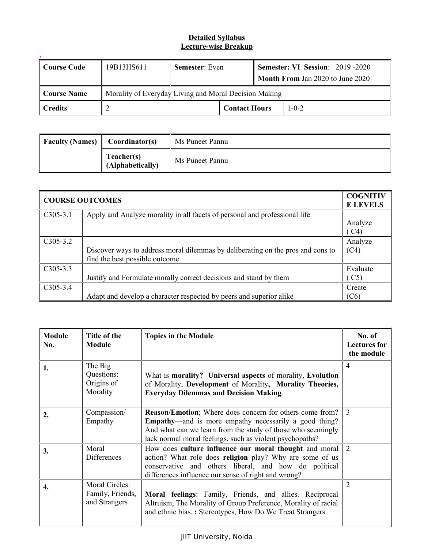| Course Code | 19B13HS611                                            | <b>Semester:</b> Even |                      | <b>Semester: VI Session: 2019 -2020</b><br><b>Month From Jan 2020 to June 2020</b> |             |
|-------------|-------------------------------------------------------|-----------------------|----------------------|------------------------------------------------------------------------------------|-------------|
| Course Name | Morality of Everyday Living and Moral Decision Making |                       |                      |                                                                                    |             |
| Credits     |                                                       |                       | <b>Contact Hours</b> |                                                                                    | $1 - 0 - 2$ |

| <b>Faculty (Names)</b> | Coordinator(s)                 | Ms Puneet Pannu |
|------------------------|--------------------------------|-----------------|
|                        | Teacher(s)<br>(Alphabetically) | Ms Puneet Pannu |

| <b>COURSE OUTCOMES</b> |                                                                                 |          |
|------------------------|---------------------------------------------------------------------------------|----------|
| $C305-3.1$             | Apply and Analyze morality in all facets of personal and professional life      |          |
|                        |                                                                                 | Analyze  |
|                        |                                                                                 | C4)      |
| $C305-3.2$             |                                                                                 | Analyze  |
|                        | Discover ways to address moral dilemmas by deliberating on the pros and cons to | (C4)     |
|                        | find the best possible outcome                                                  |          |
| $C305-3.3$             |                                                                                 | Evaluate |
|                        | Justify and Formulate morally correct decisions and stand by them               | C5       |
| $C305-3.4$             |                                                                                 | Create   |
|                        | Adapt and develop a character respected by peers and superior alike             | (C6)     |

| <b>Module</b><br>No. | Title of the<br><b>Module</b>                              | <b>Topics in the Module</b>                                                                                                                                                                                                                                 | No. of<br><b>Lectures for</b><br>the module |
|----------------------|------------------------------------------------------------|-------------------------------------------------------------------------------------------------------------------------------------------------------------------------------------------------------------------------------------------------------------|---------------------------------------------|
|                      | The Big<br>Questions:<br>Origins of<br>Morality            | What is morality? Universal aspects of morality, Evolution<br>of Morality, Development of Morality, Morality Theories,<br><b>Everyday Dilemmas and Decision Making</b>                                                                                      | $\overline{4}$                              |
| 2.                   | Compassion/<br>Empathy                                     | <b>Reason/Emotion</b> ; Where does concern for others come from?<br><b>Empathy—and</b> is more empathy necessarily a good thing?<br>And what can we learn from the study of those who seemingly<br>lack normal moral feelings, such as violent psychopaths? | $\mathcal{R}$                               |
| 3.                   | Moral<br>Differences                                       | How does culture influence our moral thought and moral<br>action? What role does religion play? Why are some of us<br>conservative and others liberal, and how do political<br>differences influence our sense of right and wrong?                          | 2                                           |
|                      | <b>Moral Circles:</b><br>Family, Friends,<br>and Strangers | Moral feelings: Family, Friends, and allies. Reciprocal<br>Altruism, The Morality of Group Preference, Morality of racial<br>and ethnic bias.: Stereotypes, How Do We Treat Strangers                                                                       | $\overline{2}$                              |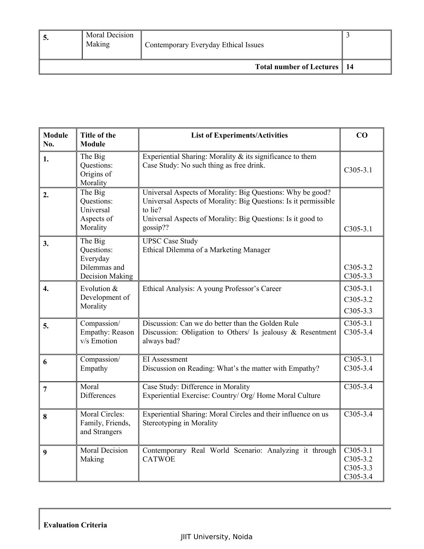| Moral Decision<br>Making | Contemporary Everyday Ethical Issues |  |
|--------------------------|--------------------------------------|--|
|                          | Total number of Lectures   14        |  |

| <b>Module</b><br>No. | Title of the<br><b>Module</b>                                               | <b>List of Experiments/Activities</b>                                                                                                                                                                               | CO                                                   |
|----------------------|-----------------------------------------------------------------------------|---------------------------------------------------------------------------------------------------------------------------------------------------------------------------------------------------------------------|------------------------------------------------------|
| 1.                   | The Big<br>Questions:<br>Origins of<br>Morality                             | Experiential Sharing: Morality $\&$ its significance to them<br>Case Study: No such thing as free drink.                                                                                                            | $C305-3.1$                                           |
| 2.                   | The Big<br>Questions:<br>Universal<br>Aspects of<br>Morality                | Universal Aspects of Morality: Big Questions: Why be good?<br>Universal Aspects of Morality: Big Questions: Is it permissible<br>to lie?<br>Universal Aspects of Morality: Big Questions: Is it good to<br>gossip?? | $C305-3.1$                                           |
| 3.                   | The Big<br>Questions:<br>Everyday<br>Dilemmas and<br><b>Decision Making</b> | <b>UPSC Case Study</b><br>Ethical Dilemma of a Marketing Manager                                                                                                                                                    | $C305-3.2$<br>$C305-3.3$                             |
| $\mathbf{4}$         | Evolution &<br>Development of<br>Morality                                   | Ethical Analysis: A young Professor's Career                                                                                                                                                                        | $C305-3.1$<br>C305-3.2<br>$C305-3.3$                 |
| 5.                   | Compassion/<br>Empathy: Reason<br>v/s Emotion                               | Discussion: Can we do better than the Golden Rule<br>Discussion: Obligation to Others/ Is jealousy $\&$ Resentment<br>always bad?                                                                                   | $C305-3.1$<br>$C305-3.4$                             |
| 6                    | Compassion/<br>Empathy                                                      | <b>EI</b> Assessment<br>Discussion on Reading: What's the matter with Empathy?                                                                                                                                      | $C305-3.1$<br>$C305-3.4$                             |
| 7                    | Moral<br><b>Differences</b>                                                 | Case Study: Difference in Morality<br>Experiential Exercise: Country/ Org/ Home Moral Culture                                                                                                                       | $C305-3.4$                                           |
| 8                    | Moral Circles:<br>Family, Friends,<br>and Strangers                         | Experiential Sharing: Moral Circles and their influence on us<br>Stereotyping in Morality                                                                                                                           | $C305-3.4$                                           |
| 9                    | <b>Moral Decision</b><br>Making                                             | Contemporary Real World Scenario: Analyzing it through<br><b>CATWOE</b>                                                                                                                                             | $C305-3.1$<br>$C305-3.2$<br>$C305-3.3$<br>$C305-3.4$ |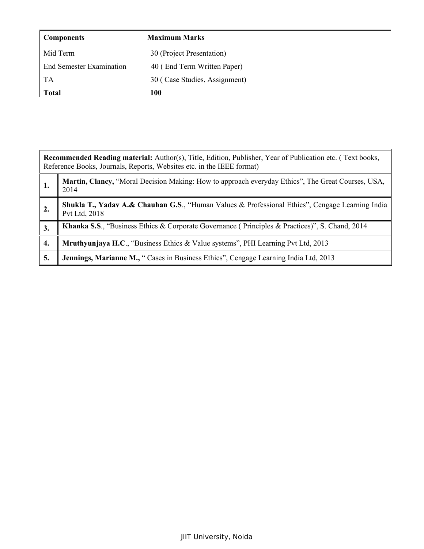| <b>Components</b>               | <b>Maximum Marks</b>          |
|---------------------------------|-------------------------------|
| Mid Term                        | 30 (Project Presentation)     |
| <b>End Semester Examination</b> | 40 (End Term Written Paper)   |
| TA                              | 30 (Case Studies, Assignment) |
| <b>Total</b>                    | 100                           |

|    | Recommended Reading material: Author(s), Title, Edition, Publisher, Year of Publication etc. (Text books,<br>Reference Books, Journals, Reports, Websites etc. in the IEEE format) |  |  |  |  |
|----|------------------------------------------------------------------------------------------------------------------------------------------------------------------------------------|--|--|--|--|
| 1. | Martin, Clancy, "Moral Decision Making: How to approach everyday Ethics", The Great Courses, USA,<br>2014                                                                          |  |  |  |  |
| 2. | <b>Shukla T., Yadav A.&amp; Chauhan G.S., "Human Values &amp; Professional Ethics", Cengage Learning India</b><br>Pvt Ltd, 2018                                                    |  |  |  |  |
| 3. | Khanka S.S., "Business Ethics & Corporate Governance (Principles & Practices)", S. Chand, 2014                                                                                     |  |  |  |  |
| 4. | <b>Mruthyunjaya H.C., "Business Ethics &amp; Value systems", PHI Learning Pvt Ltd, 2013</b>                                                                                        |  |  |  |  |
| 5. | <b>Jennings, Marianne M., "</b> Cases in Business Ethics", Cengage Learning India Ltd, 2013                                                                                        |  |  |  |  |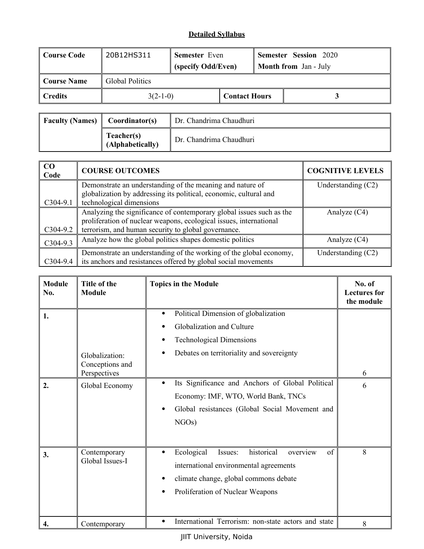| Course Code | 20B12HS311      | <b>Semester</b> Even |  |                      | <b>Semester Session 2020</b> |  |
|-------------|-----------------|----------------------|--|----------------------|------------------------------|--|
|             |                 | (specify Odd/Even)   |  |                      | <b>Month from Jan - July</b> |  |
| Course Name | Global Politics |                      |  |                      |                              |  |
| Credits     |                 | $3(2-1-0)$           |  | <b>Contact Hours</b> |                              |  |

| Faculty (Names) $\parallel$ Coordinator(s) |                                | Dr. Chandrima Chaudhuri |
|--------------------------------------------|--------------------------------|-------------------------|
|                                            | Teacher(s)<br>(Alphabetically) | Dr. Chandrima Chaudhuri |

| CO<br>Code | <b>COURSE OUTCOMES</b>                                               | <b>COGNITIVE LEVELS</b> |
|------------|----------------------------------------------------------------------|-------------------------|
|            | Demonstrate an understanding of the meaning and nature of            | Understanding $(C2)$    |
|            | globalization by addressing its political, economic, cultural and    |                         |
| $C304-9.1$ | technological dimensions                                             |                         |
|            | Analyzing the significance of contemporary global issues such as the | Analyze $(C4)$          |
|            | proliferation of nuclear weapons, ecological issues, international   |                         |
| $C304-9.2$ | terrorism, and human security to global governance.                  |                         |
| $C304-9.3$ | Analyze how the global politics shapes domestic politics             | Analyze $(C4)$          |
|            | Demonstrate an understanding of the working of the global economy,   | Understanding $(C2)$    |
| $C304-9.4$ | its anchors and resistances offered by global social movements       |                         |

| <b>Module</b><br>No. | Title of the<br><b>Module</b>                     | <b>Topics in the Module</b>                                                                                                                                                                    | No. of<br><b>Lectures</b> for<br>the module |
|----------------------|---------------------------------------------------|------------------------------------------------------------------------------------------------------------------------------------------------------------------------------------------------|---------------------------------------------|
| 1.                   | Globalization:<br>Conceptions and<br>Perspectives | Political Dimension of globalization<br>٠<br>Globalization and Culture<br><b>Technological Dimensions</b><br>Debates on territoriality and sovereignty                                         | 6                                           |
| 2.                   | Global Economy                                    | Its Significance and Anchors of Global Political<br>$\bullet$<br>Economy: IMF, WTO, World Bank, TNCs<br>Global resistances (Global Social Movement and<br>NGOs)                                | 6                                           |
| 3.                   | Contemporary<br>Global Issues-I                   | Ecological<br>historical<br>of<br>Issues:<br>overview<br>$\bullet$<br>international environmental agreements<br>climate change, global commons debate<br>٠<br>Proliferation of Nuclear Weapons | 8                                           |
| 4.                   | Contemporary                                      | International Terrorism: non-state actors and state<br>$\bullet$                                                                                                                               | 8                                           |

JIIT University, Noida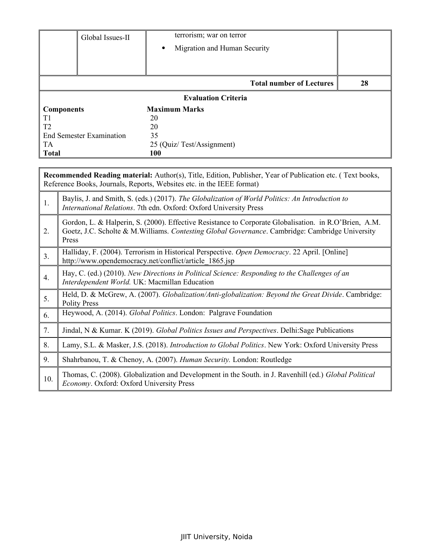| Global Issues-II                | terrorism; war on terror                  |    |
|---------------------------------|-------------------------------------------|----|
|                                 | Migration and Human Security<br>$\bullet$ |    |
|                                 |                                           |    |
|                                 |                                           |    |
|                                 | <b>Total number of Lectures</b>           | 28 |
|                                 | <b>Evaluation Criteria</b>                |    |
| <b>Components</b>               | <b>Maximum Marks</b>                      |    |
| T <sub>1</sub>                  | 20                                        |    |
| T <sub>2</sub>                  | 20                                        |    |
| <b>End Semester Examination</b> | 35                                        |    |
| TA                              | 25 (Quiz/Test/Assignment)                 |    |
| <b>Total</b>                    | 100                                       |    |

|                  | <b>Recommended Reading material:</b> Author(s), Title, Edition, Publisher, Year of Publication etc. (Text books,<br>Reference Books, Journals, Reports, Websites etc. in the IEEE format)                         |
|------------------|-------------------------------------------------------------------------------------------------------------------------------------------------------------------------------------------------------------------|
| 1.               | Baylis, J. and Smith, S. (eds.) (2017). The Globalization of World Politics: An Introduction to<br>International Relations. 7th edn. Oxford: Oxford University Press                                              |
| 2.               | Gordon, L. & Halperin, S. (2000). Effective Resistance to Corporate Globalisation. in R.O'Brien, A.M.<br>Goetz, J.C. Scholte & M.Williams. Contesting Global Governance. Cambridge: Cambridge University<br>Press |
| 3.               | Halliday, F. (2004). Terrorism in Historical Perspective. Open Democracy. 22 April. [Online]<br>http://www.opendemocracy.net/conflict/article 1865.jsp                                                            |
| $\overline{4}$ . | Hay, C. (ed.) (2010). New Directions in Political Science: Responding to the Challenges of an<br>Interdependent World. UK: Macmillan Education                                                                    |
| 5.               | Held, D. & McGrew, A. (2007). Globalization/Anti-globalization: Beyond the Great Divide. Cambridge:<br><b>Polity Press</b>                                                                                        |
| 6.               | Heywood, A. (2014). Global Politics. London: Palgrave Foundation                                                                                                                                                  |
| 7.               | Jindal, N & Kumar. K (2019). Global Politics Issues and Perspectives. Delhi: Sage Publications                                                                                                                    |
| 8.               | Lamy, S.L. & Masker, J.S. (2018). Introduction to Global Politics. New York: Oxford University Press                                                                                                              |
| 9.               | Shahrbanou, T. & Chenoy, A. (2007). Human Security. London: Routledge                                                                                                                                             |
| 10.              | Thomas, C. (2008). Globalization and Development in the South. in J. Ravenhill (ed.) Global Political<br>Economy. Oxford: Oxford University Press                                                                 |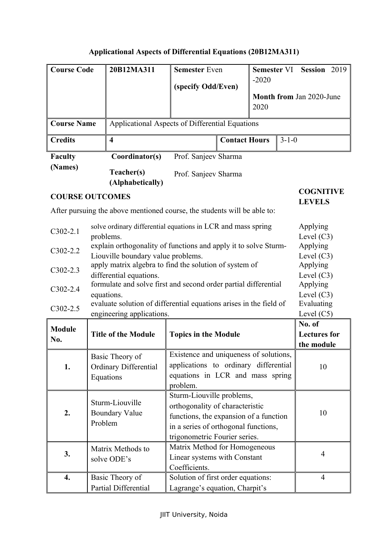# **Applicational Aspects of Differential Equations (20B12MA311)**

| <b>Course Code</b>                                                                                                  |                                           | 20B12MA311                                                               | <b>Semester Even</b>                                                            |                          | <b>Semester VI</b> |        | Session 2019             |  |
|---------------------------------------------------------------------------------------------------------------------|-------------------------------------------|--------------------------------------------------------------------------|---------------------------------------------------------------------------------|--------------------------|--------------------|--------|--------------------------|--|
|                                                                                                                     |                                           |                                                                          | (specify Odd/Even)                                                              |                          | $-2020$            |        |                          |  |
|                                                                                                                     |                                           |                                                                          |                                                                                 |                          |                    |        | Month from Jan 2020-June |  |
|                                                                                                                     |                                           |                                                                          |                                                                                 |                          | 2020               |        |                          |  |
| <b>Course Name</b>                                                                                                  |                                           |                                                                          |                                                                                 |                          |                    |        |                          |  |
|                                                                                                                     |                                           | Applicational Aspects of Differential Equations                          |                                                                                 |                          |                    |        |                          |  |
| <b>Credits</b>                                                                                                      |                                           | <b>Contact Hours</b><br>$3 - 1 - 0$<br>$\overline{\mathbf{4}}$           |                                                                                 |                          |                    |        |                          |  |
| <b>Faculty</b>                                                                                                      |                                           | Coordinator(s)                                                           | Prof. Sanjeev Sharma                                                            |                          |                    |        |                          |  |
| (Names)                                                                                                             |                                           | Teacher(s)                                                               | Prof. Sanjeev Sharma                                                            |                          |                    |        |                          |  |
|                                                                                                                     |                                           | (Alphabetically)                                                         |                                                                                 |                          |                    |        |                          |  |
| <b>COURSE OUTCOMES</b>                                                                                              |                                           |                                                                          |                                                                                 |                          |                    |        | <b>COGNITIVE</b>         |  |
|                                                                                                                     |                                           | After pursuing the above mentioned course, the students will be able to: |                                                                                 |                          |                    |        | <b>LEVELS</b>            |  |
|                                                                                                                     |                                           |                                                                          |                                                                                 |                          |                    |        |                          |  |
| $C302-2.1$                                                                                                          |                                           | solve ordinary differential equations in LCR and mass spring             |                                                                                 |                          |                    |        | Applying                 |  |
| problems.                                                                                                           |                                           |                                                                          |                                                                                 |                          |                    |        | Level $(C3)$<br>Applying |  |
| explain orthogonality of functions and apply it to solve Sturm-<br>$C302-2.2$<br>Liouville boundary value problems. |                                           |                                                                          |                                                                                 | Level $(C3)$             |                    |        |                          |  |
| $C302-2.3$                                                                                                          |                                           | apply matrix algebra to find the solution of system of<br>Applying       |                                                                                 |                          |                    |        |                          |  |
| differential equations.                                                                                             |                                           |                                                                          |                                                                                 | Level $(C3)$             |                    |        |                          |  |
| formulate and solve first and second order partial differential<br>$C302-2.4$                                       |                                           |                                                                          |                                                                                 | Applying<br>Level $(C3)$ |                    |        |                          |  |
| equations.<br>evaluate solution of differential equations arises in the field of                                    |                                           |                                                                          |                                                                                 | Evaluating               |                    |        |                          |  |
| $C302-2.5$                                                                                                          | Level $(C5)$<br>engineering applications. |                                                                          |                                                                                 |                          |                    |        |                          |  |
| <b>Module</b>                                                                                                       |                                           |                                                                          |                                                                                 |                          |                    | No. of |                          |  |
| No.                                                                                                                 |                                           | <b>Title of the Module</b>                                               | <b>Topics in the Module</b>                                                     |                          |                    |        | <b>Lectures</b> for      |  |
|                                                                                                                     |                                           |                                                                          |                                                                                 |                          |                    |        | the module               |  |
|                                                                                                                     |                                           | Basic Theory of                                                          | Existence and uniqueness of solutions,<br>applications to ordinary differential |                          |                    |        |                          |  |
| 1.                                                                                                                  |                                           | Ordinary Differential                                                    | equations in LCR and mass spring                                                |                          |                    |        | 10                       |  |
|                                                                                                                     |                                           | Equations                                                                | problem.                                                                        |                          |                    |        |                          |  |
|                                                                                                                     |                                           |                                                                          | Sturm-Liouville problems,                                                       |                          |                    |        |                          |  |
|                                                                                                                     |                                           | Sturm-Liouville                                                          | orthogonality of characteristic                                                 |                          |                    |        |                          |  |
| 2.                                                                                                                  |                                           | <b>Boundary Value</b>                                                    | functions, the expansion of a function                                          |                          |                    |        | 10                       |  |
|                                                                                                                     | Problem                                   |                                                                          | in a series of orthogonal functions,                                            |                          |                    |        |                          |  |
|                                                                                                                     |                                           |                                                                          | trigonometric Fourier series.                                                   |                          |                    |        |                          |  |
| Matrix Methods to<br>3.                                                                                             |                                           | Matrix Method for Homogeneous                                            |                                                                                 |                          |                    | 4      |                          |  |
|                                                                                                                     |                                           | solve ODE's                                                              | Linear systems with Constant                                                    |                          |                    |        |                          |  |
|                                                                                                                     |                                           |                                                                          | Coefficients.                                                                   |                          |                    |        |                          |  |
| 4.                                                                                                                  |                                           | Basic Theory of                                                          | Solution of first order equations:                                              |                          |                    |        | $\overline{4}$           |  |
|                                                                                                                     |                                           | Partial Differential                                                     | Lagrange's equation, Charpit's                                                  |                          |                    |        |                          |  |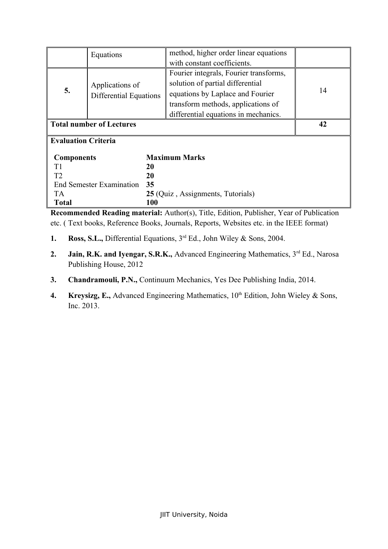|                                       | Equations                                 | method, higher order linear equations  |    |  |  |
|---------------------------------------|-------------------------------------------|----------------------------------------|----|--|--|
|                                       |                                           | with constant coefficients.            |    |  |  |
|                                       |                                           | Fourier integrals, Fourier transforms, |    |  |  |
|                                       | Applications of                           | solution of partial differential       |    |  |  |
| 5.                                    | Differential Equations                    | equations by Laplace and Fourier       | 14 |  |  |
|                                       |                                           | transform methods, applications of     |    |  |  |
|                                       |                                           | differential equations in mechanics.   |    |  |  |
| <b>Total number of Lectures</b><br>42 |                                           |                                        |    |  |  |
|                                       | <b>Evaluation Criteria</b>                |                                        |    |  |  |
|                                       | <b>Maximum Marks</b><br><b>Components</b> |                                        |    |  |  |
| T1                                    |                                           | 20                                     |    |  |  |
| T <sub>2</sub>                        | 20                                        |                                        |    |  |  |
|                                       | 35<br><b>End Semester Examination</b>     |                                        |    |  |  |
| TA.                                   | 25 (Quiz, Assignments, Tutorials)         |                                        |    |  |  |
| <b>Total</b>                          |                                           | 100                                    |    |  |  |

**Recommended Reading material:** Author(s), Title, Edition, Publisher, Year of Publication etc. ( Text books, Reference Books, Journals, Reports, Websites etc. in the IEEE format)

- **1. Ross, S.L.,** Differential Equations,  $3^{rd}$  Ed., John Wiley & Sons, 2004.
- 2. **Jain, R.K. and Iyengar, S.R.K.,** Advanced Engineering Mathematics, 3<sup>rd</sup> Ed., Narosa Publishing House, 2012
- **3. Chandramouli, P.N.,** Continuum Mechanics, Yes Dee Publishing India, 2014.
- **4. Kreysizg, E.,** Advanced Engineering Mathematics, 10<sup>th</sup> Edition, John Wieley & Sons, Inc. 2013.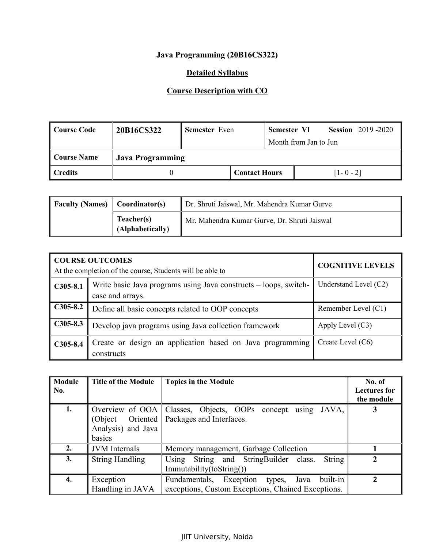## **Java Programming (20B16CS322)**

## **Detailed Syllabus**

## **Course Description with CO**

| <sup>'</sup> Course Code | 20B16CS322              | <b>Semester</b> Even |  | Semester VI          |                       |               | <b>Session</b> 2019-2020 |
|--------------------------|-------------------------|----------------------|--|----------------------|-----------------------|---------------|--------------------------|
|                          |                         |                      |  |                      | Month from Jan to Jun |               |                          |
| Course Name              | <b>Java Programming</b> |                      |  |                      |                       |               |                          |
| <b>Credits</b>           |                         |                      |  | <b>Contact Hours</b> |                       | $[1 - 0 - 2]$ |                          |

| <b>Faculty (Names)</b> $\mathbb{C}$ Coordinator(s) |                                | Dr. Shruti Jaiswal, Mr. Mahendra Kumar Gurve |
|----------------------------------------------------|--------------------------------|----------------------------------------------|
|                                                    | Teacher(s)<br>(Alphabetically) | Mr. Mahendra Kumar Gurve, Dr. Shruti Jaiswal |

|            | <b>COURSE OUTCOMES</b><br>At the completion of the course, Students will be able to  | <b>COGNITIVE LEVELS</b> |
|------------|--------------------------------------------------------------------------------------|-------------------------|
| $C305-8.1$ | Write basic Java programs using Java constructs – loops, switch-<br>case and arrays. | Understand Level $(C2)$ |
| $C305-8.2$ | Define all basic concepts related to OOP concepts                                    | Remember Level (C1)     |
| $C305-8.3$ | Develop java programs using Java collection framework                                | Apply Level $(C3)$      |
| $C305-8.4$ | Create or design an application based on Java programming<br>constructs              | Create Level (C6)       |

| <b>Module</b><br>No. | <b>Title of the Module</b>               | <b>Topics in the Module</b>                                                                           | No. of<br>Lectures for<br>the module |
|----------------------|------------------------------------------|-------------------------------------------------------------------------------------------------------|--------------------------------------|
| 1.                   | (Object)<br>Analysis) and Java<br>basics | Overview of OOA Classes, Objects, OOPs concept using JAVA,<br>Oriented   Packages and Interfaces.     |                                      |
| 2.                   | <b>JVM</b> Internals                     | Memory management, Garbage Collection                                                                 |                                      |
| 3.                   | <b>String Handling</b>                   | String<br>Using String and StringBuilder class.<br>Immutability(toString()                            |                                      |
| 4.                   | Exception<br>Handling in JAVA            | built-in<br>Fundamentals, Exception types, Java<br>exceptions, Custom Exceptions, Chained Exceptions. | $\mathcal{P}$                        |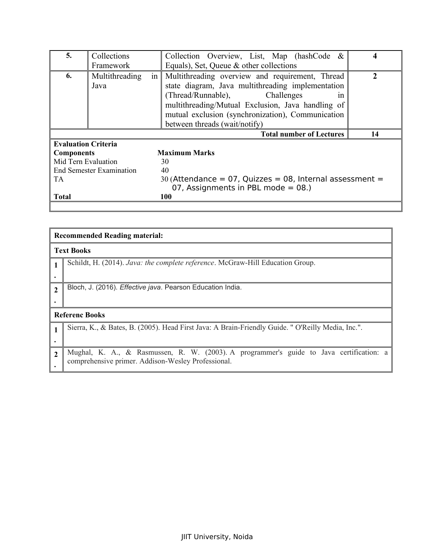| 5.                                    | Collections            |                                                                                                                                                                                                                                                                                                 | Collection Overview, List, Map (hashCode $\&$                                                        |  |  |
|---------------------------------------|------------------------|-------------------------------------------------------------------------------------------------------------------------------------------------------------------------------------------------------------------------------------------------------------------------------------------------|------------------------------------------------------------------------------------------------------|--|--|
|                                       | Framework              |                                                                                                                                                                                                                                                                                                 | Equals), Set, Queue & other collections                                                              |  |  |
| 6.                                    | Multithreading<br>Java | Multithreading overview and requirement, Thread<br>1n<br>state diagram, Java multithreading implementation<br>(Thread/Runnable),<br>Challenges<br>1n<br>multithreading/Mutual Exclusion, Java handling of<br>mutual exclusion (synchronization), Communication<br>between threads (wait/notify) |                                                                                                      |  |  |
| <b>Total number of Lectures</b><br>14 |                        |                                                                                                                                                                                                                                                                                                 |                                                                                                      |  |  |
| <b>Evaluation Criteria</b>            |                        |                                                                                                                                                                                                                                                                                                 |                                                                                                      |  |  |
| <b>Components</b>                     |                        |                                                                                                                                                                                                                                                                                                 | <b>Maximum Marks</b>                                                                                 |  |  |
| Mid Tern Evaluation                   |                        |                                                                                                                                                                                                                                                                                                 | 30                                                                                                   |  |  |
| <b>End Semester Examination</b>       |                        |                                                                                                                                                                                                                                                                                                 |                                                                                                      |  |  |
|                                       |                        |                                                                                                                                                                                                                                                                                                 | 40                                                                                                   |  |  |
| TA                                    |                        |                                                                                                                                                                                                                                                                                                 | 30 (Attendance = $07$ , Quizzes = 08, Internal assessment =<br>07, Assignments in PBL mode = $08$ .) |  |  |
| <b>Total</b>                          |                        |                                                                                                                                                                                                                                                                                                 | <b>100</b>                                                                                           |  |  |

|                | <b>Recommended Reading material:</b>                                                                                                          |  |  |  |
|----------------|-----------------------------------------------------------------------------------------------------------------------------------------------|--|--|--|
|                | <b>Text Books</b>                                                                                                                             |  |  |  |
|                | Schildt, H. (2014). Java: the complete reference. McGraw-Hill Education Group.                                                                |  |  |  |
|                |                                                                                                                                               |  |  |  |
| $\mathcal{L}$  | Bloch, J. (2016). Effective java. Pearson Education India.                                                                                    |  |  |  |
|                |                                                                                                                                               |  |  |  |
|                | <b>Referenc Books</b>                                                                                                                         |  |  |  |
|                | Sierra, K., & Bates, B. (2005). Head First Java: A Brain-Friendly Guide. "O'Reilly Media, Inc.".                                              |  |  |  |
|                |                                                                                                                                               |  |  |  |
| $\overline{2}$ | Mughal, K. A., & Rasmussen, R. W. (2003). A programmer's guide to Java certification: a<br>comprehensive primer. Addison-Wesley Professional. |  |  |  |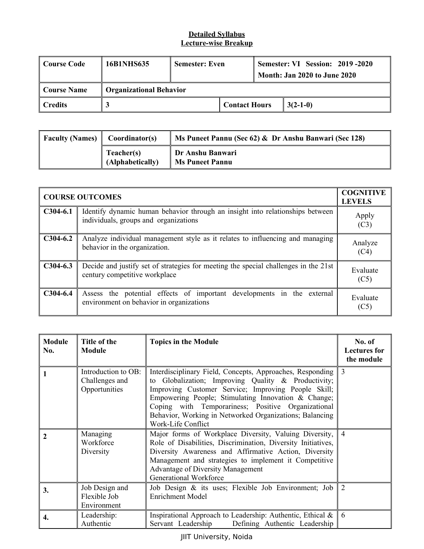| Course Code    | 16B1NHS635                     | <b>Semester: Even</b> |                      | Semester: VI Session: 2019-2020<br><b>Month: Jan 2020 to June 2020</b> |
|----------------|--------------------------------|-----------------------|----------------------|------------------------------------------------------------------------|
| Course Name    | <b>Organizational Behavior</b> |                       |                      |                                                                        |
| $\mid$ Credits |                                |                       | <b>Contact Hours</b> | $3(2-1-0)$                                                             |

| <b>Faculty (Names)</b> | Coordinator(s)                 | $\parallel$ Ms Puneet Pannu (Sec 62) & Dr Anshu Banwari (Sec 128) |
|------------------------|--------------------------------|-------------------------------------------------------------------|
|                        | Teacher(s)<br>(Alphabetically) | Dr Anshu Banwari<br><b>Ms Puneet Pannu</b>                        |

| <b>COURSE OUTCOMES</b> | <b>COGNITIVE</b><br><b>LEVELS</b>                                                                                      |                  |
|------------------------|------------------------------------------------------------------------------------------------------------------------|------------------|
| $C304-6.1$             | Identify dynamic human behavior through an insight into relationships between<br>individuals, groups and organizations | Apply<br>(C3)    |
| $C304-6.2$             | Analyze individual management style as it relates to influencing and managing<br>behavior in the organization.         | Analyze<br>(C4)  |
| $C304-6.3$             | Decide and justify set of strategies for meeting the special challenges in the 21st<br>century competitive workplace   | Evaluate<br>(C5) |
| $C304-6.4$             | Assess the potential effects of important developments in the external<br>environment on behavior in organizations     | Evaluate<br>(C5) |

| <b>Module</b><br>No. | Title of the<br><b>Module</b>                          | <b>Topics in the Module</b>                                                                                                                                                                                                                                                                                                                                           | No. of<br><b>Lectures</b> for<br>the module |
|----------------------|--------------------------------------------------------|-----------------------------------------------------------------------------------------------------------------------------------------------------------------------------------------------------------------------------------------------------------------------------------------------------------------------------------------------------------------------|---------------------------------------------|
|                      | Introduction to OB:<br>Challenges and<br>Opportunities | Interdisciplinary Field, Concepts, Approaches, Responding<br>to Globalization; Improving Quality & Productivity;<br>Improving Customer Service; Improving People Skill;<br>Empowering People; Stimulating Innovation & Change;<br>Coping with Temporariness; Positive Organizational<br>Behavior, Working in Networked Organizations; Balancing<br>Work-Life Conflict | 3                                           |
| $\mathbf{2}$         | Managing<br>Workforce<br>Diversity                     | Major forms of Workplace Diversity, Valuing Diversity,<br>Role of Disabilities, Discrimination, Diversity Initiatives,<br>Diversity Awareness and Affirmative Action, Diversity<br>Management and strategies to implement it Competitive<br><b>Advantage of Diversity Management</b><br><b>Generational Workforce</b>                                                 | $\overline{4}$                              |
| 3.                   | Job Design and<br>Flexible Job<br>Environment          | Job Design & its uses; Flexible Job Environment; Job<br><b>Enrichment Model</b>                                                                                                                                                                                                                                                                                       | 2                                           |
| 4.                   | Leadership:<br>Authentic                               | Inspirational Approach to Leadership: Authentic, Ethical &<br>Servant Leadership<br>Defining Authentic Leadership                                                                                                                                                                                                                                                     | -6                                          |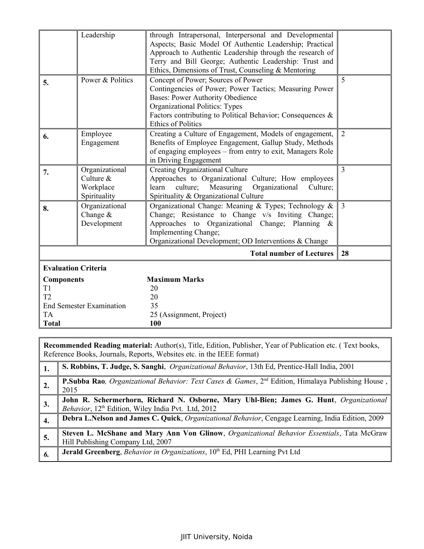|                            | Leadership                                                 | through Intrapersonal, Interpersonal and Developmental<br>Aspects; Basic Model Of Authentic Leadership; Practical<br>Approach to Authentic Leadership through the research of<br>Terry and Bill George; Authentic Leadership: Trust and<br>Ethics, Dimensions of Trust, Counseling & Mentoring |                |
|----------------------------|------------------------------------------------------------|------------------------------------------------------------------------------------------------------------------------------------------------------------------------------------------------------------------------------------------------------------------------------------------------|----------------|
| 5.                         | Power & Politics                                           | Concept of Power; Sources of Power<br>Contingencies of Power; Power Tactics; Measuring Power<br><b>Bases: Power Authority Obedience</b><br>Organizational Politics: Types<br>Factors contributing to Political Behavior; Consequences &<br><b>Ethics of Politics</b>                           | 5              |
| 6.                         | Employee<br>Engagement                                     | Creating a Culture of Engagement, Models of engagement,<br>Benefits of Employee Engagement, Gallup Study, Methods<br>of engaging employees - from entry to exit, Managers Role<br>in Driving Engagement                                                                                        | 2              |
| 7.                         | Organizational<br>Culture $&$<br>Workplace<br>Spirituality | Creating Organizational Culture<br>Approaches to Organizational Culture; How employees<br>culture;<br>Measuring<br>Organizational<br>learn<br>Culture;<br>Spirituality & Organizational Culture                                                                                                | $\overline{3}$ |
| 8.                         | Organizational<br>Change $&$<br>Development                | Organizational Change: Meaning & Types; Technology &<br>Change; Resistance to Change v/s Inviting Change;<br>Approaches to Organizational Change; Planning &<br>Implementing Change;<br>Organizational Development; OD Interventions & Change                                                  | 3              |
|                            |                                                            | <b>Total number of Lectures</b>                                                                                                                                                                                                                                                                | 28             |
| <b>Evaluation Criteria</b> |                                                            |                                                                                                                                                                                                                                                                                                |                |
| <b>Components</b>          |                                                            | <b>Maximum Marks</b>                                                                                                                                                                                                                                                                           |                |
| T1<br>T <sub>2</sub>       |                                                            | 20<br>20                                                                                                                                                                                                                                                                                       |                |
|                            | <b>End Semester Examination</b>                            | 35                                                                                                                                                                                                                                                                                             |                |
| <b>TA</b>                  |                                                            | 25 (Assignment, Project)                                                                                                                                                                                                                                                                       |                |
| <b>Total</b>               |                                                            | 100                                                                                                                                                                                                                                                                                            |                |

|    | Recommended Reading material: Author(s), Title, Edition, Publisher, Year of Publication etc. (Text books,<br>Reference Books, Journals, Reports, Websites etc. in the IEEE format) |  |  |  |
|----|------------------------------------------------------------------------------------------------------------------------------------------------------------------------------------|--|--|--|
|    | S. Robbins, T. Judge, S. Sanghi, <i>Organizational Behavior</i> , 13th Ed, Prentice-Hall India, 2001                                                                               |  |  |  |
| 2. | P.Subba Rao, Organizational Behavior: Text Cases & Games, 2 <sup>nd</sup> Edition, Himalaya Publishing House,<br>2015                                                              |  |  |  |
| 3. | John R. Schermerhorn, Richard N. Osborne, Mary Uhl-Bien; James G. Hunt, Organizational<br><i>Behavior</i> , 12 <sup>th</sup> Edition, Wiley India Pvt. Ltd, 2012                   |  |  |  |
| 4. | Debra L.Nelson and James C. Quick, <i>Organizational Behavior</i> , Cengage Learning, India Edition, 2009                                                                          |  |  |  |
| 5. | Steven L. McShane and Mary Ann Von Glinow, Organizational Behavior Essentials, Tata McGraw<br>Hill Publishing Company Ltd, 2007                                                    |  |  |  |
| 6. | Jerald Greenberg, Behavior in Organizations, 10th Ed, PHI Learning Pvt Ltd                                                                                                         |  |  |  |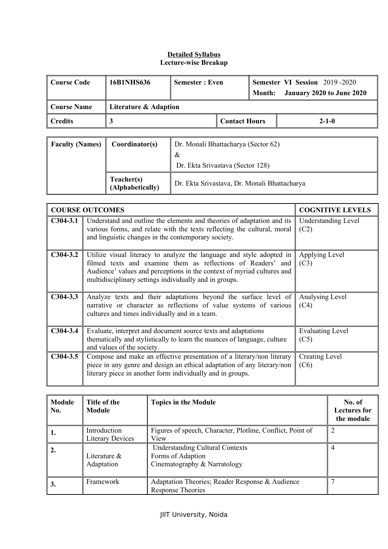| ∣ Course Code                        | 16B1NHS636 | <b>Semester: Even</b> |  | Month:      | <b>Semester VI Session 2019-2020</b><br>January 2020 to June 2020 |
|--------------------------------------|------------|-----------------------|--|-------------|-------------------------------------------------------------------|
| Course Name<br>Literature & Adaption |            |                       |  |             |                                                                   |
| Credits                              |            | <b>Contact Hours</b>  |  | $2 - 1 - 0$ |                                                                   |

| <b>Faculty (Names)</b> | Coordinator(s)                 | Dr. Monali Bhattacharya (Sector 62)<br>&<br>Dr. Ekta Srivastava (Sector 128) |
|------------------------|--------------------------------|------------------------------------------------------------------------------|
|                        | Teacher(s)<br>(Alphabetically) | Dr. Ekta Srivastava, Dr. Monali Bhattacharya                                 |

|            | <b>COURSE OUTCOMES</b>                                                                                                                                                                                                                                                   | <b>COGNITIVE LEVELS</b>            |
|------------|--------------------------------------------------------------------------------------------------------------------------------------------------------------------------------------------------------------------------------------------------------------------------|------------------------------------|
| $C304-3.1$ | Understand and outline the elements and theories of adaptation and its<br>various forms, and relate with the texts reflecting the cultural, moral<br>and linguistic changes in the contemporary society.                                                                 | <b>Understanding Level</b><br>(C2) |
| $C304-3.2$ | Utilize visual literacy to analyze the language and style adopted in<br>filmed texts and examine them as reflections of Readers' and<br>Audience' values and perceptions in the context of myriad cultures and<br>multidisciplinary settings individually and in groups. | Applying Level<br>(C3)             |
| $C304-3.3$ | Analyze texts and their adaptations beyond the surface level of<br>narrative or character as reflections of value systems of various<br>cultures and times individually and in a team.                                                                                   | Analysing Level<br>(C4)            |
| $C304-3.4$ | Evaluate, interpret and document source texts and adaptations<br>thematically and stylistically to learn the nuances of language, culture<br>and values of the society.                                                                                                  | <b>Evaluating Level</b><br>(C5)    |
| $C304-3.5$ | Compose and make an effective presentation of a literary/non literary<br>piece in any genre and design an ethical adaptation of any literary/non<br>literary piece in another form individually and in groups.                                                           | Creating Level<br>(C6)             |

| <b>Module</b><br>No. | Title of the<br><b>Module</b>           | <b>Topics in the Module</b>                                                                 | No. of<br><b>Lectures for</b><br>the module |
|----------------------|-----------------------------------------|---------------------------------------------------------------------------------------------|---------------------------------------------|
| 1.                   | Introduction<br><b>Literary Devices</b> | Figures of speech, Character, Plotline, Conflict, Point of<br>View                          |                                             |
| 2.                   | Literature $\&$<br>Adaptation           | <b>Understanding Cultural Contexts</b><br>Forms of Adaption<br>Cinematography & Narratology | 4                                           |
| 3.                   | Framework                               | Adaptation Theories; Reader Response & Audience<br><b>Response Theories</b>                 |                                             |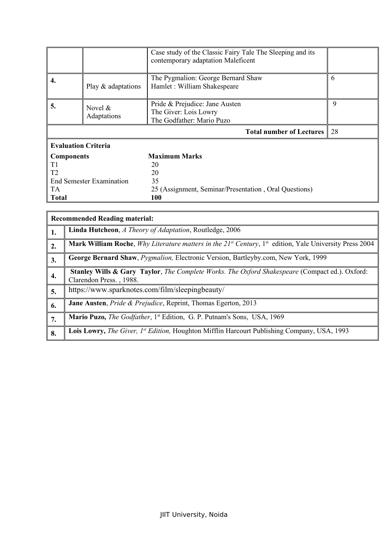|                                 | Case study of the Classic Fairy Tale The Sleeping and its<br>contemporary adaptation Maleficent |                                                                                      |   |  |  |  |
|---------------------------------|-------------------------------------------------------------------------------------------------|--------------------------------------------------------------------------------------|---|--|--|--|
| 4.                              | The Pygmalion: George Bernard Shaw<br>Hamlet: William Shakespeare<br>Play & adaptations         |                                                                                      |   |  |  |  |
| 5.                              | Novel $\&$<br>Adaptations                                                                       | Pride & Prejudice: Jane Austen<br>The Giver: Lois Lowry<br>The Godfather: Mario Puzo | 9 |  |  |  |
|                                 | 28<br><b>Total number of Lectures</b>                                                           |                                                                                      |   |  |  |  |
| <b>Evaluation Criteria</b>      |                                                                                                 |                                                                                      |   |  |  |  |
| <b>Components</b>               |                                                                                                 | <b>Maximum Marks</b>                                                                 |   |  |  |  |
| T1                              |                                                                                                 | 20                                                                                   |   |  |  |  |
| T2                              |                                                                                                 | 20                                                                                   |   |  |  |  |
| <b>End Semester Examination</b> |                                                                                                 | 35                                                                                   |   |  |  |  |
| <b>TA</b>                       |                                                                                                 | 25 (Assignment, Seminar/Presentation, Oral Questions)                                |   |  |  |  |
| <b>Total</b>                    |                                                                                                 | 100                                                                                  |   |  |  |  |

| <b>Recommended Reading material:</b> |                                                                                                                                              |  |  |  |
|--------------------------------------|----------------------------------------------------------------------------------------------------------------------------------------------|--|--|--|
| 1.                                   | <b>Linda Hutcheon</b> , <i>A Theory of Adaptation</i> , Routledge, 2006                                                                      |  |  |  |
| 2.                                   | <b>Mark William Roche</b> , <i>Why Literature matters in the <math>21^{st}</math> Century</i> , $1^{st}$ edition, Yale University Press 2004 |  |  |  |
| 3.                                   | George Bernard Shaw, <i>Pygmalion</i> , Electronic Version, Bartleyby.com, New York, 1999                                                    |  |  |  |
| 4.                                   | <b>Stanley Wills &amp; Gary Taylor</b> , <i>The Complete Works. The Oxford Shakespeare</i> (Compact ed.). Oxford:<br>Clarendon Press., 1988. |  |  |  |
| 5.                                   | https://www.sparknotes.com/film/sleepingbeauty/                                                                                              |  |  |  |
| 6.                                   | <b>Jane Austen, Pride &amp; Prejudice, Reprint, Thomas Egerton, 2013</b>                                                                     |  |  |  |
| 7.                                   | <b>Mario Puzo,</b> The Godfather, 1 <sup>st</sup> Edition, G. P. Putnam's Sons, USA, 1969                                                    |  |  |  |
| 8.                                   | Lois Lowry, The Giver, 1st Edition, Houghton Mifflin Harcourt Publishing Company, USA, 1993                                                  |  |  |  |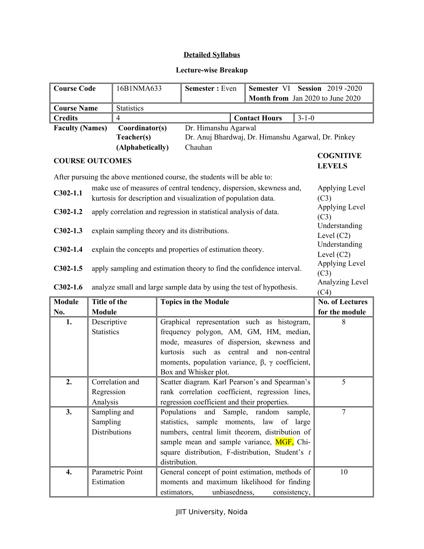# **Lecture-wise Breakup**

| <b>Course Code</b>                      |                                                                                                                                       | 16B1NMA633                                     |                                  | Semester: Even                                                           |                                 | Semester VI Session 2019-2020 |                                   |
|-----------------------------------------|---------------------------------------------------------------------------------------------------------------------------------------|------------------------------------------------|----------------------------------|--------------------------------------------------------------------------|---------------------------------|-------------------------------|-----------------------------------|
|                                         |                                                                                                                                       |                                                | Month from Jan 2020 to June 2020 |                                                                          |                                 |                               |                                   |
| <b>Course Name</b><br><b>Statistics</b> |                                                                                                                                       |                                                |                                  |                                                                          |                                 |                               |                                   |
| <b>Credits</b><br>$\overline{4}$        |                                                                                                                                       |                                                |                                  |                                                                          | <b>Contact Hours</b>            | $3 - 1 - 0$                   |                                   |
| <b>Faculty (Names)</b>                  |                                                                                                                                       | Coordinator(s)                                 |                                  | Dr. Himanshu Agarwal                                                     |                                 |                               |                                   |
|                                         |                                                                                                                                       | Teacher(s)                                     |                                  | Dr. Anuj Bhardwaj, Dr. Himanshu Agarwal, Dr. Pinkey                      |                                 |                               |                                   |
|                                         |                                                                                                                                       | (Alphabetically)                               |                                  | Chauhan                                                                  |                                 |                               |                                   |
| <b>COURSE OUTCOMES</b>                  |                                                                                                                                       |                                                |                                  |                                                                          |                                 |                               | <b>COGNITIVE</b><br><b>LEVELS</b> |
|                                         |                                                                                                                                       |                                                |                                  | After pursuing the above mentioned course, the students will be able to: |                                 |                               |                                   |
| $C302-1.1$                              | make use of measures of central tendency, dispersion, skewness and,<br>kurtosis for description and visualization of population data. |                                                |                                  |                                                                          |                                 | Applying Level<br>(C3)        |                                   |
| $C302-1.2$                              |                                                                                                                                       |                                                |                                  | apply correlation and regression in statistical analysis of data.        |                                 |                               | Applying Level<br>(C3)            |
| $C302-1.3$                              |                                                                                                                                       | explain sampling theory and its distributions. |                                  |                                                                          |                                 |                               | Understanding<br>Level $(C2)$     |
| $C302-1.4$                              | Understanding<br>explain the concepts and properties of estimation theory.                                                            |                                                |                                  |                                                                          |                                 |                               | Level $(C2)$                      |
| $C302-1.5$                              | Applying Level<br>apply sampling and estimation theory to find the confidence interval.<br>(C3)                                       |                                                |                                  |                                                                          |                                 |                               |                                   |
| $C302-1.6$                              | analyze small and large sample data by using the test of hypothesis.                                                                  |                                                |                                  |                                                                          |                                 | Analyzing Level<br>(C4)       |                                   |
| <b>Module</b>                           | Title of the                                                                                                                          |                                                | <b>Topics in the Module</b>      |                                                                          |                                 | <b>No. of Lectures</b>        |                                   |
| No.                                     | Module                                                                                                                                |                                                |                                  |                                                                          |                                 |                               | for the module                    |
| 1.                                      | Descriptive                                                                                                                           |                                                |                                  | Graphical representation such as histogram,                              |                                 |                               | 8                                 |
|                                         | <b>Statistics</b>                                                                                                                     |                                                |                                  | frequency polygon, AM, GM, HM, median,                                   |                                 |                               |                                   |
|                                         |                                                                                                                                       |                                                |                                  | mode, measures of dispersion, skewness and                               |                                 |                               |                                   |
|                                         |                                                                                                                                       |                                                | kurtosis                         |                                                                          | such as central and non-central |                               |                                   |
|                                         |                                                                                                                                       |                                                |                                  | moments, population variance, $\beta$ , $\gamma$ coefficient,            |                                 |                               |                                   |
|                                         |                                                                                                                                       |                                                |                                  | Box and Whisker plot.                                                    |                                 |                               |                                   |
| 2.                                      |                                                                                                                                       | Correlation and                                |                                  | Scatter diagram. Karl Pearson's and Spearman's                           |                                 |                               | 5                                 |
|                                         | Regression                                                                                                                            |                                                |                                  | rank correlation coefficient, regression lines,                          |                                 |                               |                                   |
| 3.                                      | Analysis<br>regression coefficient and their properties.<br>Sampling and<br>Populations<br>Sample,                                    |                                                |                                  |                                                                          |                                 | $\overline{7}$                |                                   |
|                                         |                                                                                                                                       |                                                | statistics,                      | and<br>sample moments, law                                               | random<br>of                    | sample,<br>large              |                                   |
|                                         | Sampling<br><b>Distributions</b>                                                                                                      |                                                |                                  | numbers, central limit theorem, distribution of                          |                                 |                               |                                   |
|                                         |                                                                                                                                       |                                                |                                  | sample mean and sample variance, MGF, Chi-                               |                                 |                               |                                   |
|                                         |                                                                                                                                       |                                                |                                  | square distribution, F-distribution, Student's t                         |                                 |                               |                                   |
|                                         |                                                                                                                                       |                                                | distribution.                    |                                                                          |                                 |                               |                                   |
| 4.                                      |                                                                                                                                       | Parametric Point                               |                                  | General concept of point estimation, methods of                          |                                 |                               | 10                                |
|                                         | Estimation                                                                                                                            |                                                |                                  | moments and maximum likelihood for finding                               |                                 |                               |                                   |
|                                         |                                                                                                                                       |                                                | estimators,                      | unbiasedness,                                                            |                                 | consistency,                  |                                   |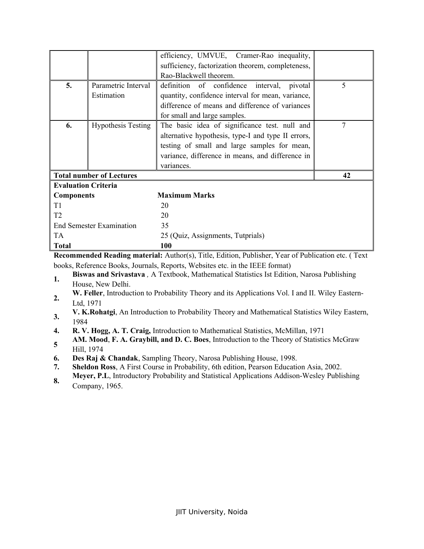|                                 |                           | efficiency, UMVUE, Cramer-Rao inequality,          |   |
|---------------------------------|---------------------------|----------------------------------------------------|---|
|                                 |                           | sufficiency, factorization theorem, completeness,  |   |
|                                 |                           | Rao-Blackwell theorem.                             |   |
| 5.                              | Parametric Interval       | definition of confidence interval,<br>pivotal      | 5 |
|                                 | Estimation                | quantity, confidence interval for mean, variance,  |   |
|                                 |                           | difference of means and difference of variances    |   |
|                                 |                           | for small and large samples.                       |   |
| 6.                              | <b>Hypothesis Testing</b> | The basic idea of significance test. null and      |   |
|                                 |                           | alternative hypothesis, type-I and type II errors, |   |
|                                 |                           | testing of small and large samples for mean,       |   |
|                                 |                           | variance, difference in means, and difference in   |   |
|                                 |                           | variances.                                         |   |
| <b>Total number of Lectures</b> | 42                        |                                                    |   |
| <b>Evaluation Criteria</b>      |                           |                                                    |   |
| <b>Components</b>               |                           | <b>Maximum Marks</b>                               |   |
| T <sub>1</sub>                  |                           | 20                                                 |   |
| T2                              |                           | 20                                                 |   |
| <b>End Semester Examination</b> |                           | 35                                                 |   |
| <b>TA</b>                       |                           | 25 (Quiz, Assignments, Tutprials)                  |   |
| <b>Total</b>                    |                           | 100                                                |   |

**Recommended Reading material:** Author(s), Title, Edition, Publisher, Year of Publication etc. ( Text books, Reference Books, Journals, Reports, Websites etc. in the IEEE format)

- 1. **Biswas and Srivastava** , A Textbook, Mathematical Statistics Ist Edition, Narosa Publishing House, New Delhi.
- **2. W. Feller**, Introduction to Probability Theory and its Applications Vol. I and II. Wiley Eastern-Ltd, 1971
- **3. V. K.Rohatgi**, An Introduction to Probability Theory and Mathematical Statistics Wiley Eastern, 1984
- **4. R. V. Hogg, A. T. Craig,** Introduction to Mathematical Statistics, McMillan, 1971
- **5 AM. Mood**, **F. A. Graybill, and D. C. Boes**, Introduction to the Theory of Statistics McGraw Hill, 1974
- **6. Des Raj & Chandak**, Sampling Theory, Narosa Publishing House, 1998.
- **7. Sheldon Ross**, A First Course in Probability, 6th edition, Pearson Education Asia, 2002.
- **8. Meyer, P.L**, Introductory Probability and Statistical Applications Addison-Wesley Publishing Company, 1965.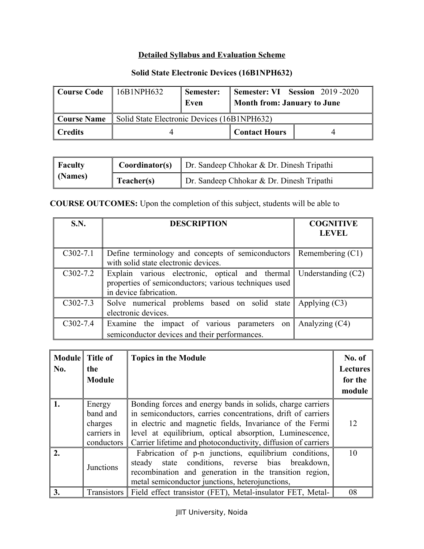# **Detailed Syllabus and Evaluation Scheme**

# **Solid State Electronic Devices (16B1NPH632)**

| Course Code | 16B1NPH632                                  | Semester: |                             | Semester: VI Session 2019 - 2020 |
|-------------|---------------------------------------------|-----------|-----------------------------|----------------------------------|
|             |                                             | Even      | Month from: January to June |                                  |
| Course Name | Solid State Electronic Devices (16B1NPH632) |           |                             |                                  |
| Credits     |                                             |           | <b>Contact Hours</b>        |                                  |

| $\parallel$ Faculty | Coordinator(s) | Dr. Sandeep Chhokar & Dr. Dinesh Tripathi |
|---------------------|----------------|-------------------------------------------|
| $\vert$ (Names)     | Teacher(s)     | Dr. Sandeep Chhokar & Dr. Dinesh Tripathi |

**COURSE OUTCOMES:** Upon the completion of this subject, students will be able to

| S.N.         | <b>DESCRIPTION</b>                                                                                                                 | <b>COGNITIVE</b><br><b>LEVEL</b> |
|--------------|------------------------------------------------------------------------------------------------------------------------------------|----------------------------------|
| $C302-7.1$   | Define terminology and concepts of semiconductors Remembering $(C1)$<br>with solid state electronic devices.                       |                                  |
| $C302 - 7.2$ | Explain various electronic, optical and thermal<br>properties of semiconductors; various techniques used<br>in device fabrication. | Understanding $(C2)$             |
| $C302 - 7.3$ | Solve numerical problems based on solid state<br>electronic devices.                                                               | Applying $(C3)$                  |
| $C302 - 7.4$ | Examine the impact of various parameters on<br>semiconductor devices and their performances.                                       | Analyzing $(C4)$                 |

|                | Module Title of | <b>Topics in the Module</b>                                                                                                                                                                                            | No. of          |
|----------------|-----------------|------------------------------------------------------------------------------------------------------------------------------------------------------------------------------------------------------------------------|-----------------|
| No.            | the             |                                                                                                                                                                                                                        | <b>Lectures</b> |
|                | <b>Module</b>   |                                                                                                                                                                                                                        | for the         |
|                |                 |                                                                                                                                                                                                                        | module          |
|                | Energy          | Bonding forces and energy bands in solids, charge carriers                                                                                                                                                             |                 |
|                | band and        | in semiconductors, carries concentrations, drift of carriers                                                                                                                                                           |                 |
|                | charges         | in electric and magnetic fields, Invariance of the Fermi                                                                                                                                                               | 12              |
|                | carriers in     | level at equilibrium, optical absorption, Luminescence,                                                                                                                                                                |                 |
|                | conductors      | Carrier lifetime and photoconductivity, diffusion of carriers                                                                                                                                                          |                 |
| $\mathfrak{D}$ | Junctions       | Fabrication of p-n junctions, equilibrium conditions,<br>steady state conditions, reverse bias breakdown,<br>recombination and generation in the transition region,<br>metal semiconductor junctions, heterojunctions, | 10              |
| 3.             |                 | Transistors   Field effect transistor (FET), Metal-insulator FET, Metal-                                                                                                                                               | 08              |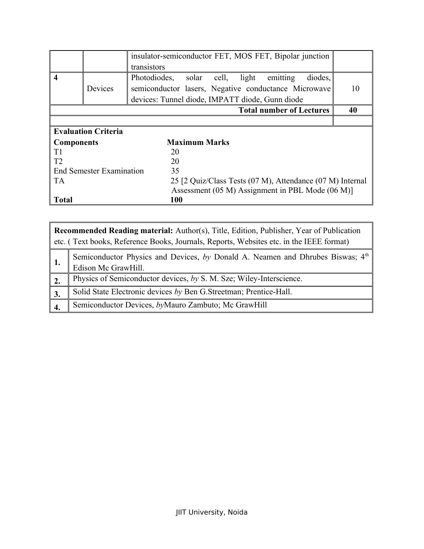|                         |                                 | insulator-semiconductor FET, MOS FET, Bipolar junction      |    |
|-------------------------|---------------------------------|-------------------------------------------------------------|----|
|                         |                                 | transistors                                                 |    |
| $\overline{\mathbf{4}}$ |                                 | Photodiodes, solar<br>light<br>diodes,<br>cell,<br>emitting |    |
|                         | Devices                         | semiconductor lasers, Negative conductance Microwave        | 10 |
|                         |                                 | devices: Tunnel diode, IMPATT diode, Gunn diode             |    |
|                         |                                 | <b>Total number of Lectures</b>                             | 40 |
|                         |                                 |                                                             |    |
|                         | <b>Evaluation Criteria</b>      |                                                             |    |
| <b>Components</b>       |                                 | <b>Maximum Marks</b>                                        |    |
| T1                      |                                 | 20                                                          |    |
| T <sub>2</sub>          |                                 | 20                                                          |    |
|                         | <b>End Semester Examination</b> | 35                                                          |    |
| <b>TA</b>               |                                 | 25 [2 Quiz/Class Tests (07 M), Attendance (07 M) Internal   |    |
|                         |                                 | Assessment (05 M) Assignment in PBL Mode (06 M)]            |    |
| <b>Total</b>            |                                 | 100                                                         |    |

|                  | <b>Recommended Reading material:</b> Author(s), Title, Edition, Publisher, Year of Publication<br>etc. (Text books, Reference Books, Journals, Reports, Websites etc. in the IEEE format) |  |  |
|------------------|-------------------------------------------------------------------------------------------------------------------------------------------------------------------------------------------|--|--|
|                  | Semiconductor Physics and Devices, by Donald A. Neamen and Dhrubes Biswas; 4 <sup>th</sup><br>Edison Mc GrawHill.                                                                         |  |  |
| $\overline{2}$ . | Physics of Semiconductor devices, by S. M. Sze; Wiley-Interscience.                                                                                                                       |  |  |
| 3.               | Solid State Electronic devices by Ben G. Streetman; Prentice-Hall.                                                                                                                        |  |  |
|                  | Semiconductor Devices, byMauro Zambuto; Mc GrawHill                                                                                                                                       |  |  |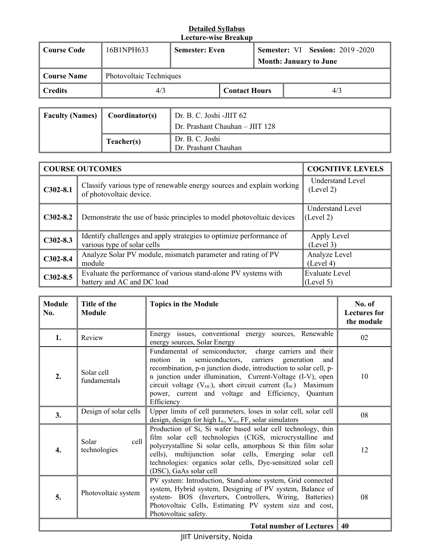| Course Code | 16B1NPH633              | <b>Semester: Even</b> |  |     | <b>Semester: VI Session: 2019 -2020</b><br><b>Month: January to June</b> |  |
|-------------|-------------------------|-----------------------|--|-----|--------------------------------------------------------------------------|--|
| Course Name | Photovoltaic Techniques |                       |  |     |                                                                          |  |
| Credits     | 4/3                     | <b>Contact Hours</b>  |  | 4/3 |                                                                          |  |

| Faculty (Names) | Coordinator(s) | Dr. B. C. Joshi -JIIT 62                |
|-----------------|----------------|-----------------------------------------|
|                 |                | Dr. Prashant Chauhan - JIIT 128         |
|                 | Teacher(s)     | Dr. B. C. Joshi<br>Dr. Prashant Chauhan |

|              | <b>COURSE OUTCOMES</b>                                                                             | <b>COGNITIVE LEVELS</b>              |
|--------------|----------------------------------------------------------------------------------------------------|--------------------------------------|
| $C302-8.1$   | Classify various type of renewable energy sources and explain working<br>of photovoltaic device.   | <b>Understand Level</b><br>(Level 2) |
| $C302 - 8.2$ | Demonstrate the use of basic principles to model photovoltaic devices                              | Understand Level<br>(Level 2)        |
| $C302-8.3$   | Identify challenges and apply strategies to optimize performance of<br>various type of solar cells | Apply Level<br>(Level 3)             |
| $C302-8.4$   | Analyze Solar PV module, mismatch parameter and rating of PV<br>module                             | Analyze Level<br>(Level 4)           |
| $C302-8.5$   | Evaluate the performance of various stand-alone PV systems with<br>battery and AC and DC load      | <b>Evaluate Level</b><br>(Level 5)   |

| <b>Module</b><br>No. | Title of the<br><b>Module</b> | <b>Topics in the Module</b>                                                                                                                                                                                                                                                                                                                                                                               | No. of<br><b>Lectures</b> for<br>the module |
|----------------------|-------------------------------|-----------------------------------------------------------------------------------------------------------------------------------------------------------------------------------------------------------------------------------------------------------------------------------------------------------------------------------------------------------------------------------------------------------|---------------------------------------------|
| 1.                   | Review                        | Energy issues, conventional energy sources, Renewable<br>energy sources, Solar Energy                                                                                                                                                                                                                                                                                                                     | 02                                          |
| 2.                   | Solar cell<br>fundamentals    | Fundamental of semiconductor, charge carriers and their<br>semiconductors, carriers generation<br>motion<br>$\sin$<br>and<br>recombination, p-n junction diode, introduction to solar cell, p-<br>n junction under illumination, Current-Voltage (I-V), open<br>circuit voltage $(V_{OC})$ , short circuit current $(I_{SC})$ Maximum<br>power, current and voltage and Efficiency, Quantum<br>Efficiency | 10                                          |
| 3.                   | Design of solar cells         | Upper limits of cell parameters, loses in solar cell, solar cell<br>design, design for high I <sub>sc</sub> , V <sub>oc</sub> , FF, solar simulators                                                                                                                                                                                                                                                      | 08                                          |
| 4.                   | Solar<br>cell<br>technologies | Production of Si, Si wafer based solar cell technology, thin<br>film solar cell technologies (CIGS, microcrystalline and<br>polycrystalline Si solar cells, amorphous Si thin film solar<br>cells), multijunction solar cells, Emerging solar cell<br>technologies: organics solar cells, Dye-sensitized solar cell<br>(DSC), GaAs solar cell                                                             | 12                                          |
| 5.                   | Photovoltaic system           | PV system: Introduction, Stand-alone system, Grid connected<br>system, Hybrid system, Designing of PV system, Balance of<br>system- BOS (Inverters, Controllers, Wiring, Batteries)<br>Photovoltaic Cells, Estimating PV system size and cost,<br>Photovoltaic safety.                                                                                                                                    | 08                                          |
|                      |                               | <b>Total number of Lectures</b>                                                                                                                                                                                                                                                                                                                                                                           | 40                                          |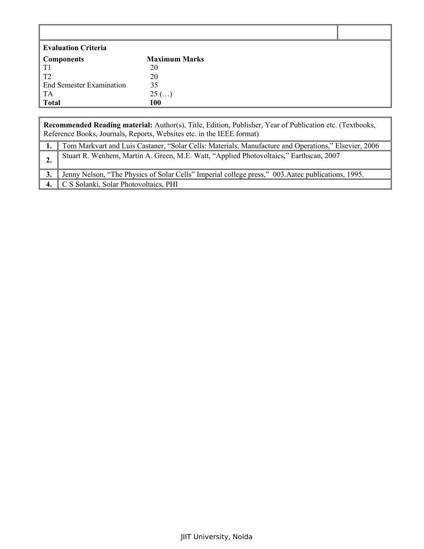| Evaluation Criteria                                         |                      |  |
|-------------------------------------------------------------|----------------------|--|
|                                                             | <b>Maximum Marks</b> |  |
| $\left\vert \frac{\text{Components}}{\text{T1}}\right\vert$ | 20                   |  |
| $\parallel$ T <sub>2</sub>                                  | 20                   |  |
| End Semester Examination                                    | 35                   |  |
| $\vert$ TA                                                  | $25$ ()              |  |
| $\vert$ Total                                               | <b>100</b>           |  |

|    | Recommended Reading material: Author(s), Title, Edition, Publisher, Year of Publication etc. (Textbooks,<br>Reference Books, Journals, Reports, Websites etc. in the IEEE format) |
|----|-----------------------------------------------------------------------------------------------------------------------------------------------------------------------------------|
|    | Tom Markvart and Luis Castaner, "Solar Cells: Materials, Manufacture and Operations," Elsevier, 2006                                                                              |
|    | Stuart R. Wenhem, Martin A. Green, M.E. Watt, "Applied Photovoltaics," Earthscan, 2007                                                                                            |
|    | Jenny Nelson, "The Physics of Solar Cells" Imperial college press," 003. Aatec publications, 1995.                                                                                |
| 4. | C S Solanki, Solar Photovoltaics, PHI                                                                                                                                             |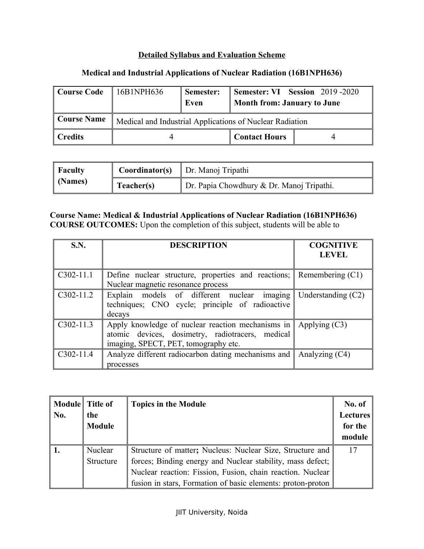## **Detailed Syllabus and Evaluation Scheme**

## **Medical and Industrial Applications of Nuclear Radiation (16B1NPH636)**

| <b>Course Code</b> | 16B1NPH636                                               | Semester:<br>Even | <b>Semester: VI</b> Session 2019-2020<br><b>Month from: January to June</b> |  |
|--------------------|----------------------------------------------------------|-------------------|-----------------------------------------------------------------------------|--|
| <b>Course Name</b> | Medical and Industrial Applications of Nuclear Radiation |                   |                                                                             |  |
| <b>Credits</b>     |                                                          |                   | <b>Contact Hours</b>                                                        |  |

| Faculty |            | <b>Coordinator(s)</b>   Dr. Manoj Tripathi |
|---------|------------|--------------------------------------------|
| (Names) | Teacher(s) | Dr. Papia Chowdhury & Dr. Manoj Tripathi.  |

## **Course Name: Medical & Industrial Applications of Nuclear Radiation (16B1NPH636) COURSE OUTCOMES:** Upon the completion of this subject, students will be able to

| <b>S.N.</b> | <b>DESCRIPTION</b>                                                                                                                            | <b>COGNITIVE</b><br><b>LEVEL</b> |
|-------------|-----------------------------------------------------------------------------------------------------------------------------------------------|----------------------------------|
| $C302-11.1$ | Define nuclear structure, properties and reactions; $\parallel$ Remembering (C1)<br>Nuclear magnetic resonance process                        |                                  |
| $C302-11.2$ | Explain models of different nuclear imaging<br>techniques; CNO cycle; principle of radioactive<br>decays                                      | Understanding $(C2)$             |
| $C302-11.3$ | Apply knowledge of nuclear reaction mechanisms in<br>atomic devices, dosimetry, radiotracers, medical<br>imaging, SPECT, PET, tomography etc. | Applying $(C3)$                  |
| $C302-11.4$ | Analyze different radiocarbon dating mechanisms and<br>processes                                                                              | Analyzing $(C4)$                 |

| No. | Module Title of<br>the<br><b>Module</b> | <b>Topics in the Module</b>                                 | No. of<br><b>Lectures</b><br>for the<br>module |
|-----|-----------------------------------------|-------------------------------------------------------------|------------------------------------------------|
|     | Nuclear                                 | Structure of matter; Nucleus: Nuclear Size, Structure and   | 17                                             |
|     | Structure                               | forces; Binding energy and Nuclear stability, mass defect;  |                                                |
|     |                                         | Nuclear reaction: Fission, Fusion, chain reaction. Nuclear  |                                                |
|     |                                         | fusion in stars, Formation of basic elements: proton-proton |                                                |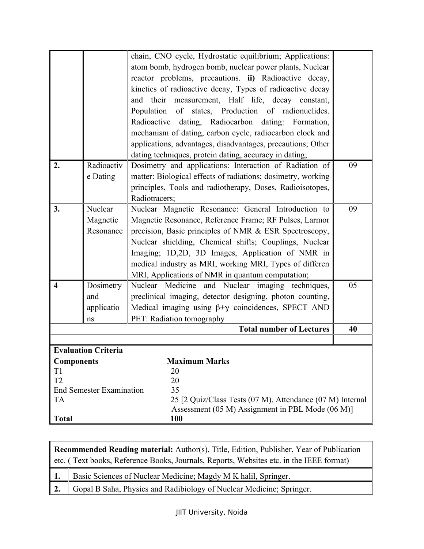|                     |                                 | chain, CNO cycle, Hydrostatic equilibrium; Applications:                                                      |    |
|---------------------|---------------------------------|---------------------------------------------------------------------------------------------------------------|----|
|                     |                                 | atom bomb, hydrogen bomb, nuclear power plants, Nuclear                                                       |    |
|                     |                                 | reactor problems, precautions. ii) Radioactive decay,                                                         |    |
|                     |                                 | kinetics of radioactive decay, Types of radioactive decay                                                     |    |
|                     |                                 | and their<br>measurement, Half life, decay constant,                                                          |    |
|                     |                                 | Population of states, Production of radionuclides.                                                            |    |
|                     |                                 | Radioactive dating, Radiocarbon dating: Formation,                                                            |    |
|                     |                                 | mechanism of dating, carbon cycle, radiocarbon clock and                                                      |    |
|                     |                                 | applications, advantages, disadvantages, precautions; Other                                                   |    |
|                     |                                 | dating techniques, protein dating, accuracy in dating;                                                        |    |
| 2.                  | Radioactiv                      | Dosimetry and applications: Interaction of Radiation of                                                       | 09 |
|                     | e Dating                        | matter: Biological effects of radiations; dosimetry, working                                                  |    |
|                     |                                 | principles, Tools and radiotherapy, Doses, Radioisotopes,                                                     |    |
|                     |                                 | Radiotracers;                                                                                                 |    |
| 3.                  | Nuclear                         | Nuclear Magnetic Resonance: General Introduction to                                                           | 09 |
|                     | Magnetic                        | Magnetic Resonance, Reference Frame; RF Pulses, Larmor                                                        |    |
|                     | Resonance                       | precision, Basic principles of NMR & ESR Spectroscopy,                                                        |    |
|                     |                                 | Nuclear shielding, Chemical shifts; Couplings, Nuclear                                                        |    |
|                     |                                 | Imaging; 1D,2D, 3D Images, Application of NMR in                                                              |    |
|                     |                                 | medical industry as MRI, working MRI, Types of differen                                                       |    |
|                     |                                 | MRI, Applications of NMR in quantum computation;                                                              |    |
| $\overline{\bf{4}}$ | Dosimetry                       | Nuclear Medicine and Nuclear imaging techniques,                                                              | 05 |
|                     | and                             | preclinical imaging, detector designing, photon counting,                                                     |    |
|                     | applicatio                      | Medical imaging using $\beta + \gamma$ coincidences, SPECT AND                                                |    |
|                     | ns                              | PET: Radiation tomography                                                                                     |    |
|                     |                                 | <b>Total number of Lectures</b>                                                                               | 40 |
|                     |                                 |                                                                                                               |    |
|                     | <b>Evaluation Criteria</b>      |                                                                                                               |    |
| <b>Components</b>   |                                 | <b>Maximum Marks</b>                                                                                          |    |
| T1                  |                                 | 20                                                                                                            |    |
| T <sub>2</sub>      |                                 | 20                                                                                                            |    |
|                     | <b>End Semester Examination</b> | 35                                                                                                            |    |
| <b>TA</b>           |                                 | 25 [2 Quiz/Class Tests (07 M), Attendance (07 M) Internal<br>Assessment (05 M) Assignment in PBL Mode (06 M)] |    |
| <b>Total</b>        |                                 | <b>100</b>                                                                                                    |    |
|                     |                                 |                                                                                                               |    |

**Recommended Reading material:** Author(s), Title, Edition, Publisher, Year of Publication etc. ( Text books, Reference Books, Journals, Reports, Websites etc. in the IEEE format) 1. Basic Sciences of Nuclear Medicine; Magdy M K halil, Springer. 2. Gopal B Saha, Physics and Radibiology of Nuclear Medicine; Springer.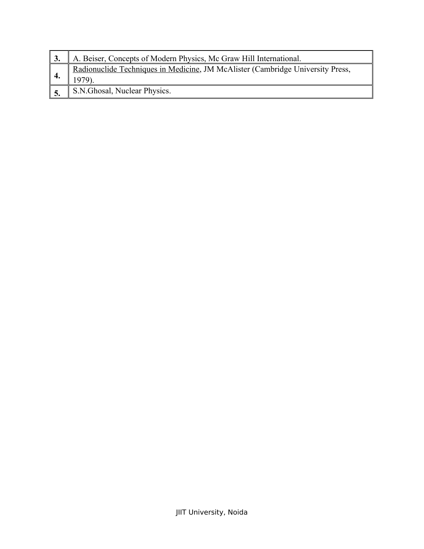|               | A. Beiser, Concepts of Modern Physics, Mc Graw Hill International.             |
|---------------|--------------------------------------------------------------------------------|
|               | Radionuclide Techniques in Medicine, JM McAlister (Cambridge University Press, |
| $^{\circ}$ 5. | S.N.Ghosal, Nuclear Physics.                                                   |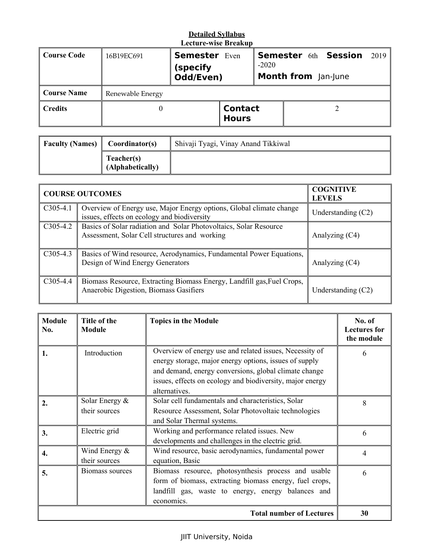|                 |                  | LUULUI U-WISU DI GARUP                        |                                |                                                                      |  |  |      |  |
|-----------------|------------------|-----------------------------------------------|--------------------------------|----------------------------------------------------------------------|--|--|------|--|
| Course Code     | 16B19EC691       | <b>Semester</b> Even<br>(specify<br>Odd/Even) |                                | <b>Semester 6th Session</b><br>$-2020$<br><b>Month from</b> Jan-June |  |  | 2019 |  |
| Course Name     | Renewable Energy |                                               |                                |                                                                      |  |  |      |  |
| $\vert$ Credits |                  |                                               | <b>Contact</b><br><b>Hours</b> |                                                                      |  |  |      |  |

| <b>Faculty (Names)</b> | Coordinator(s)                 | Shivaji Tyagi, Vinay Anand Tikkiwal |
|------------------------|--------------------------------|-------------------------------------|
|                        | Teacher(s)<br>(Alphabetically) |                                     |

|            | <b>COURSE OUTCOMES</b>                                                                                             | <b>COGNITIVE</b><br><b>LEVELS</b> |
|------------|--------------------------------------------------------------------------------------------------------------------|-----------------------------------|
| $C305-4.1$ | Overview of Energy use, Major Energy options, Global climate change<br>issues, effects on ecology and biodiversity | Understanding $(C2)$              |
| $C305-4.2$ | Basics of Solar radiation and Solar Photovoltaics, Solar Resource<br>Assessment, Solar Cell structures and working | Analyzing (C4)                    |
| $C305-4.3$ | Basics of Wind resource, Aerodynamics, Fundamental Power Equations,<br>Design of Wind Energy Generators            | Analyzing (C4)                    |
| $C305-4.4$ | Biomass Resource, Extracting Biomass Energy, Landfill gas, Fuel Crops,<br>Anaerobic Digestion, Biomass Gasifiers   | Understanding $(C2)$              |

| <b>Module</b><br>No. | Title of the<br><b>Module</b>      | <b>Topics in the Module</b>                                                                                                                                                        | No. of<br><b>Lectures for</b><br>the module |
|----------------------|------------------------------------|------------------------------------------------------------------------------------------------------------------------------------------------------------------------------------|---------------------------------------------|
| 1.                   | Introduction                       | Overview of energy use and related issues, Necessity of<br>energy storage, major energy options, issues of supply<br>and demand, energy conversions, global climate change         | 6                                           |
|                      |                                    | issues, effects on ecology and biodiversity, major energy<br>alternatives.                                                                                                         |                                             |
| 2.                   | Solar Energy $\&$<br>their sources | Solar cell fundamentals and characteristics, Solar<br>Resource Assessment, Solar Photovoltaic technologies<br>and Solar Thermal systems.                                           | 8                                           |
| 3.                   | Electric grid                      | Working and performance related issues. New<br>developments and challenges in the electric grid.                                                                                   | 6                                           |
| $\overline{4}$ .     | Wind Energy $\&$<br>their sources  | Wind resource, basic aerodynamics, fundamental power<br>equation, Basic                                                                                                            | 4                                           |
| 5.                   | Biomass sources                    | Biomass resource, photosynthesis process and usable<br>form of biomass, extracting biomass energy, fuel crops,<br>landfill gas, waste to energy, energy balances and<br>economics. | 6                                           |
|                      |                                    | <b>Total number of Lectures</b>                                                                                                                                                    | 30                                          |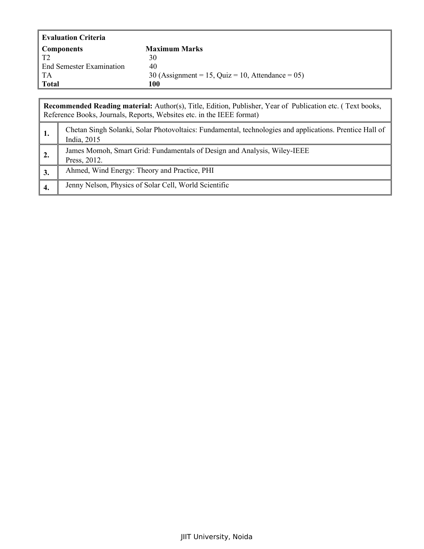| <b>Evaluation Criteria</b>      |                                                     |
|---------------------------------|-----------------------------------------------------|
| <b>Components</b>               | <b>Maximum Marks</b>                                |
| T2                              | 30                                                  |
| <b>End Semester Examination</b> | 40                                                  |
| TA                              | 30 (Assignment = 15, Quiz = 10, Attendance = $05$ ) |
| Total                           | 100                                                 |

|                | Recommended Reading material: Author(s), Title, Edition, Publisher, Year of Publication etc. (Text books,<br>Reference Books, Journals, Reports, Websites etc. in the IEEE format) |  |  |
|----------------|------------------------------------------------------------------------------------------------------------------------------------------------------------------------------------|--|--|
| -1.            | Chetan Singh Solanki, Solar Photovoltaics: Fundamental, technologies and applications. Prentice Hall of<br>India, 2015                                                             |  |  |
| $^{\prime}$ 2. | James Momoh, Smart Grid: Fundamentals of Design and Analysis, Wiley-IEEE<br>Press, 2012.                                                                                           |  |  |
| 3.             | Ahmed, Wind Energy: Theory and Practice, PHI                                                                                                                                       |  |  |
| 4.             | Jenny Nelson, Physics of Solar Cell, World Scientific                                                                                                                              |  |  |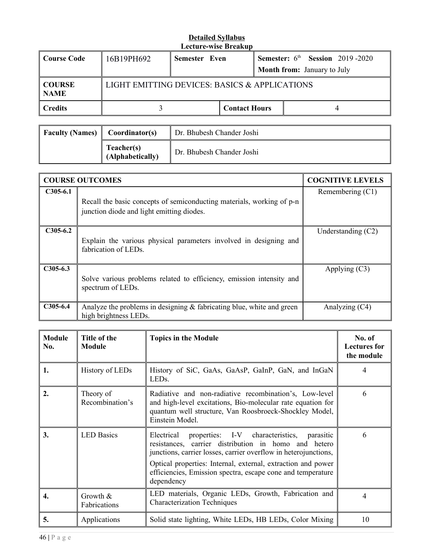| Course Code                        | 16B19PH692 | <b>Semester Even</b>                          |                      |  | <b>Semester:</b> $6th$ <b>Session</b> 2019-2020 |
|------------------------------------|------------|-----------------------------------------------|----------------------|--|-------------------------------------------------|
|                                    |            |                                               |                      |  | <b>Month from:</b> January to July              |
| $\vert$ COURSE<br>$\parallel$ NAME |            | LIGHT EMITTING DEVICES: BASICS & APPLICATIONS |                      |  |                                                 |
| Credits                            |            |                                               | <b>Contact Hours</b> |  |                                                 |

| <b>Faculty (Names)</b> | Coordinator(s)                 | Dr. Bhubesh Chander Joshi |
|------------------------|--------------------------------|---------------------------|
|                        | Teacher(s)<br>(Alphabetically) | Dr. Bhubesh Chander Joshi |

|            | <b>COURSE OUTCOMES</b>                                                                                             | <b>COGNITIVE LEVELS</b> |
|------------|--------------------------------------------------------------------------------------------------------------------|-------------------------|
| $C305-6.1$ | Recall the basic concepts of semiconducting materials, working of p-n<br>junction diode and light emitting diodes. | Remembering (C1)        |
| $C305-6.2$ | Explain the various physical parameters involved in designing and<br>fabrication of LEDs.                          | Understanding $(C2)$    |
| $C305-6.3$ | Solve various problems related to efficiency, emission intensity and<br>spectrum of LEDs.                          | Applying $(C3)$         |
| $C305-6.4$ | Analyze the problems in designing $\&$ fabricating blue, white and green<br>high brightness LEDs.                  | Analyzing (C4)          |

| <b>Module</b><br>No. | Title of the<br><b>Module</b> | <b>Topics in the Module</b>                                                                                                                                                                                                                                                                                                         | No. of<br><b>Lectures for</b><br>the module |
|----------------------|-------------------------------|-------------------------------------------------------------------------------------------------------------------------------------------------------------------------------------------------------------------------------------------------------------------------------------------------------------------------------------|---------------------------------------------|
| 1.                   | History of LEDs               | History of SiC, GaAs, GaAsP, GaInP, GaN, and InGaN<br>LED <sub>s</sub> .                                                                                                                                                                                                                                                            | 4                                           |
| $\overline{2}$ .     | Theory of<br>Recombination's  | Radiative and non-radiative recombination's, Low-level<br>and high-level excitations, Bio-molecular rate equation for<br>quantum well structure, Van Roosbroeck-Shockley Model,<br>Einstein Model.                                                                                                                                  | 6                                           |
| 3.                   | <b>LED Basics</b>             | properties: I-V characteristics,<br>Electrical<br>parasitic<br>resistances, carrier distribution in homo and hetero<br>junctions, carrier losses, carrier overflow in heterojunctions,<br>Optical properties: Internal, external, extraction and power<br>efficiencies, Emission spectra, escape cone and temperature<br>dependency | 6                                           |
| 4.                   | Growth $\&$<br>Fabrications   | LED materials, Organic LEDs, Growth, Fabrication and<br><b>Characterization Techniques</b>                                                                                                                                                                                                                                          | 4                                           |
| 5.                   | Applications                  | Solid state lighting, White LEDs, HB LEDs, Color Mixing                                                                                                                                                                                                                                                                             | 10                                          |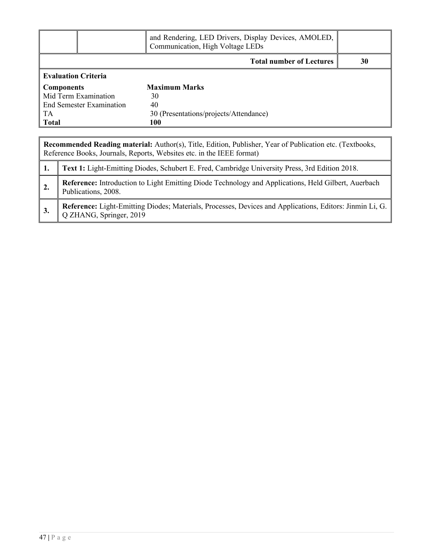|                                 | and Rendering, LED Drivers, Display Devices, AMOLED,<br>Communication, High Voltage LEDs |    |
|---------------------------------|------------------------------------------------------------------------------------------|----|
|                                 | <b>Total number of Lectures</b>                                                          | 30 |
| <b>Evaluation Criteria</b>      |                                                                                          |    |
| Components                      | <b>Maximum Marks</b>                                                                     |    |
| Mid Term Examination            | 30                                                                                       |    |
| <b>End Semester Examination</b> | 40                                                                                       |    |
| TA                              | 30 (Presentations/projects/Attendance)                                                   |    |
| <b>Total</b>                    | 100                                                                                      |    |

|                | Recommended Reading material: Author(s), Title, Edition, Publisher, Year of Publication etc. (Textbooks,<br>Reference Books, Journals, Reports, Websites etc. in the IEEE format) |  |  |
|----------------|-----------------------------------------------------------------------------------------------------------------------------------------------------------------------------------|--|--|
|                | Text 1: Light-Emitting Diodes, Schubert E. Fred, Cambridge University Press, 3rd Edition 2018.                                                                                    |  |  |
|                | Reference: Introduction to Light Emitting Diode Technology and Applications, Held Gilbert, Auerbach<br>Publications, 2008.                                                        |  |  |
| $\parallel$ 3. | Reference: Light-Emitting Diodes; Materials, Processes, Devices and Applications, Editors: Jinmin Li, G.<br>Q ZHANG, Springer, 2019                                               |  |  |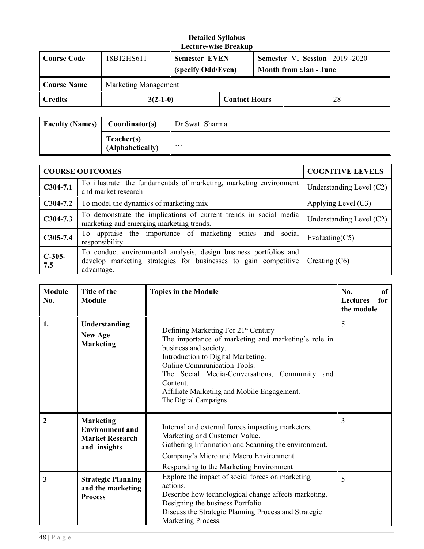| <b>Course Code</b> | 18B12HS611           | <b>Semester EVEN</b><br>(specify Odd/Even) |                      | <b>Semester VI Session 2019-2020</b><br><b>Month from :Jan - June</b> |
|--------------------|----------------------|--------------------------------------------|----------------------|-----------------------------------------------------------------------|
| <b>Course Name</b> | Marketing Management |                                            |                      |                                                                       |
| <b>Credits</b>     | $3(2-1-0)$           |                                            | <b>Contact Hours</b> | 28                                                                    |

| <b>Faculty (Names)</b> | Coordinator(s)                 | Dr Swati Sharma      |
|------------------------|--------------------------------|----------------------|
|                        | Teacher(s)<br>(Alphabetically) | $\ddot{\phantom{0}}$ |

| <b>COURSE OUTCOMES</b> |                                                                                                                                                    | <b>COGNITIVE LEVELS</b>    |
|------------------------|----------------------------------------------------------------------------------------------------------------------------------------------------|----------------------------|
| $C304-7.1$             | To illustrate the fundamentals of marketing, marketing environment<br>and market research                                                          | Understanding Level $(C2)$ |
| $C304-7.2$             | To model the dynamics of marketing mix                                                                                                             | Applying Level (C3)        |
| $C304-7.3$             | To demonstrate the implications of current trends in social media<br>marketing and emerging marketing trends.                                      | Understanding Level $(C2)$ |
| $C305-7.4$             | To appraise the importance of marketing ethics and social<br>responsibility                                                                        | Evaluating $(C5)$          |
| $C-305-$<br>7.5        | To conduct environmental analysis, design business portfolios and<br>develop marketing strategies for businesses to gain competitive<br>advantage. | Creating $(C6)$            |

| <b>Module</b><br>No. | Title of the<br><b>Module</b>                                                        | <b>Topics in the Module</b>                                                                                                                                                                                                                                                                                                                     | No.<br><sub>of</sub><br>for<br><b>Lectures</b><br>the module |
|----------------------|--------------------------------------------------------------------------------------|-------------------------------------------------------------------------------------------------------------------------------------------------------------------------------------------------------------------------------------------------------------------------------------------------------------------------------------------------|--------------------------------------------------------------|
| 1.                   | Understanding<br><b>New Age</b><br><b>Marketing</b>                                  | Defining Marketing For 21 <sup>st</sup> Century<br>The importance of marketing and marketing's role in<br>business and society.<br>Introduction to Digital Marketing.<br><b>Online Communication Tools.</b><br>The Social Media-Conversations, Community and<br>Content.<br>Affiliate Marketing and Mobile Engagement.<br>The Digital Campaigns | 5                                                            |
| 2                    | <b>Marketing</b><br><b>Environment and</b><br><b>Market Research</b><br>and insights | Internal and external forces impacting marketers.<br>Marketing and Customer Value.<br>Gathering Information and Scanning the environment.<br>Company's Micro and Macro Environment<br>Responding to the Marketing Environment                                                                                                                   | 3                                                            |
| 3                    | <b>Strategic Planning</b><br>and the marketing<br><b>Process</b>                     | Explore the impact of social forces on marketing<br>actions.<br>Describe how technological change affects marketing.<br>Designing the business Portfolio<br>Discuss the Strategic Planning Process and Strategic<br>Marketing Process.                                                                                                          | 5                                                            |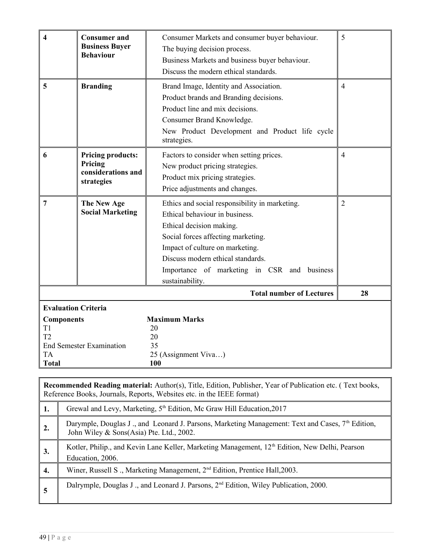| 4                                                                                                                                       | <b>Consumer and</b><br><b>Business Buyer</b><br><b>Behaviour</b>        | Consumer Markets and consumer buyer behaviour.<br>The buying decision process.<br>Business Markets and business buyer behaviour.<br>Discuss the modern ethical standards.                                                                                                                    | 5              |
|-----------------------------------------------------------------------------------------------------------------------------------------|-------------------------------------------------------------------------|----------------------------------------------------------------------------------------------------------------------------------------------------------------------------------------------------------------------------------------------------------------------------------------------|----------------|
| 5                                                                                                                                       | <b>Branding</b>                                                         | Brand Image, Identity and Association.<br>Product brands and Branding decisions.<br>Product line and mix decisions.<br>Consumer Brand Knowledge.<br>New Product Development and Product life cycle<br>strategies.                                                                            | $\overline{4}$ |
| 6                                                                                                                                       | <b>Pricing products:</b><br>Pricing<br>considerations and<br>strategies | Factors to consider when setting prices.<br>New product pricing strategies.<br>Product mix pricing strategies.<br>Price adjustments and changes.                                                                                                                                             | $\overline{4}$ |
| $\overline{7}$                                                                                                                          | The New Age<br><b>Social Marketing</b>                                  | Ethics and social responsibility in marketing.<br>Ethical behaviour in business.<br>Ethical decision making.<br>Social forces affecting marketing.<br>Impact of culture on marketing.<br>Discuss modern ethical standards.<br>Importance of marketing in CSR and business<br>sustainability. | $\overline{2}$ |
|                                                                                                                                         |                                                                         | <b>Total number of Lectures</b>                                                                                                                                                                                                                                                              | 28             |
| <b>Evaluation Criteria</b><br><b>Components</b><br>T1<br>T <sub>2</sub><br><b>End Semester Examination</b><br><b>TA</b><br><b>Total</b> |                                                                         | <b>Maximum Marks</b><br>20<br>20<br>35<br>25 (Assignment Viva)<br>100                                                                                                                                                                                                                        |                |

|                | <b>Recommended Reading material:</b> Author(s), Title, Edition, Publisher, Year of Publication etc. (Text books,<br>Reference Books, Journals, Reports, Websites etc. in the IEEE format) |  |  |
|----------------|-------------------------------------------------------------------------------------------------------------------------------------------------------------------------------------------|--|--|
| 1.             | Grewal and Levy, Marketing, 5 <sup>th</sup> Edition, Mc Graw Hill Education, 2017                                                                                                         |  |  |
| $\mathbf{2}$ . | Darymple, Douglas J., and Leonard J. Parsons, Marketing Management: Text and Cases, 7 <sup>th</sup> Edition,<br>John Wiley & Sons(Asia) Pte. Ltd., 2002.                                  |  |  |
| 3.             | Kotler, Philip., and Kevin Lane Keller, Marketing Management, 12 <sup>th</sup> Edition, New Delhi, Pearson<br>Education, 2006.                                                            |  |  |
| 4.             | Winer, Russell S., Marketing Management, 2 <sup>nd</sup> Edition, Prentice Hall, 2003.                                                                                                    |  |  |
| 5              | Dalrymple, Douglas J ., and Leonard J. Parsons, $2nd$ Edition, Wiley Publication, 2000.                                                                                                   |  |  |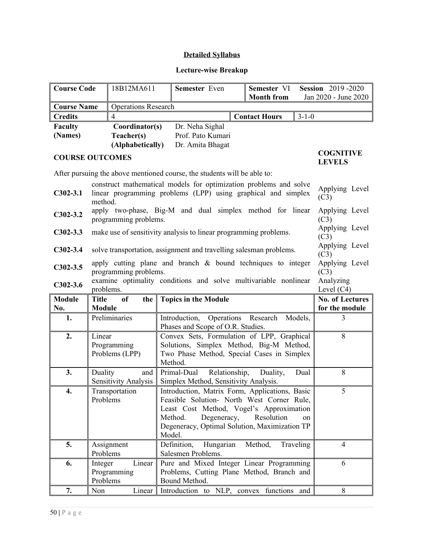# **Detailed Syllabus**

# **Lecture-wise Breakup**

| <b>Course Code</b> |                        | 18B12MA611                                                                                                         | Semester Even                                                                                                                      | Semester VI<br><b>Month from</b> |                                   | <b>Session</b> 2019-2020<br>Jan 2020 - June 2020 |
|--------------------|------------------------|--------------------------------------------------------------------------------------------------------------------|------------------------------------------------------------------------------------------------------------------------------------|----------------------------------|-----------------------------------|--------------------------------------------------|
| <b>Course Name</b> |                        | <b>Operations Research</b>                                                                                         |                                                                                                                                    |                                  |                                   |                                                  |
| <b>Credits</b>     |                        | $\overline{4}$                                                                                                     |                                                                                                                                    | <b>Contact Hours</b>             | $3 - 1 - 0$                       |                                                  |
| <b>Faculty</b>     |                        | Coordinator(s)                                                                                                     | Dr. Neha Sighal                                                                                                                    |                                  |                                   |                                                  |
| (Names)            |                        | Teacher(s)                                                                                                         | Prof. Pato Kumari                                                                                                                  |                                  |                                   |                                                  |
|                    |                        | (Alphabetically)                                                                                                   | Dr. Amita Bhagat                                                                                                                   |                                  |                                   |                                                  |
|                    | <b>COURSE OUTCOMES</b> |                                                                                                                    |                                                                                                                                    |                                  | <b>COGNITIVE</b><br><b>LEVELS</b> |                                                  |
|                    |                        |                                                                                                                    | After pursuing the above mentioned course, the students will be able to:                                                           |                                  |                                   |                                                  |
| $C302-3.1$         | method.                |                                                                                                                    | construct mathematical models for optimization problems and solve<br>linear programming problems (LPP) using graphical and simplex |                                  |                                   | Applying Level<br>(C3)                           |
| $C302-3.2$         |                        | programming problems.                                                                                              | apply two-phase, Big-M and dual simplex method for linear                                                                          |                                  |                                   | Applying Level<br>(C3)<br>Applying Level         |
| $C302-3.3$         |                        |                                                                                                                    | make use of sensitivity analysis to linear programming problems.                                                                   |                                  |                                   | (C3)                                             |
| $C302-3.4$         |                        |                                                                                                                    | solve transportation, assignment and travelling salesman problems.                                                                 |                                  |                                   | Applying Level<br>(C3)                           |
| $C302-3.5$         |                        | apply cutting plane and branch $\&$ bound techniques to integer<br>Applying Level<br>programming problems.<br>(C3) |                                                                                                                                    |                                  |                                   |                                                  |
| $C302-3.6$         |                        | examine optimality conditions and solve multivariable nonlinear<br>Analyzing<br>Level $(C4)$<br>problems.          |                                                                                                                                    |                                  |                                   |                                                  |
| <b>Module</b>      | <b>Title</b>           | <sub>of</sub><br>the                                                                                               | <b>Topics in the Module</b>                                                                                                        |                                  |                                   | <b>No. of Lectures</b>                           |
| No.<br>1.          | <b>Module</b>          | Preliminaries                                                                                                      | Introduction, Operations Research                                                                                                  |                                  | Models.                           | for the module<br>3                              |
|                    |                        |                                                                                                                    | Phases and Scope of O.R. Studies.                                                                                                  |                                  |                                   |                                                  |
| 2.                 | Linear                 |                                                                                                                    | Convex Sets, Formulation of LPP, Graphical                                                                                         |                                  |                                   | 8                                                |
|                    |                        | Programming                                                                                                        | Solutions, Simplex Method, Big-M Method,                                                                                           |                                  |                                   |                                                  |
|                    |                        | Problems (LPP)                                                                                                     | Two Phase Method, Special Cases in Simplex<br>Method.                                                                              |                                  |                                   |                                                  |
| 3.                 | Duality                | and                                                                                                                | Primal-Dual<br>Relationship,                                                                                                       | Duality,                         | Dual                              | 8                                                |
|                    |                        | <b>Sensitivity Analysis</b>                                                                                        | Simplex Method, Sensitivity Analysis.                                                                                              |                                  |                                   |                                                  |
| 4.                 |                        | Transportation                                                                                                     | Introduction, Matrix Form, Applications, Basic                                                                                     |                                  |                                   | 5                                                |
|                    | Problems               |                                                                                                                    | Feasible Solution- North West Corner Rule,<br>Least Cost Method, Vogel's Approximation                                             |                                  |                                   |                                                  |
|                    |                        |                                                                                                                    | Method.<br>Degeneracy,                                                                                                             | Resolution                       | on                                |                                                  |
|                    |                        |                                                                                                                    | Degeneracy, Optimal Solution, Maximization TP                                                                                      |                                  |                                   |                                                  |
|                    |                        |                                                                                                                    | Model.                                                                                                                             |                                  |                                   |                                                  |
| 5.                 |                        | Assignment                                                                                                         | Definition,<br>Hungarian                                                                                                           | Method,                          | Traveling                         | $\overline{4}$                                   |
|                    | Problems               |                                                                                                                    | Salesmen Problems.                                                                                                                 |                                  |                                   |                                                  |
| 6.                 | Integer                | Linear                                                                                                             | Pure and Mixed Integer Linear Programming                                                                                          |                                  |                                   | 6                                                |
|                    | Problems               | Programming                                                                                                        | Problems, Cutting Plane Method, Branch and<br>Bound Method.                                                                        |                                  |                                   |                                                  |
| 7.                 | Non                    | Linear                                                                                                             | Introduction to NLP, convex functions and                                                                                          |                                  |                                   | 8                                                |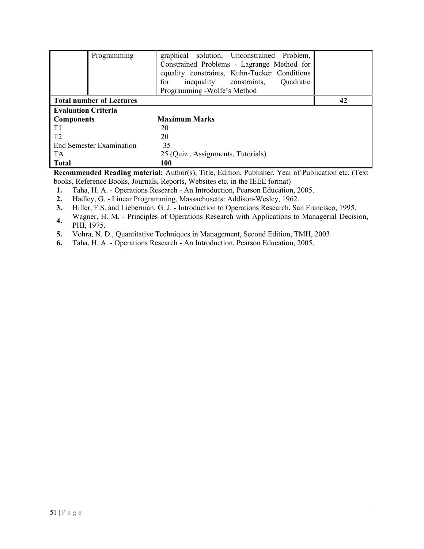| Programming                     | graphical solution, Unconstrained Problem,<br>Constrained Problems - Lagrange Method for<br>equality constraints, Kuhn-Tucker Conditions<br>for<br>inequality constraints,<br>Quadratic<br>Programming - Wolfe's Method |    |
|---------------------------------|-------------------------------------------------------------------------------------------------------------------------------------------------------------------------------------------------------------------------|----|
| <b>Total number of Lectures</b> |                                                                                                                                                                                                                         | 42 |
| <b>Evaluation Criteria</b>      |                                                                                                                                                                                                                         |    |
| <b>Components</b>               | <b>Maximum Marks</b>                                                                                                                                                                                                    |    |
| T <sub>1</sub>                  | 20                                                                                                                                                                                                                      |    |
| T <sub>2</sub>                  | 20                                                                                                                                                                                                                      |    |
| <b>End Semester Examination</b> | 35                                                                                                                                                                                                                      |    |
| TA                              | 25 (Quiz, Assignments, Tutorials)                                                                                                                                                                                       |    |
| <b>Total</b>                    | 100                                                                                                                                                                                                                     |    |

**1.** Taha, H. A. - Operations Research - An Introduction, Pearson Education, 2005.

**2.** Hadley, G. - Linear Programming, Massachusetts: Addison-Wesley, 1962.

**3.** Hiller, F.S. and Lieberman, G. J. - Introduction to Operations Research, San Francisco, 1995.

**4.** Wagner, H. M. - Principles of Operations Research with Applications to Managerial Decision, PHI, 1975.

**5.** Vohra, N. D., Quantitative Techniques in Management, Second Edition, TMH, 2003.

**6.** Taha, H. A. - Operations Research - An Introduction, Pearson Education, 2005.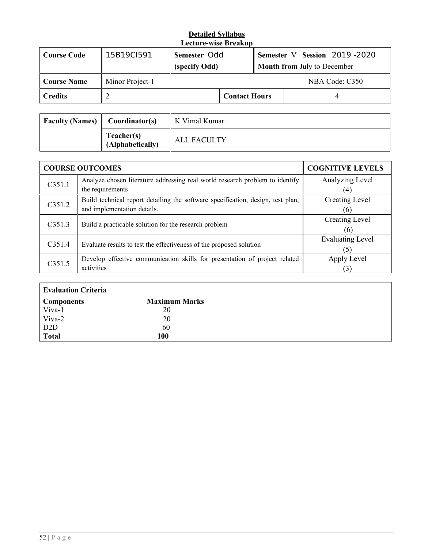| Course Code | 15B19CI591      | Semester Odd<br>(specify Odd) |                      |  | Semester V Session 2019-2020<br><b>Month from July to December</b> |
|-------------|-----------------|-------------------------------|----------------------|--|--------------------------------------------------------------------|
| Course Name | Minor Project-1 | NBA Code: C350                |                      |  |                                                                    |
| Credits     |                 |                               | <b>Contact Hours</b> |  |                                                                    |

| Faculty (Names) $\parallel$ Coordinator(s) |                                | K Vimal Kumar |
|--------------------------------------------|--------------------------------|---------------|
|                                            | Teacher(s)<br>(Alphabetically) | ALL FACULTY   |

|        | <b>COURSE OUTCOMES</b>                                                          | <b>COGNITIVE LEVELS</b> |
|--------|---------------------------------------------------------------------------------|-------------------------|
| C351.1 | Analyze chosen literature addressing real world research problem to identify    | Analyzing Level         |
|        | the requirements                                                                | (4)                     |
| C351.2 | Build technical report detailing the software specification, design, test plan, | Creating Level          |
|        | and implementation details.                                                     | (6)                     |
| C351.3 | Build a practicable solution for the research problem                           | <b>Creating Level</b>   |
|        |                                                                                 | (6)                     |
| C351.4 |                                                                                 | <b>Evaluating Level</b> |
|        | Evaluate results to test the effectiveness of the proposed solution             |                         |
| C351.5 | Develop effective communication skills for presentation of project related      | Apply Level             |
|        | activities                                                                      |                         |

| Evaluation Criteria      |                      |  |
|--------------------------|----------------------|--|
| Components               | <b>Maximum Marks</b> |  |
| $\sqrt{\frac{V}}$ Viva-1 | 20                   |  |
|                          | 20                   |  |
| $\vert$ Viva-2<br>D2D    | 60                   |  |
| Total                    | 100                  |  |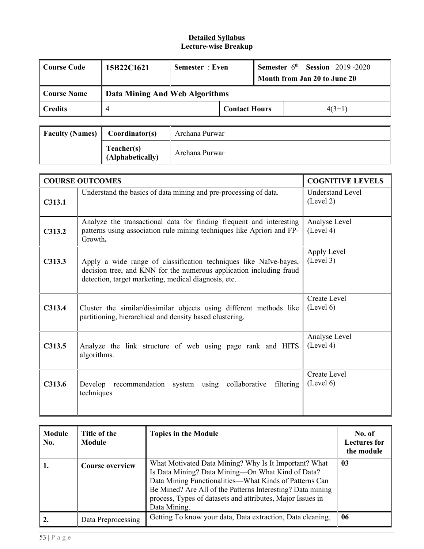| Course Code | 15B22CI621                     | Semester: Even |                      | <b>Semester</b> $6th$ <b>Session</b> 2019-2020<br>Month from Jan 20 to June 20 |          |
|-------------|--------------------------------|----------------|----------------------|--------------------------------------------------------------------------------|----------|
| Course Name | Data Mining And Web Algorithms |                |                      |                                                                                |          |
| Credits     |                                |                | <b>Contact Hours</b> |                                                                                | $4(3+1)$ |

| <b>Faculty (Names)</b> | Coordinator(s)                 | Archana Purwar |
|------------------------|--------------------------------|----------------|
|                        | Teacher(s)<br>(Alphabetically) | Archana Purwar |

|        | <b>COURSE OUTCOMES</b>                                                                                                                                                                           | <b>COGNITIVE LEVELS</b>              |
|--------|--------------------------------------------------------------------------------------------------------------------------------------------------------------------------------------------------|--------------------------------------|
| C313.1 | Understand the basics of data mining and pre-processing of data.                                                                                                                                 | <b>Understand Level</b><br>(Level 2) |
| C313.2 | Analyze the transactional data for finding frequent and interesting<br>patterns using association rule mining techniques like Apriori and FP-<br>Growth.                                         | Analyse Level<br>(Level 4)           |
| C313.3 | Apply a wide range of classification techniques like Naïve-bayes,<br>decision tree, and KNN for the numerous application including fraud<br>detection, target marketing, medical diagnosis, etc. | Apply Level<br>(Level 3)             |
| C313.4 | Cluster the similar/dissimilar objects using different methods like<br>partitioning, hierarchical and density based clustering.                                                                  | Create Level<br>(Level 6)            |
| C313.5 | Analyze the link structure of web using page rank and HITS<br>algorithms.                                                                                                                        | Analyse Level<br>(Level 4)           |
| C313.6 | Develop recommendation system using collaborative<br>filtering<br>techniques                                                                                                                     | Create Level<br>(Level 6)            |

| <b>Module</b><br>No. | Title of the<br><b>Module</b> | <b>Topics in the Module</b>                                                                                                                                                                                                                                                                                      | No. of<br><b>Lectures for</b><br>the module |
|----------------------|-------------------------------|------------------------------------------------------------------------------------------------------------------------------------------------------------------------------------------------------------------------------------------------------------------------------------------------------------------|---------------------------------------------|
|                      | <b>Course overview</b>        | What Motivated Data Mining? Why Is It Important? What<br>Is Data Mining? Data Mining-On What Kind of Data?<br>Data Mining Functionalities—What Kinds of Patterns Can<br>Be Mined? Are All of the Patterns Interesting? Data mining<br>process, Types of datasets and attributes, Major Issues in<br>Data Mining. | 0 <sub>3</sub>                              |
|                      | Data Preprocessing            | Getting To know your data, Data extraction, Data cleaning,                                                                                                                                                                                                                                                       | 06                                          |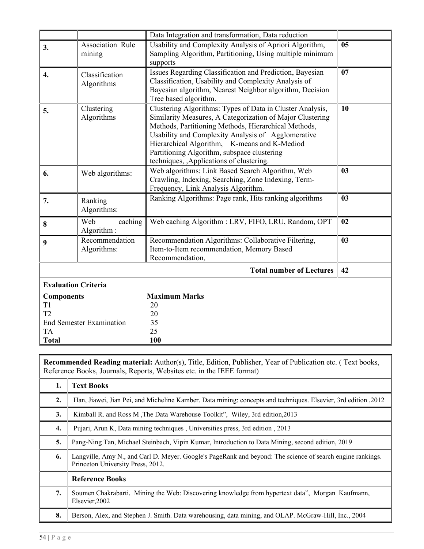|                            |                                                                                                                                                                                                                                       | Data Integration and transformation, Data reduction                                                                                                                                                                                                                                                                                                                              |    |
|----------------------------|---------------------------------------------------------------------------------------------------------------------------------------------------------------------------------------------------------------------------------------|----------------------------------------------------------------------------------------------------------------------------------------------------------------------------------------------------------------------------------------------------------------------------------------------------------------------------------------------------------------------------------|----|
| 3.                         | Association Rule<br>Usability and Complexity Analysis of Apriori Algorithm,<br>Sampling Algorithm, Partitioning, Using multiple minimum<br>mining<br>supports                                                                         |                                                                                                                                                                                                                                                                                                                                                                                  | 05 |
| $\overline{4}$ .           | Issues Regarding Classification and Prediction, Bayesian<br>Classification<br>Classification, Usability and Complexity Analysis of<br>Algorithms<br>Bayesian algorithm, Nearest Neighbor algorithm, Decision<br>Tree based algorithm. |                                                                                                                                                                                                                                                                                                                                                                                  | 07 |
| 5.                         | Clustering<br>Algorithms                                                                                                                                                                                                              | Clustering Algorithms: Types of Data in Cluster Analysis,<br>Similarity Measures, A Categorization of Major Clustering<br>Methods, Partitioning Methods, Hierarchical Methods,<br>Usability and Complexity Analysis of Agglomerative<br>Hierarchical Algorithm, K-means and K-Mediod<br>Partitioning Algorithm, subspace clustering<br>techniques, , Applications of clustering. | 10 |
| 6.                         | Web algorithms:                                                                                                                                                                                                                       | Web algorithms: Link Based Search Algorithm, Web<br>Crawling, Indexing, Searching, Zone Indexing, Term-<br>Frequency, Link Analysis Algorithm.                                                                                                                                                                                                                                   | 03 |
| 7.                         | Ranking<br>Algorithms:                                                                                                                                                                                                                | Ranking Algorithms: Page rank, Hits ranking algorithms                                                                                                                                                                                                                                                                                                                           | 03 |
| 8                          | Web<br>caching<br>Algorithm:                                                                                                                                                                                                          | Web caching Algorithm : LRV, FIFO, LRU, Random, OPT                                                                                                                                                                                                                                                                                                                              | 02 |
| 9                          | Recommendation<br>Algorithms:                                                                                                                                                                                                         | Recommendation Algorithms: Collaborative Filtering,<br>Item-to-Item recommendation, Memory Based<br>Recommendation,                                                                                                                                                                                                                                                              | 03 |
|                            |                                                                                                                                                                                                                                       | <b>Total number of Lectures</b>                                                                                                                                                                                                                                                                                                                                                  | 42 |
| <b>Evaluation Criteria</b> |                                                                                                                                                                                                                                       |                                                                                                                                                                                                                                                                                                                                                                                  |    |
| <b>Components</b>          |                                                                                                                                                                                                                                       | <b>Maximum Marks</b>                                                                                                                                                                                                                                                                                                                                                             |    |
| T1                         |                                                                                                                                                                                                                                       | 20                                                                                                                                                                                                                                                                                                                                                                               |    |
| T <sub>2</sub>             |                                                                                                                                                                                                                                       | 20                                                                                                                                                                                                                                                                                                                                                                               |    |
|                            | <b>End Semester Examination</b>                                                                                                                                                                                                       | 35<br>25                                                                                                                                                                                                                                                                                                                                                                         |    |
| <b>TA</b><br><b>Total</b>  |                                                                                                                                                                                                                                       | 100                                                                                                                                                                                                                                                                                                                                                                              |    |
|                            |                                                                                                                                                                                                                                       |                                                                                                                                                                                                                                                                                                                                                                                  |    |

| 1. | <b>Text Books</b>                                                                                                                               |
|----|-------------------------------------------------------------------------------------------------------------------------------------------------|
| 2. | Han, Jiawei, Jian Pei, and Micheline Kamber. Data mining: concepts and techniques. Elsevier, 3rd edition ,2012                                  |
| 3. | Kimball R. and Ross M, The Data Warehouse Toolkit", Wiley, 3rd edition, 2013                                                                    |
| 4. | Pujari, Arun K, Data mining techniques, Universities press, 3rd edition, 2013                                                                   |
| 5. | Pang-Ning Tan, Michael Steinbach, Vipin Kumar, Introduction to Data Mining, second edition, 2019                                                |
| 6. | Langville, Amy N., and Carl D. Meyer. Google's PageRank and beyond: The science of search engine rankings.<br>Princeton University Press, 2012. |
|    | <b>Reference Books</b>                                                                                                                          |
| 7. | Soumen Chakrabarti, Mining the Web: Discovering knowledge from hypertext data", Morgan Kaufmann,<br>Elsevier, 2002                              |
| 8. | Berson, Alex, and Stephen J. Smith. Data warehousing, data mining, and OLAP. McGraw-Hill, Inc., 2004                                            |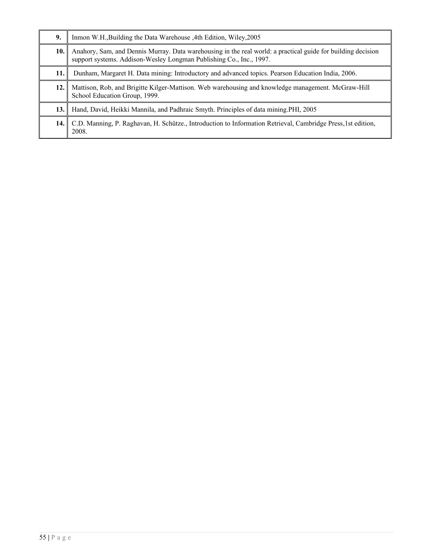| 9.   | Inmon W.H., Building the Data Warehouse, 4th Edition, Wiley, 2005                                                                                                                   |
|------|-------------------------------------------------------------------------------------------------------------------------------------------------------------------------------------|
| 10.  | Anahory, Sam, and Dennis Murray. Data warehousing in the real world: a practical guide for building decision<br>support systems. Addison-Wesley Longman Publishing Co., Inc., 1997. |
| 11.  | Dunham, Margaret H. Data mining: Introductory and advanced topics. Pearson Education India, 2006.                                                                                   |
| 12.1 | Mattison, Rob, and Brigitte Kilger-Mattison. Web warehousing and knowledge management. McGraw-Hill<br>School Education Group, 1999.                                                 |
| 13.  | Hand, David, Heikki Mannila, and Padhraic Smyth. Principles of data mining PHI, 2005                                                                                                |
| 14.1 | C.D. Manning, P. Raghavan, H. Schütze., Introduction to Information Retrieval, Cambridge Press, 1st edition,<br>2008.                                                               |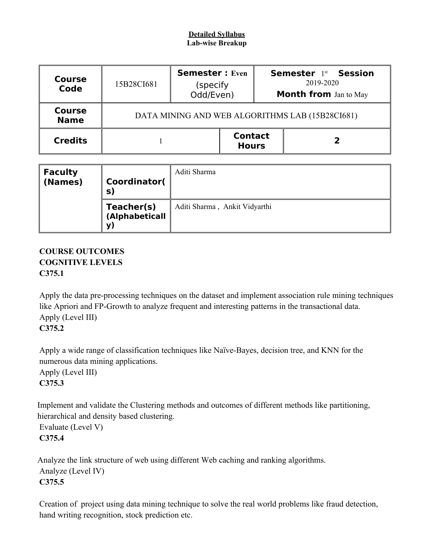### **Detailed Syllabus Lab-wise Breakup**

| <b>Course</b><br>Code        | 15B28CI681 | <b>Semester: Even</b><br>(specify<br>Odd/Even)  |                                |  | <b>Semester 1st Session</b><br>2019-2020<br><b>Month from</b> Jan to May |  |  |
|------------------------------|------------|-------------------------------------------------|--------------------------------|--|--------------------------------------------------------------------------|--|--|
| <b>Course</b><br><b>Name</b> |            | DATA MINING AND WEB ALGORITHMS LAB (15B28CI681) |                                |  |                                                                          |  |  |
| <b>Credits</b>               |            |                                                 | <b>Contact</b><br><b>Hours</b> |  |                                                                          |  |  |

| $\parallel$ Faculty<br>$\vert$ (Names) | Coordinator(<br>$\mathbf{S}$       | Aditi Sharma                  |
|----------------------------------------|------------------------------------|-------------------------------|
|                                        | Teacher(s)<br>(Alphabeticall<br>y) | Aditi Sharma, Ankit Vidyarthi |

# **COURSE OUTCOMES COGNITIVE LEVELS C375.1**

Apply the data pre-processing techniques on the dataset and implement association rule mining techniques like Apriori and FP-Growth to analyze frequent and interesting patterns in the transactional data. Apply (Level III) **C375.2**

Apply a wide range of classification techniques like Naïve-Bayes, decision tree, and KNN for the numerous data mining applications.

Apply (Level III) **C375.3**

Implement and validate the Clustering methods and outcomes of different methods like partitioning, hierarchical and density based clustering.

Evaluate (Level V) **C375.4**

Analyze the link structure of web using different Web caching and ranking algorithms. Analyze (Level IV) **C375.5**

Creation of project using data mining technique to solve the real world problems like fraud detection, hand writing recognition, stock prediction etc.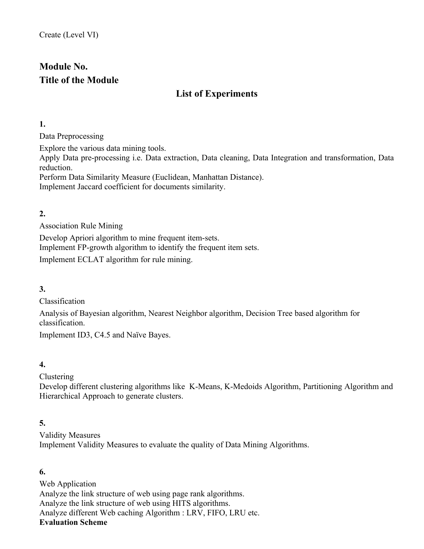# **Module No. Title of the Module**

# **List of Experiments**

**1.**

Data Preprocessing

Explore the various data mining tools. Apply Data pre-processing i.e. Data extraction, Data cleaning, Data Integration and transformation, Data reduction. Perform Data Similarity Measure (Euclidean, Manhattan Distance).

Implement Jaccard coefficient for documents similarity.

## **2.**

Association Rule Mining

Develop Apriori algorithm to mine frequent item-sets. Implement FP-growth algorithm to identify the frequent item sets.

Implement ECLAT algorithm for rule mining.

**3.**

Classification

Analysis of Bayesian algorithm, Nearest Neighbor algorithm, Decision Tree based algorithm for classification.

Implement ID3, C4.5 and Naïve Bayes.

# **4.**

Clustering

Develop different clustering algorithms like K-Means, K-Medoids Algorithm, Partitioning Algorithm and Hierarchical Approach to generate clusters.

# **5.**

Validity Measures Implement Validity Measures to evaluate the quality of Data Mining Algorithms.

# **6.**

Web Application Analyze the link structure of web using page rank algorithms. Analyze the link structure of web using HITS algorithms. Analyze different Web caching Algorithm : LRV, FIFO, LRU etc. **Evaluation Scheme**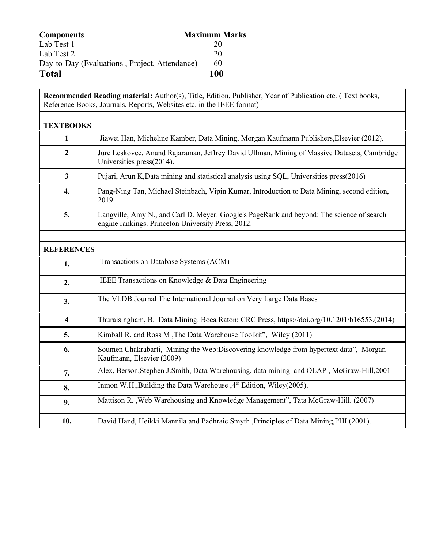| <b>Components</b>                             | <b>Maximum Marks</b> |
|-----------------------------------------------|----------------------|
| Lab Test 1                                    | 20                   |
| Lab Test 2                                    | 20                   |
| Day-to-Day (Evaluations, Project, Attendance) | 60                   |
| <b>Total</b>                                  | 100                  |

| <b>TEXTBOOKS</b>        |                                                                                                                                                 |
|-------------------------|-------------------------------------------------------------------------------------------------------------------------------------------------|
| 1                       | Jiawei Han, Micheline Kamber, Data Mining, Morgan Kaufmann Publishers, Elsevier (2012).                                                         |
| $\overline{2}$          | Jure Leskovec, Anand Rajaraman, Jeffrey David Ullman, Mining of Massive Datasets, Cambridge<br>Universities press(2014).                        |
| $\overline{3}$          | Pujari, Arun K, Data mining and statistical analysis using SQL, Universities press(2016)                                                        |
| 4.                      | Pang-Ning Tan, Michael Steinbach, Vipin Kumar, Introduction to Data Mining, second edition,<br>2019                                             |
| 5.                      | Langville, Amy N., and Carl D. Meyer. Google's PageRank and beyond: The science of search<br>engine rankings. Princeton University Press, 2012. |
|                         |                                                                                                                                                 |
| <b>REFERENCES</b>       |                                                                                                                                                 |
| 1.                      | Transactions on Database Systems (ACM)                                                                                                          |
| 2.                      | IEEE Transactions on Knowledge & Data Engineering                                                                                               |
| 3.                      | The VLDB Journal The International Journal on Very Large Data Bases                                                                             |
| $\overline{\mathbf{4}}$ | Thuraisingham, B. Data Mining. Boca Raton: CRC Press, https://doi.org/10.1201/b16553.(2014)                                                     |
| 5.                      | Kimball R. and Ross M, The Data Warehouse Toolkit", Wiley (2011)                                                                                |
| 6.                      | Soumen Chakrabarti, Mining the Web: Discovering knowledge from hypertext data", Morgan<br>Kaufmann, Elsevier (2009)                             |
| 7.                      | Alex, Berson, Stephen J. Smith, Data Warehousing, data mining and OLAP, McGraw-Hill, 2001                                                       |
| 8.                      | Inmon W.H., Building the Data Warehouse, 4 <sup>th</sup> Edition, Wiley(2005).                                                                  |
| 9.                      | Mattison R., Web Warehousing and Knowledge Management", Tata McGraw-Hill. (2007)                                                                |
| 10.                     | David Hand, Heikki Mannila and Padhraic Smyth , Principles of Data Mining, PHI (2001).                                                          |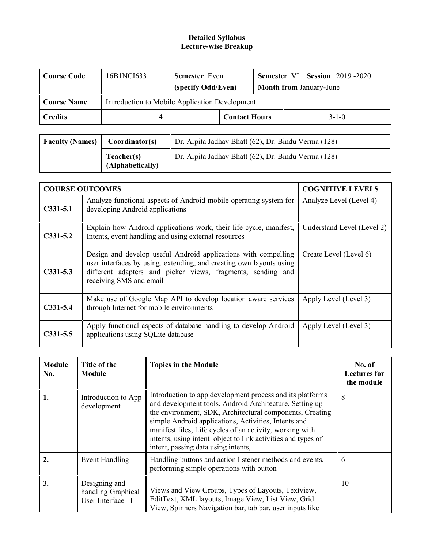| Course Code                                                     | 16B1NCI633 | <b>Semester</b> Even |  |                                |             | <b>Semester VI Session 2019-2020</b> |
|-----------------------------------------------------------------|------------|----------------------|--|--------------------------------|-------------|--------------------------------------|
|                                                                 |            | (specify Odd/Even)   |  | <b>Month from January-June</b> |             |                                      |
| Introduction to Mobile Application Development<br>  Course Name |            |                      |  |                                |             |                                      |
| ∥ Credits                                                       |            | <b>Contact Hours</b> |  |                                | $3 - 1 - 0$ |                                      |

| <b>Faculty (Names)</b> $\parallel$ Coordinator(s) |                                | Dr. Arpita Jadhav Bhatt $(62)$ , Dr. Bindu Verma $(128)$ |
|---------------------------------------------------|--------------------------------|----------------------------------------------------------|
|                                                   | Teacher(s)<br>(Alphabetically) | Dr. Arpita Jadhav Bhatt (62), Dr. Bindu Verma (128)      |

|            | <b>COURSE OUTCOMES</b>                                                                                                                                                                                                          | <b>COGNITIVE LEVELS</b>    |
|------------|---------------------------------------------------------------------------------------------------------------------------------------------------------------------------------------------------------------------------------|----------------------------|
| $C331-5.1$ | Analyze functional aspects of Android mobile operating system for<br>developing Android applications                                                                                                                            | Analyze Level (Level 4)    |
| $C331-5.2$ | Explain how Android applications work, their life cycle, manifest,<br>Intents, event handling and using external resources                                                                                                      | Understand Level (Level 2) |
| $C331-5.3$ | Design and develop useful Android applications with compelling<br>user interfaces by using, extending, and creating own layouts using<br>different adapters and picker views, fragments, sending and<br>receiving SMS and email | Create Level (Level 6)     |
| $C331-5.4$ | Make use of Google Map API to develop location aware services<br>through Internet for mobile environments                                                                                                                       | Apply Level (Level 3)      |
| $C331-5.5$ | Apply functional aspects of database handling to develop Android<br>applications using SQLite database                                                                                                                          | Apply Level (Level 3)      |

| <b>Module</b><br>No. | Title of the<br><b>Module</b>                            | <b>Topics in the Module</b>                                                                                                                                                                                                                                                                                                                                                                                 | No. of<br><b>Lectures for</b><br>the module |
|----------------------|----------------------------------------------------------|-------------------------------------------------------------------------------------------------------------------------------------------------------------------------------------------------------------------------------------------------------------------------------------------------------------------------------------------------------------------------------------------------------------|---------------------------------------------|
|                      | Introduction to App<br>development                       | Introduction to app development process and its platforms<br>and development tools, Android Architecture, Setting up<br>the environment, SDK, Architectural components, Creating<br>simple Android applications, Activities, Intents and<br>manifest files, Life cycles of an activity, working with<br>intents, using intent object to link activities and types of<br>intent, passing data using intents, | 8                                           |
|                      | Event Handling                                           | Handling buttons and action listener methods and events,<br>performing simple operations with button                                                                                                                                                                                                                                                                                                        | 6                                           |
| 3.                   | Designing and<br>handling Graphical<br>User Interface -I | Views and View Groups, Types of Layouts, Textview,<br>EditText, XML layouts, Image View, List View, Grid<br>View, Spinners Navigation bar, tab bar, user inputs like                                                                                                                                                                                                                                        | 10                                          |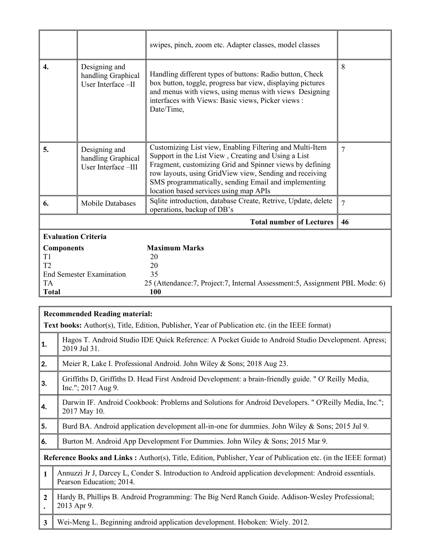|                                 |                                                            | swipes, pinch, zoom etc. Adapter classes, model classes                                                                                                                                                                                                                                                                                  |                |
|---------------------------------|------------------------------------------------------------|------------------------------------------------------------------------------------------------------------------------------------------------------------------------------------------------------------------------------------------------------------------------------------------------------------------------------------------|----------------|
| 4.                              | Designing and<br>handling Graphical<br>User Interface -II  | Handling different types of buttons: Radio button, Check<br>box button, toggle, progress bar view, displaying pictures<br>and menus with views, using menus with views Designing<br>interfaces with Views: Basic views, Picker views:<br>Date/Time,                                                                                      | 8              |
| 5.                              | Designing and<br>handling Graphical<br>User Interface -III | Customizing List view, Enabling Filtering and Multi-Item<br>Support in the List View, Creating and Using a List<br>Fragment, customizing Grid and Spinner views by defining<br>row layouts, using GridView view, Sending and receiving<br>SMS programmatically, sending Email and implementing<br>location based services using map APIs | 7              |
| 6.                              | <b>Mobile Databases</b>                                    | Sqlite introduction, database Create, Retrive, Update, delete<br>operations, backup of DB's                                                                                                                                                                                                                                              | $\overline{7}$ |
|                                 |                                                            | <b>Total number of Lectures</b>                                                                                                                                                                                                                                                                                                          | 46             |
| <b>Evaluation Criteria</b>      |                                                            |                                                                                                                                                                                                                                                                                                                                          |                |
| <b>Components</b>               |                                                            | <b>Maximum Marks</b>                                                                                                                                                                                                                                                                                                                     |                |
| T1<br>T2                        |                                                            | 20<br>20                                                                                                                                                                                                                                                                                                                                 |                |
| <b>End Semester Examination</b> |                                                            | 35                                                                                                                                                                                                                                                                                                                                       |                |
| <b>TA</b><br><b>Total</b>       |                                                            | 25 (Attendance: 7, Project: 7, Internal Assessment: 5, Assignment PBL Mode: 6)<br>100                                                                                                                                                                                                                                                    |                |

|                | <b>Recommended Reading material:</b>                                                                                               |
|----------------|------------------------------------------------------------------------------------------------------------------------------------|
|                | Text books: Author(s), Title, Edition, Publisher, Year of Publication etc. (in the IEEE format)                                    |
| 1.             | Hagos T. Android Studio IDE Quick Reference: A Pocket Guide to Android Studio Development. Apress;<br>2019 Jul 31.                 |
| 2.             | Meier R, Lake I. Professional Android. John Wiley & Sons; 2018 Aug 23.                                                             |
| ∥3.            | Griffiths D, Griffiths D. Head First Android Development: a brain-friendly guide. " O' Reilly Media,<br>$Inc."$ ; 2017 Aug 9.      |
| ∥4.            | Darwin IF. Android Cookbook: Problems and Solutions for Android Developers. " O'Reilly Media, Inc.";<br>2017 May 10.               |
| ∥5.            | Burd BA. Android application development all-in-one for dummies. John Wiley & Sons; 2015 Jul 9.                                    |
| 6.             | Burton M. Android App Development For Dummies. John Wiley & Sons; 2015 Mar 9.                                                      |
|                | Reference Books and Links: Author(s), Title, Edition, Publisher, Year of Publication etc. (in the IEEE format)                     |
| $\mathbf{1}$   | Annuzzi Jr J, Darcey L, Conder S. Introduction to Android application development: Android essentials.<br>Pearson Education; 2014. |
| $\overline{2}$ | Hardy B, Phillips B. Android Programming: The Big Nerd Ranch Guide. Addison-Wesley Professional;<br>2013 Apr 9.                    |
| $\mathbf{3}$   | Wei-Meng L. Beginning android application development. Hoboken: Wiely. 2012.                                                       |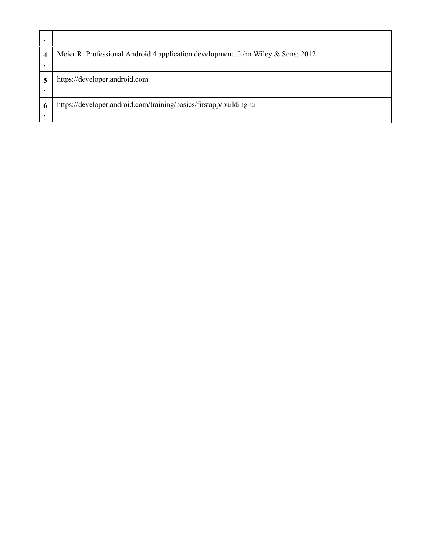| ٠                |                                                                                   |
|------------------|-----------------------------------------------------------------------------------|
| $\boldsymbol{4}$ | Meier R. Professional Android 4 application development. John Wiley & Sons; 2012. |
|                  |                                                                                   |
| 5                | https://developer.android.com                                                     |
| $\bullet$        |                                                                                   |
| 6                | https://developer.android.com/training/basics/firstapp/building-ui                |
|                  |                                                                                   |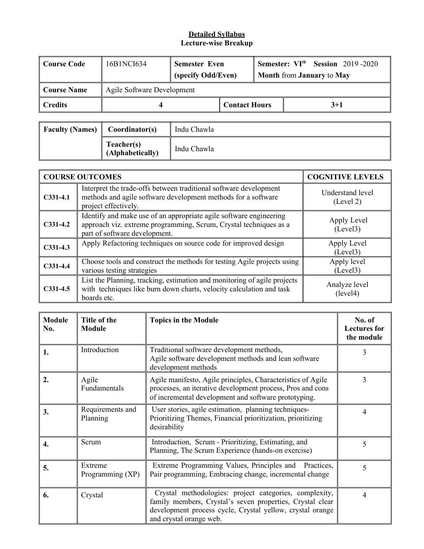| <b>Course Code</b> | 16B1NCI634                 | <b>Semester Even</b><br>(specify Odd/Even) |                      |  | <b>Semester:</b> $VIth$ Session 2019-2020<br><b>Month from January to May</b> |
|--------------------|----------------------------|--------------------------------------------|----------------------|--|-------------------------------------------------------------------------------|
| <b>Course Name</b> | Agile Software Development |                                            |                      |  |                                                                               |
| <b>Credits</b>     |                            |                                            | <b>Contact Hours</b> |  | $3+1$                                                                         |

| <b>Faculty (Names)</b> | Coordinator(s)                 | Indu Chawla |
|------------------------|--------------------------------|-------------|
|                        | Teacher(s)<br>(Alphabetically) | Indu Chawla |

|            | <b>COURSE OUTCOMES</b>                                                                                                                                                   | <b>COGNITIVE LEVELS</b>       |
|------------|--------------------------------------------------------------------------------------------------------------------------------------------------------------------------|-------------------------------|
| $C331-4.1$ | Interpret the trade-offs between traditional software development<br>methods and agile software development methods for a software<br>project effectively.               | Understand level<br>(Level 2) |
| $C331-4.2$ | Identify and make use of an appropriate agile software engineering<br>approach viz. extreme programming, Scrum, Crystal techniques as a<br>part of software development. | Apply Level<br>(Level3)       |
| $C331-4.3$ | Apply Refactoring techniques on source code for improved design                                                                                                          | Apply Level<br>(Level3)       |
| $C331-4.4$ | Choose tools and construct the methods for testing Agile projects using<br>various testing strategies                                                                    | Apply level<br>(Level3)       |
| $C331-4.5$ | List the Planning, tracking, estimation and monitoring of agile projects<br>with techniques like burn down charts, velocity calculation and task<br>boards etc.          | Analyze level<br>(level4)     |

| <b>Module</b><br>No. | Title of the<br>Module       | <b>Topics in the Module</b>                                                                                                                                                                                 | No. of<br><b>Lectures</b> for<br>the module |
|----------------------|------------------------------|-------------------------------------------------------------------------------------------------------------------------------------------------------------------------------------------------------------|---------------------------------------------|
| 1.                   | Introduction                 | Traditional software development methods,<br>Agile software development methods and lean software<br>development methods                                                                                    | 3                                           |
| 2.                   | Agile<br>Fundamentals        | Agile manifesto, Agile principles, Characteristics of Agile<br>processes, an iterative development process, Pros and cons<br>of incremental development and software prototyping.                           | 3                                           |
| 3.                   | Requirements and<br>Planning | User stories, agile estimation, planning techniques-<br>Prioritizing Themes, Financial prioritization, prioritizing<br>desirability                                                                         | 4                                           |
| 4.                   | Scrum                        | Introduction, Scrum - Prioritizing, Estimating, and<br>Planning, The Scrum Experience (hands-on exercise)                                                                                                   | 5                                           |
| 5.                   | Extreme<br>Programming (XP)  | Extreme Programming Values, Principles and Practices,<br>Pair programming, Embracing change, incremental change                                                                                             | 5                                           |
| 6.                   | Crystal                      | Crystal methodologies: project categories, complexity,<br>family members, Crystal's seven properties, Crystal clear<br>development process cycle, Crystal yellow, crystal orange<br>and crystal orange web. | 4                                           |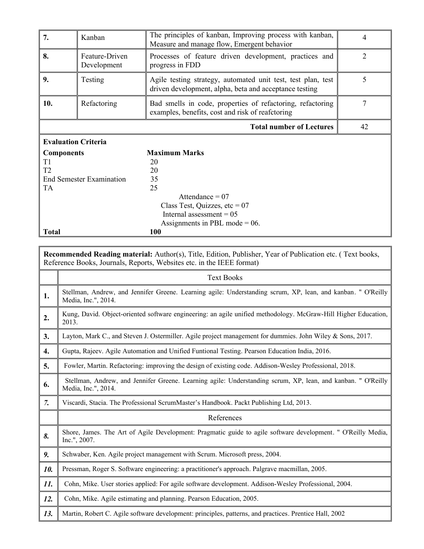| 7.                         | Kanban                          | The principles of kanban, Improving process with kanban,<br>Measure and manage flow, Emergent behavior                 | 4              |  |
|----------------------------|---------------------------------|------------------------------------------------------------------------------------------------------------------------|----------------|--|
| 8.                         | Feature-Driven<br>Development   | Processes of feature driven development, practices and<br>progress in FDD                                              | $\overline{2}$ |  |
| 9.                         | Testing                         | Agile testing strategy, automated unit test, test plan, test<br>driven development, alpha, beta and acceptance testing | 5              |  |
| 10.                        | Refactoring                     | Bad smells in code, properties of refactoring, refactoring<br>examples, benefits, cost and risk of reafctoring         | 7              |  |
|                            |                                 | <b>Total number of Lectures</b>                                                                                        | 42             |  |
| <b>Evaluation Criteria</b> |                                 |                                                                                                                        |                |  |
| <b>Components</b>          |                                 | <b>Maximum Marks</b>                                                                                                   |                |  |
| T <sub>1</sub>             |                                 | 20                                                                                                                     |                |  |
| T <sub>2</sub>             |                                 | 20                                                                                                                     |                |  |
|                            | <b>End Semester Examination</b> | 35                                                                                                                     |                |  |
| TA                         |                                 | 25                                                                                                                     |                |  |
|                            |                                 | Attendance = $07$                                                                                                      |                |  |
|                            |                                 | Class Test, Quizzes, etc = $07$                                                                                        |                |  |
|                            |                                 | Internal assessment $= 05$                                                                                             |                |  |
|                            |                                 | Assignments in PBL mode = $06$ .                                                                                       |                |  |
| <b>Total</b>               |                                 | 100                                                                                                                    |                |  |

I

|     | <b>Text Books</b>                                                                                                                   |
|-----|-------------------------------------------------------------------------------------------------------------------------------------|
| 1.  | Stellman, Andrew, and Jennifer Greene. Learning agile: Understanding scrum, XP, lean, and kanban. " O'Reilly<br>Media, Inc.", 2014. |
| 2.  | Kung, David. Object-oriented software engineering: an agile unified methodology. McGraw-Hill Higher Education,<br>2013.             |
| 3.  | Layton, Mark C., and Steven J. Ostermiller. Agile project management for dummies. John Wiley & Sons, 2017.                          |
| 4.  | Gupta, Rajeev. Agile Automation and Unified Funtional Testing. Pearson Education India, 2016.                                       |
| 5.  | Fowler, Martin. Refactoring: improving the design of existing code. Addison-Wesley Professional, 2018.                              |
| 6.  | Stellman, Andrew, and Jennifer Greene. Learning agile: Understanding scrum, XP, lean, and kanban. " O'Reilly<br>Media, Inc.", 2014. |
| 7.  | Viscardi, Stacia. The Professional ScrumMaster's Handbook. Packt Publishing Ltd, 2013.                                              |
|     | References                                                                                                                          |
| 8.  | Shore, James. The Art of Agile Development: Pragmatic guide to agile software development. " O'Reilly Media,<br>Inc.", 2007.        |
| 9.  | Schwaber, Ken. Agile project management with Scrum. Microsoft press, 2004.                                                          |
| 10. | Pressman, Roger S. Software engineering: a practitioner's approach. Palgrave macmillan, 2005.                                       |
| 11. | Cohn, Mike. User stories applied: For agile software development. Addison-Wesley Professional, 2004.                                |
| 12. | Cohn, Mike. Agile estimating and planning. Pearson Education, 2005.                                                                 |
| 13. | Martin, Robert C. Agile software development: principles, patterns, and practices. Prentice Hall, 2002                              |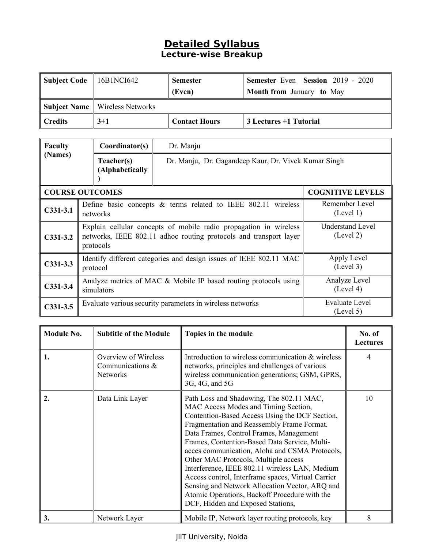| Subject Code | $16B1NCI642$                          | <b>Semester</b>      | <b>Semester Even Session 2019 - 2020</b> |
|--------------|---------------------------------------|----------------------|------------------------------------------|
|              |                                       | (Even)               | <b>Month from January to May</b>         |
|              | <b>Subject Name</b> Wireless Networks |                      |                                          |
| Credits      | $3+1$                                 | <b>Contact Hours</b> | 3 Lectures +1 Tutorial                   |

| <b>Faculty</b> | Coordinator(s)                                                                                                                                                                       | Dr. Manju                                            |                         |
|----------------|--------------------------------------------------------------------------------------------------------------------------------------------------------------------------------------|------------------------------------------------------|-------------------------|
| (Names)        | Teacher(s)<br>(Alphabetically                                                                                                                                                        | Dr. Manju, Dr. Gagandeep Kaur, Dr. Vivek Kumar Singh |                         |
|                | <b>COURSE OUTCOMES</b>                                                                                                                                                               |                                                      | <b>COGNITIVE LEVELS</b> |
| $C331-3.1$     | Remember Level<br>Define basic concepts $\&$ terms related to IEEE 802.11 wireless<br>(Level 1)<br>networks                                                                          |                                                      |                         |
| $C331-3.2$     | Understand Level<br>Explain cellular concepts of mobile radio propagation in wireless<br>(Level 2)<br>networks, IEEE 802.11 adhoc routing protocols and transport layer<br>protocols |                                                      |                         |
| $C331-3.3$     | Apply Level<br>Identify different categories and design issues of IEEE 802.11 MAC<br>(Level 3)<br>protocol                                                                           |                                                      |                         |
| $C331-3.4$     | Analyze Level<br>Analyze metrics of MAC & Mobile IP based routing protocols using<br>(Level 4)<br>simulators                                                                         |                                                      |                         |
| $C331-3.5$     | Evaluate Level<br>Evaluate various security parameters in wireless networks<br>(Level 5)                                                                                             |                                                      |                         |

| <b>Module No.</b> | <b>Subtitle of the Module</b>                               | Topics in the module                                                                                                                                                                                                                                                                                                                                                                                                                                                                                                                                                                                                   | No. of<br><b>Lectures</b> |
|-------------------|-------------------------------------------------------------|------------------------------------------------------------------------------------------------------------------------------------------------------------------------------------------------------------------------------------------------------------------------------------------------------------------------------------------------------------------------------------------------------------------------------------------------------------------------------------------------------------------------------------------------------------------------------------------------------------------------|---------------------------|
| 1.                | Overview of Wireless<br>Communications &<br><b>Networks</b> | Introduction to wireless communication & wireless<br>networks, principles and challenges of various<br>wireless communication generations; GSM, GPRS,<br>3G, 4G, and 5G                                                                                                                                                                                                                                                                                                                                                                                                                                                | $\overline{4}$            |
| 2.                | Data Link Layer                                             | Path Loss and Shadowing, The 802.11 MAC,<br>MAC Access Modes and Timing Section,<br>Contention-Based Access Using the DCF Section,<br>Fragmentation and Reassembly Frame Format.<br>Data Frames, Control Frames, Management<br>Frames, Contention-Based Data Service, Multi-<br>acces communication, Aloha and CSMA Protocols,<br>Other MAC Protocols, Multiple access<br>Interference, IEEE 802.11 wireless LAN, Medium<br>Access control, Interframe spaces, Virtual Carrier<br>Sensing and Network Allocation Vector, ARQ and<br>Atomic Operations, Backoff Procedure with the<br>DCF, Hidden and Exposed Stations, | 10                        |
| 3.                | Network Layer                                               | Mobile IP, Network layer routing protocols, key                                                                                                                                                                                                                                                                                                                                                                                                                                                                                                                                                                        | 8                         |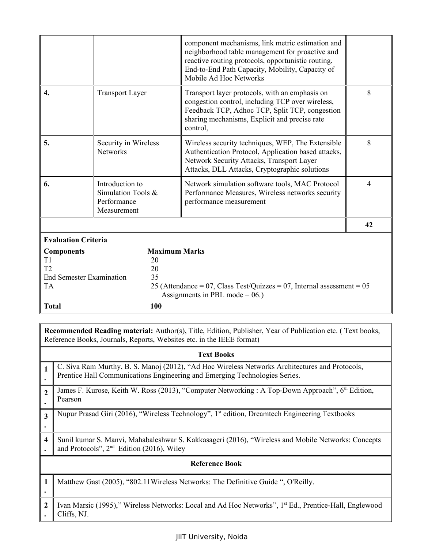|                                              |                                                                     |                      | component mechanisms, link metric estimation and<br>neighborhood table management for proactive and<br>reactive routing protocols, opportunistic routing,<br>End-to-End Path Capacity, Mobility, Capacity of<br>Mobile Ad Hoc Networks |                |
|----------------------------------------------|---------------------------------------------------------------------|----------------------|----------------------------------------------------------------------------------------------------------------------------------------------------------------------------------------------------------------------------------------|----------------|
| $\mathbf{4}$                                 | <b>Transport Layer</b>                                              |                      | Transport layer protocols, with an emphasis on<br>congestion control, including TCP over wireless,<br>Feedback TCP, Adhoc TCP, Split TCP, congestion<br>sharing mechanisms, Explicit and precise rate<br>control,                      | 8              |
| 5.                                           | Security in Wireless<br><b>Networks</b>                             |                      | Wireless security techniques, WEP, The Extensible<br>Authentication Protocol, Application based attacks,<br>Network Security Attacks, Transport Layer<br>Attacks, DLL Attacks, Cryptographic solutions                                 | 8              |
| 6.                                           | Introduction to<br>Simulation Tools &<br>Performance<br>Measurement |                      | Network simulation software tools, MAC Protocol<br>Performance Measures, Wireless networks security<br>performance measurement                                                                                                         | $\overline{4}$ |
|                                              |                                                                     |                      |                                                                                                                                                                                                                                        | 42             |
| <b>Evaluation Criteria</b>                   |                                                                     |                      |                                                                                                                                                                                                                                        |                |
| <b>Components</b>                            |                                                                     | <b>Maximum Marks</b> |                                                                                                                                                                                                                                        |                |
| T1                                           |                                                                     | 20                   |                                                                                                                                                                                                                                        |                |
| T2                                           |                                                                     | 20                   |                                                                                                                                                                                                                                        |                |
| <b>End Semester Examination</b><br><b>TA</b> |                                                                     | 35                   |                                                                                                                                                                                                                                        |                |
|                                              |                                                                     |                      | 25 (Attendance = $07$ , Class Test/Quizzes = $07$ , Internal assessment = $05$<br>Assignments in PBL mode = $06$ .)                                                                                                                    |                |
| <b>Total</b>                                 |                                                                     | <b>100</b>           |                                                                                                                                                                                                                                        |                |
|                                              |                                                                     |                      |                                                                                                                                                                                                                                        |                |

|                | <b>Text Books</b>                                                                                                                                                            |
|----------------|------------------------------------------------------------------------------------------------------------------------------------------------------------------------------|
|                | C. Siva Ram Murthy, B. S. Manoj (2012), "Ad Hoc Wireless Networks Architectures and Protocols,<br>Prentice Hall Communications Engineering and Emerging Technologies Series. |
| $\overline{2}$ | James F. Kurose, Keith W. Ross (2013), "Computer Networking : A Top-Down Approach", 6 <sup>th</sup> Edition,<br>Pearson                                                      |
| 3              | Nupur Prasad Giri (2016), "Wireless Technology", 1 <sup>st</sup> edition, Dreamtech Engineering Textbooks                                                                    |
| 4              | Sunil kumar S. Manvi, Mahabaleshwar S. Kakkasageri (2016), "Wireless and Mobile Networks: Concepts<br>and Protocols", $2nd$ Edition (2016), Wiley                            |
|                | <b>Reference Book</b>                                                                                                                                                        |
| 1              | Matthew Gast (2005), "802.11 Wireless Networks: The Definitive Guide ", O'Reilly.                                                                                            |
| $\overline{2}$ | Ivan Marsic (1995)," Wireless Networks: Local and Ad Hoc Networks", 1 <sup>st</sup> Ed., Prentice-Hall, Englewood<br>Cliffs, NJ.                                             |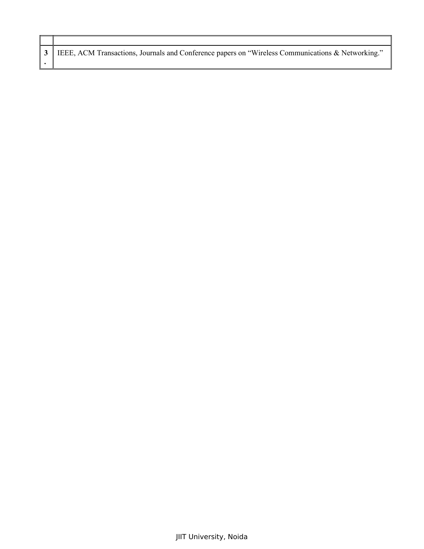| 3   IEEE, ACM Transactions, Journals and Conference papers on "Wireless Communications & Networking." |
|-------------------------------------------------------------------------------------------------------|
|                                                                                                       |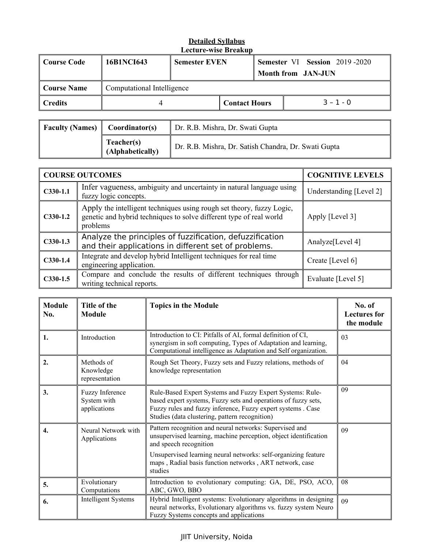| Course Code | 16B1NCI643                 | <b>Semester EVEN</b> |                      | <b>Semester VI Session 2019-2020</b><br><b>Month from JAN-JUN</b> |             |  |
|-------------|----------------------------|----------------------|----------------------|-------------------------------------------------------------------|-------------|--|
| Course Name | Computational Intelligence |                      |                      |                                                                   |             |  |
| ∥ Credits   |                            |                      | <b>Contact Hours</b> |                                                                   | $3 - 1 - 0$ |  |

| Faculty (Names) $\parallel$ Coordinator(s) |                                | Dr. R.B. Mishra, Dr. Swati Gupta                     |
|--------------------------------------------|--------------------------------|------------------------------------------------------|
|                                            | Teacher(s)<br>(Alphabetically) | Dr. R.B. Mishra, Dr. Satish Chandra, Dr. Swati Gupta |

|            | <b>COURSE OUTCOMES</b>                                                                                                                                   | <b>COGNITIVE LEVELS</b>      |
|------------|----------------------------------------------------------------------------------------------------------------------------------------------------------|------------------------------|
| $C330-1.1$ | Infer vagueness, ambiguity and uncertainty in natural language using<br>fuzzy logic concepts.                                                            | Understanding [Level 2]      |
| $C330-1.2$ | Apply the intelligent techniques using rough set theory, fuzzy Logic,<br>genetic and hybrid techniques to solve different type of real world<br>problems | Apply [Level 3]              |
| $C330-1.3$ | Analyze the principles of fuzzification, defuzzification<br>and their applications in different set of problems.                                         | Analyze <sup>[Level 4]</sup> |
| $C330-1.4$ | Integrate and develop hybrid Intelligent techniques for real time<br>engineering application.                                                            | Create [Level 6]             |
| $C330-1.5$ | Compare and conclude the results of different techniques through<br>writing technical reports.                                                           | Evaluate [Level 5]           |

| <b>Module</b><br>No. | Title of the<br><b>Module</b>                  | <b>Topics in the Module</b>                                                                                                                                                                                                                                                                   | No. of<br><b>Lectures for</b><br>the module |
|----------------------|------------------------------------------------|-----------------------------------------------------------------------------------------------------------------------------------------------------------------------------------------------------------------------------------------------------------------------------------------------|---------------------------------------------|
| 1.                   | Introduction                                   | Introduction to CI: Pitfalls of AI, formal definition of CI,<br>synergism in soft computing, Types of Adaptation and learning,<br>Computational intelligence as Adaptation and Self organization.                                                                                             | 03                                          |
| 2.                   | Methods of<br>Knowledge<br>representation      | Rough Set Theory, Fuzzy sets and Fuzzy relations, methods of<br>knowledge representation                                                                                                                                                                                                      | 04                                          |
| 3.                   | Fuzzy Inference<br>System with<br>applications | Rule-Based Expert Systems and Fuzzy Expert Systems: Rule-<br>based expert systems, Fuzzy sets and operations of fuzzy sets,<br>Fuzzy rules and fuzzy inference, Fuzzy expert systems . Case<br>Studies (data clustering, pattern recognition)                                                 | 09                                          |
| $\overline{4}$ .     | Neural Network with<br>Applications            | Pattern recognition and neural networks: Supervised and<br>unsupervised learning, machine perception, object identification<br>and speech recognition<br>Unsupervised learning neural networks: self-organizing feature<br>maps, Radial basis function networks, ART network, case<br>studies | 09                                          |
| 5.                   | Evolutionary<br>Computations                   | Introduction to evolutionary computing: GA, DE, PSO, ACO,<br>ABC, GWO, BBO                                                                                                                                                                                                                    | 08                                          |
| 6.                   | <b>Intelligent Systems</b>                     | Hybrid Intelligent systems: Evolutionary algorithms in designing<br>neural networks, Evolutionary algorithms vs. fuzzy system Neuro<br>Fuzzy Systems concepts and applications                                                                                                                | 09                                          |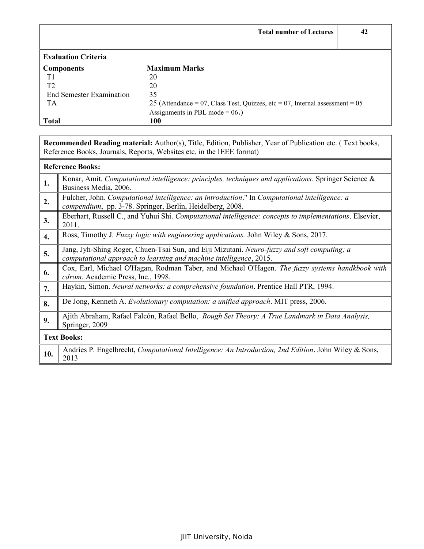|                                 | <b>Total number of Lectures</b>                                              | 42 |
|---------------------------------|------------------------------------------------------------------------------|----|
|                                 |                                                                              |    |
| <b>Evaluation Criteria</b>      |                                                                              |    |
| <b>Components</b>               | <b>Maximum Marks</b>                                                         |    |
| T1                              | 20                                                                           |    |
| T <sub>2</sub>                  | 20                                                                           |    |
| <b>End Semester Examination</b> | 35                                                                           |    |
| TA                              | 25 (Attendance = 07, Class Test, Quizzes, etc = 07, Internal assessment = 05 |    |
|                                 | Assignments in PBL mode = $06$ .)                                            |    |
| <b>Total</b>                    | 100                                                                          |    |

# **Reference Books:**

| 1.  | Konar, Amit. Computational intelligence: principles, techniques and applications. Springer Science $\&$<br>Business Media, 2006.                                  |
|-----|-------------------------------------------------------------------------------------------------------------------------------------------------------------------|
| 2.  | Fulcher, John. Computational intelligence: an introduction." In Computational intelligence: a<br>compendium, pp. 3-78. Springer, Berlin, Heidelberg, 2008.        |
| 3.  | Eberhart, Russell C., and Yuhui Shi. Computational intelligence: concepts to implementations. Elsevier,<br>2011.                                                  |
| 4.  | Ross, Timothy J. Fuzzy logic with engineering applications. John Wiley & Sons, 2017.                                                                              |
| 5.  | Jang, Jyh-Shing Roger, Chuen-Tsai Sun, and Eiji Mizutani. Neuro-fuzzy and soft computing; a<br>computational approach to learning and machine intelligence, 2015. |
| 6.  | Cox, Earl, Michael O'Hagan, Rodman Taber, and Michael O'Hagen. The fuzzy systems handkbook with<br>cdrom. Academic Press, Inc., 1998.                             |
| 7.  | Haykin, Simon. <i>Neural networks: a comprehensive foundation</i> . Prentice Hall PTR, 1994.                                                                      |
| 8.  | De Jong, Kenneth A. Evolutionary computation: a unified approach. MIT press, 2006.                                                                                |
| 9.  | Ajith Abraham, Rafael Falcón, Rafael Bello, <i>Rough Set Theory: A True Landmark in Data Analysis</i> ,<br>Springer, 2009                                         |
|     | <b>Text Books:</b>                                                                                                                                                |
| 10. | Andries P. Engelbrecht, Computational Intelligence: An Introduction, 2nd Edition. John Wiley & Sons,<br>2013                                                      |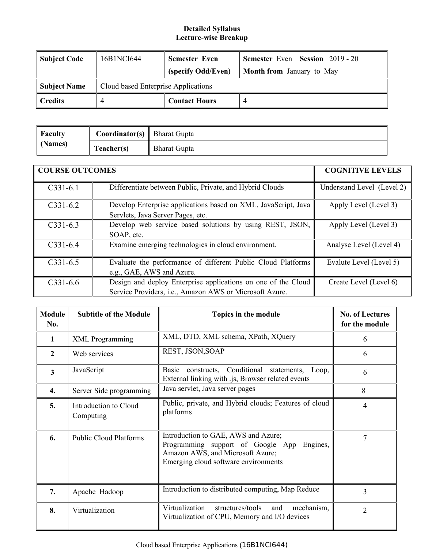| Subject Code   | 16B1NCI644                          | <b>Semester Even</b>                                   | <b>Semester Even Session 2019 - 20</b> |
|----------------|-------------------------------------|--------------------------------------------------------|----------------------------------------|
|                |                                     | (specify Odd/Even)<br><b>Month from</b> January to May |                                        |
| Subject Name   | Cloud based Enterprise Applications |                                                        |                                        |
| <b>Credits</b> |                                     | <b>Contact Hours</b>                                   |                                        |

| $\parallel$ Faculty<br>$\parallel$ (Names) | <b>Coordinator(s)</b> Bharat Gupta |                     |
|--------------------------------------------|------------------------------------|---------------------|
|                                            | Teacher(s)                         | <b>Bharat Gupta</b> |

| <b>COURSE OUTCOMES</b> |                                                                                                                          | <b>COGNITIVE LEVELS</b>    |
|------------------------|--------------------------------------------------------------------------------------------------------------------------|----------------------------|
| $C331-6.1$             | Differentiate between Public, Private, and Hybrid Clouds                                                                 | Understand Level (Level 2) |
| $C331-6.2$             | Develop Enterprise applications based on XML, JavaScript, Java<br>Servlets, Java Server Pages, etc.                      | Apply Level (Level 3)      |
| $C331-6.3$             | Develop web service based solutions by using REST, JSON,<br>SOAP, etc.                                                   | Apply Level (Level 3)      |
| $C331-6.4$             | Examine emerging technologies in cloud environment.                                                                      | Analyse Level (Level 4)    |
| $C331-6.5$             | Evaluate the performance of different Public Cloud Platforms<br>e.g., GAE, AWS and Azure.                                | Evalute Level (Level 5)    |
| $C331-6.6$             | Design and deploy Enterprise applications on one of the Cloud<br>Service Providers, i.e., Amazon AWS or Microsoft Azure. | Create Level (Level 6)     |

| <b>Module</b><br>No.    | <b>Subtitle of the Module</b>      | Topics in the module                                                                                                                                             | <b>No. of Lectures</b><br>for the module |
|-------------------------|------------------------------------|------------------------------------------------------------------------------------------------------------------------------------------------------------------|------------------------------------------|
| 1                       | <b>XML</b> Programming             | XML, DTD, XML schema, XPath, XQuery                                                                                                                              | 6                                        |
| $\overline{2}$          | Web services                       | REST, JSON, SOAP                                                                                                                                                 | 6                                        |
| $\overline{\mathbf{3}}$ | JavaScript                         | constructs, Conditional<br>Basic<br>statements, Loop,<br>External linking with .js, Browser related events                                                       | 6                                        |
| 4.                      | Server Side programming            | Java servlet, Java server pages                                                                                                                                  | 8                                        |
| 5.                      | Introduction to Cloud<br>Computing | Public, private, and Hybrid clouds; Features of cloud<br>platforms                                                                                               | 4                                        |
| 6.                      | <b>Public Cloud Platforms</b>      | Introduction to GAE, AWS and Azure;<br>Programming support of Google App<br>Engines,<br>Amazon AWS, and Microsoft Azure;<br>Emerging cloud software environments | 7                                        |
| 7.                      | Apache Hadoop                      | Introduction to distributed computing, Map Reduce                                                                                                                | 3                                        |
| 8.                      | Virtualization                     | Virtualization<br>structures/tools<br>and<br>mechanism,<br>Virtualization of CPU, Memory and I/O devices                                                         | $\overline{2}$                           |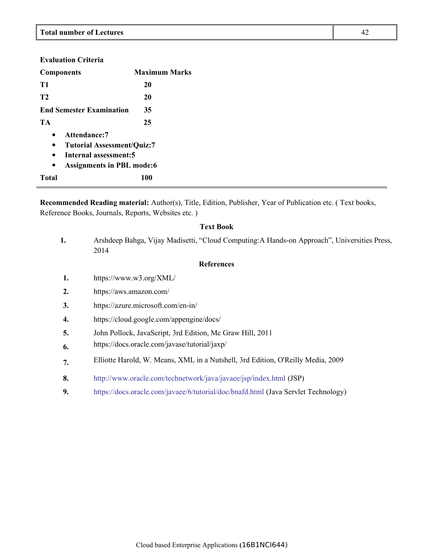| <b>Evaluation Criteria</b>                                                                                                                         |                      |  |  |
|----------------------------------------------------------------------------------------------------------------------------------------------------|----------------------|--|--|
| <b>Components</b>                                                                                                                                  | <b>Maximum Marks</b> |  |  |
| T1                                                                                                                                                 | 20                   |  |  |
| <b>T2</b>                                                                                                                                          | 20                   |  |  |
| <b>End Semester Examination</b>                                                                                                                    | 35                   |  |  |
| TA                                                                                                                                                 | 25                   |  |  |
| Attendance:7<br>٠<br><b>Tutorial Assessment/Quiz:7</b><br>$\bullet$<br>Internal assessment:5<br>$\bullet$<br><b>Assignments in PBL mode:6</b><br>٠ |                      |  |  |
| Total                                                                                                                                              | <b>100</b>           |  |  |

### **Text Book**

| 1. | Arshdeep Bahga, Vijay Madisetti, "Cloud Computing: A Hands-on Approach", Universities Press,<br>2014 |
|----|------------------------------------------------------------------------------------------------------|
|    | <b>References</b>                                                                                    |
| 1. | https://www.w3.org/XML/                                                                              |
| 2. | https://aws.amazon.com/                                                                              |
| 3. | https://azure.microsoft.com/en-in/                                                                   |
| 4. | https://cloud.google.com/appengine/docs/                                                             |
| 5. | John Pollock, JavaScript, 3rd Edition, Mc Graw Hill, 2011                                            |
| 6. | https://docs.oracle.com/javase/tutorial/jaxp/                                                        |
| 7. | Elliotte Harold, W. Means, XML in a Nutshell, 3rd Edition, O'Reilly Media, 2009                      |
| 8. | http://www.oracle.com/technetwork/java/javaee/jsp/index.html (JSP)                                   |
| 9. | https://docs.oracle.com/javaee/6/tutorial/doc/bnafd.html (Java Servlet Technology)                   |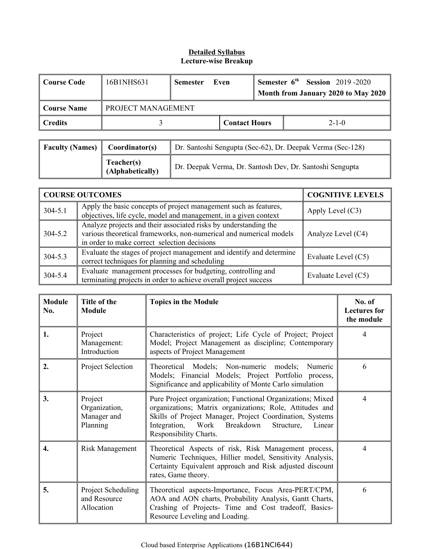| Course Code | 16B1NHS631         | <b>Semester</b> | Even                 | <b>Semester <math>6th</math> Session</b> 2019-2020 |
|-------------|--------------------|-----------------|----------------------|----------------------------------------------------|
|             |                    |                 |                      | Month from January 2020 to May 2020                |
| Course Name | PROJECT MANAGEMENT |                 |                      |                                                    |
| ∥ Credits   |                    |                 | <b>Contact Hours</b> | $2 - 1 - 0$                                        |

| <b>Faculty (Names)</b> | Coordinator(s)                 | Dr. Santoshi Sengupta (Sec-62), Dr. Deepak Verma (Sec-128) |  |
|------------------------|--------------------------------|------------------------------------------------------------|--|
|                        | Teacher(s)<br>(Alphabetically) | Dr. Deepak Verma, Dr. Santosh Dev, Dr. Santoshi Sengupta   |  |

| <b>COURSE OUTCOMES</b> |                                                                                                                                                                                        | <b>COGNITIVE LEVELS</b> |
|------------------------|----------------------------------------------------------------------------------------------------------------------------------------------------------------------------------------|-------------------------|
| $304 - 5.1$            | Apply the basic concepts of project management such as features,<br>objectives, life cycle, model and management, in a given context                                                   | Apply Level $(C3)$      |
| $304 - 5.2$            | Analyze projects and their associated risks by understanding the<br>various theoretical frameworks, non-numerical and numerical models<br>in order to make correct selection decisions | Analyze Level (C4)      |
| 304-5.3                | Evaluate the stages of project management and identify and determine<br>correct techniques for planning and scheduling                                                                 | Evaluate Level (C5)     |
| 304-5.4                | Evaluate management processes for budgeting, controlling and<br>terminating projects in order to achieve overall project success                                                       | Evaluate Level (C5)     |

| <b>Module</b><br>No. | Title of the<br><b>Module</b>                       | <b>Topics in the Module</b>                                                                                                                                                                                                                                         | No. of<br><b>Lectures for</b><br>the module |
|----------------------|-----------------------------------------------------|---------------------------------------------------------------------------------------------------------------------------------------------------------------------------------------------------------------------------------------------------------------------|---------------------------------------------|
| 1.                   | Project<br>Management:<br>Introduction              | Characteristics of project; Life Cycle of Project; Project<br>Model; Project Management as discipline; Contemporary<br>aspects of Project Management                                                                                                                | 4                                           |
| 2.                   | Project Selection                                   | Theoretical Models; Non-numeric models;<br>Numeric<br>Models; Financial Models; Project Portfolio process,<br>Significance and applicability of Monte Carlo simulation                                                                                              | 6                                           |
| 3.                   | Project<br>Organization,<br>Manager and<br>Planning | Pure Project organization; Functional Organizations; Mixed<br>organizations; Matrix organizations; Role, Attitudes and<br>Skills of Project Manager, Project Coordination, Systems<br>Integration, Work Breakdown<br>Structure,<br>Linear<br>Responsibility Charts. | 4                                           |
| 4.                   | Risk Management                                     | Theoretical Aspects of risk, Risk Management process,<br>Numeric Techniques, Hillier model, Sensitivity Analysis,<br>Certainty Equivalent approach and Risk adjusted discount<br>rates, Game theory.                                                                | 4                                           |
| 5.                   | Project Scheduling<br>and Resource<br>Allocation    | Theoretical aspects-Importance, Focus Area-PERT/CPM,<br>AOA and AON charts, Probability Analysis, Gantt Charts,<br>Crashing of Projects- Time and Cost tradeoff, Basics-<br>Resource Leveling and Loading.                                                          | 6                                           |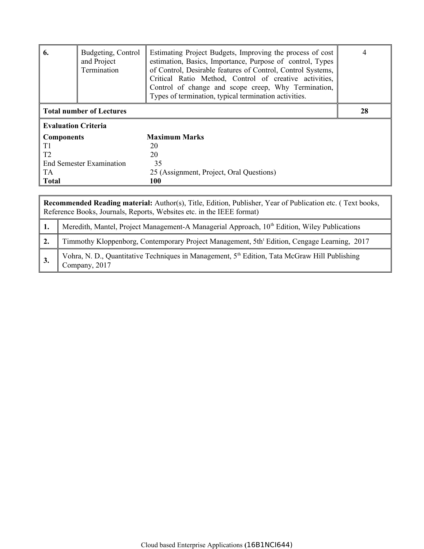| 6.                              | Budgeting, Control<br>and Project<br>Termination | Estimating Project Budgets, Improving the process of cost<br>estimation, Basics, Importance, Purpose of control, Types<br>of Control, Desirable features of Control, Control Systems,<br>Critical Ratio Method, Control of creative activities,<br>Control of change and scope creep, Why Termination,<br>Types of termination, typical termination activities. | 4  |  |
|---------------------------------|--------------------------------------------------|-----------------------------------------------------------------------------------------------------------------------------------------------------------------------------------------------------------------------------------------------------------------------------------------------------------------------------------------------------------------|----|--|
| <b>Total number of Lectures</b> |                                                  |                                                                                                                                                                                                                                                                                                                                                                 | 28 |  |
| <b>Evaluation Criteria</b>      |                                                  |                                                                                                                                                                                                                                                                                                                                                                 |    |  |
| <b>Components</b>               |                                                  | <b>Maximum Marks</b>                                                                                                                                                                                                                                                                                                                                            |    |  |
| T1                              |                                                  | 20                                                                                                                                                                                                                                                                                                                                                              |    |  |
| T <sub>2</sub>                  |                                                  | 20                                                                                                                                                                                                                                                                                                                                                              |    |  |
| <b>End Semester Examination</b> |                                                  | 35                                                                                                                                                                                                                                                                                                                                                              |    |  |
| <b>TA</b>                       |                                                  | 25 (Assignment, Project, Oral Questions)                                                                                                                                                                                                                                                                                                                        |    |  |
| <b>Total</b>                    |                                                  | <b>100</b>                                                                                                                                                                                                                                                                                                                                                      |    |  |

| Recommended Reading material: Author(s), Title, Edition, Publisher, Year of Publication etc. (Text books,<br>Reference Books, Journals, Reports, Websites etc. in the IEEE format) |                                                                                                               |  |  |
|------------------------------------------------------------------------------------------------------------------------------------------------------------------------------------|---------------------------------------------------------------------------------------------------------------|--|--|
|                                                                                                                                                                                    | Meredith, Mantel, Project Management-A Managerial Approach, 10 <sup>th</sup> Edition, Wiley Publications      |  |  |
|                                                                                                                                                                                    | Timmothy Kloppenborg, Contemporary Project Management, 5th <sup>t</sup> Edition, Cengage Learning, 2017       |  |  |
|                                                                                                                                                                                    | Vohra, N. D., Quantitative Techniques in Management, $5th$ Edition, Tata McGraw Hill Publishing Company, 2017 |  |  |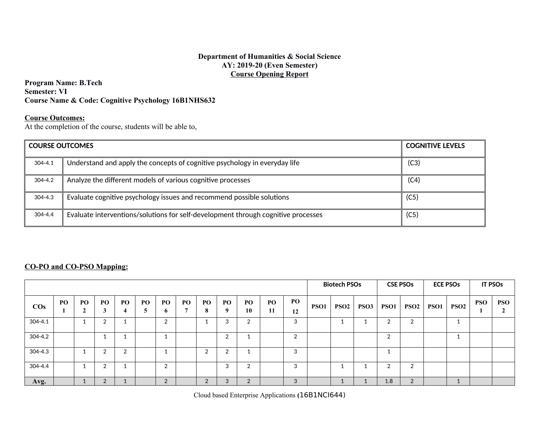#### **Department of Humanities & Social Science AY: 2019-20 (Even Semester) Course Opening Report**

**Program Name: B.Tech Semester: VI Course Name & Code: Cognitive Psychology 16B1NHS632**

### **Course Outcomes:**

At the completion of the course, students will be able to,

|             | <b>COURSE OUTCOMES</b><br><b>COGNITIVE LEVELS</b>                                 |      |  |  |  |  |  |
|-------------|-----------------------------------------------------------------------------------|------|--|--|--|--|--|
| $304 - 4.1$ | Understand and apply the concepts of cognitive psychology in everyday life        | (C3) |  |  |  |  |  |
| $304 - 4.2$ | Analyze the different models of various cognitive processes                       | (C4) |  |  |  |  |  |
| $304 - 4.3$ | Evaluate cognitive psychology issues and recommend possible solutions             | (C5) |  |  |  |  |  |
| $304 - 4.4$ | Evaluate interventions/solutions for self-development through cognitive processes | (C5) |  |  |  |  |  |

## **CO-PO and CO-PSO Mapping:**

|             |     |                |              |           |    |               |     | <b>Biotech PSOs</b> |                     | <b>CSE PSOs</b>       |           | <b>ECE PSOs</b> |                  | <b>IT PSOs</b>   |                  |        |                  |      |                  |     |                 |
|-------------|-----|----------------|--------------|-----------|----|---------------|-----|---------------------|---------------------|-----------------------|-----------|-----------------|------------------|------------------|------------------|--------|------------------|------|------------------|-----|-----------------|
| $\cos$      | PO. | P <sub>O</sub> | PO<br>G<br>л | <b>PO</b> | PO | PO<br>6       | PO- | P <sub>O</sub>      | PO.<br>$\mathbf{o}$ | PO <sub>1</sub><br>10 | PO.<br>11 | PO<br>12        | PSO <sub>1</sub> | PSO <sub>2</sub> | PSO <sub>3</sub> | PSO1   | PSO <sub>2</sub> | PSO1 | PSO <sub>2</sub> | PSO | <b>PSO</b><br>σ |
| $304 - 4.1$ |     |                | ົ            |           |    | າ             |     |                     |                     | $\sim$                |           | 3               |                  |                  |                  |        |                  |      |                  |     |                 |
| 304-4.2     |     |                |              |           |    |               |     |                     | $\sim$              |                       |           | $\overline{2}$  |                  |                  |                  | $\sim$ |                  |      |                  |     |                 |
| 304-4.3     |     |                | ົ            | $\sim$    |    |               |     | ◠                   |                     |                       |           | 3               |                  |                  |                  |        |                  |      |                  |     |                 |
| 304-4.4     |     |                | 2            |           |    | $\sim$        |     |                     | $\sim$<br>-5        | $\sim$                |           | 3               |                  |                  |                  | $\sim$ |                  |      |                  |     |                 |
| Avg.        |     |                | 2            |           |    | $\Omega$<br>L |     | C                   | 3                   | $\Omega$<br>∠         |           | 3               |                  |                  |                  | 1.8    | $\sim$           |      | л.               |     |                 |

Cloud based Enterprise Applications **(**16B1NCI644)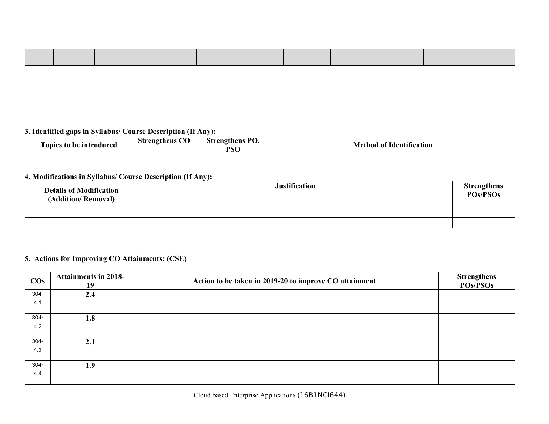# **3. Identified gaps in Syllabus/ Course Description (If Any):**

| Topics to be introduced | <b>Strengthens CO</b> | <b>Strengthens PO,</b><br><b>PSO</b> | <b>Method of Identification</b> |
|-------------------------|-----------------------|--------------------------------------|---------------------------------|
|                         |                       |                                      |                                 |
|                         |                       |                                      |                                 |

# **4. Modifications in Syllabus/ Course Description (If Any):**

| <b>Details of Modification</b><br>(Addition/Removal) | <b>Justification</b> | <b>Strengthens</b><br>POs/PSOs |
|------------------------------------------------------|----------------------|--------------------------------|
|                                                      |                      |                                |
|                                                      |                      |                                |

# **5. Actions for Improving CO Attainments: (CSE)**

| $\cos$  | <b>Attainments in 2018-</b><br>19 | Action to be taken in 2019-20 to improve CO attainment | <b>Strengthens</b><br><b>POs/PSOs</b> |
|---------|-----------------------------------|--------------------------------------------------------|---------------------------------------|
| 304-    | 2.4                               |                                                        |                                       |
| 4.1     |                                   |                                                        |                                       |
| 304-    | 1.8                               |                                                        |                                       |
| 4.2     |                                   |                                                        |                                       |
| 304-    | 2.1                               |                                                        |                                       |
| 4.3     |                                   |                                                        |                                       |
| $304 -$ | 1.9                               |                                                        |                                       |
| 4.4     |                                   |                                                        |                                       |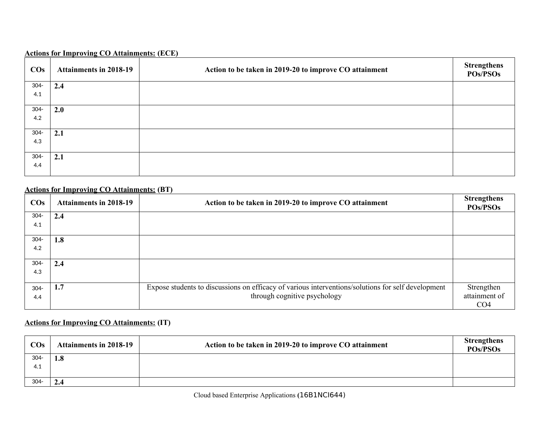### **Actions for Improving CO Attainments: (ECE)**

| $\cos$  | <b>Attainments in 2018-19</b> | Action to be taken in 2019-20 to improve CO attainment | <b>Strengthens</b><br><b>POs/PSOs</b> |
|---------|-------------------------------|--------------------------------------------------------|---------------------------------------|
| $304 -$ | 2.4                           |                                                        |                                       |
| 4.1     |                               |                                                        |                                       |
| $304 -$ | 2.0                           |                                                        |                                       |
| 4.2     |                               |                                                        |                                       |
| $304 -$ | 2.1                           |                                                        |                                       |
| 4.3     |                               |                                                        |                                       |
| $304 -$ | 2.1                           |                                                        |                                       |
| 4.4     |                               |                                                        |                                       |

### **Actions for Improving CO Attainments: (BT)**

| $\cos$  | <b>Attainments in 2018-19</b> | Action to be taken in 2019-20 to improve CO attainment                                             | <b>Strengthens</b><br><b>POs/PSOs</b> |
|---------|-------------------------------|----------------------------------------------------------------------------------------------------|---------------------------------------|
| $304 -$ | 2.4                           |                                                                                                    |                                       |
| 4.1     |                               |                                                                                                    |                                       |
| $304 -$ | 1.8                           |                                                                                                    |                                       |
| 4.2     |                               |                                                                                                    |                                       |
| $304 -$ | 2.4                           |                                                                                                    |                                       |
| 4.3     |                               |                                                                                                    |                                       |
| $304 -$ | 1.7                           | Expose students to discussions on efficacy of various interventions/solutions for self development | Strengthen                            |
| 4.4     |                               | through cognitive psychology                                                                       | attainment of                         |
|         |                               |                                                                                                    | CO <sub>4</sub>                       |

# **Actions for Improving CO Attainments: (IT)**

| $\cos$  | <b>Attainments in 2018-19</b> | Action to be taken in 2019-20 to improve CO attainment | <b>Strengthens</b><br><b>POs/PSOs</b> |
|---------|-------------------------------|--------------------------------------------------------|---------------------------------------|
| $304 -$ | 1.8                           |                                                        |                                       |
| 4.1     |                               |                                                        |                                       |
|         |                               |                                                        |                                       |
| $304 -$ | 2.4                           |                                                        |                                       |